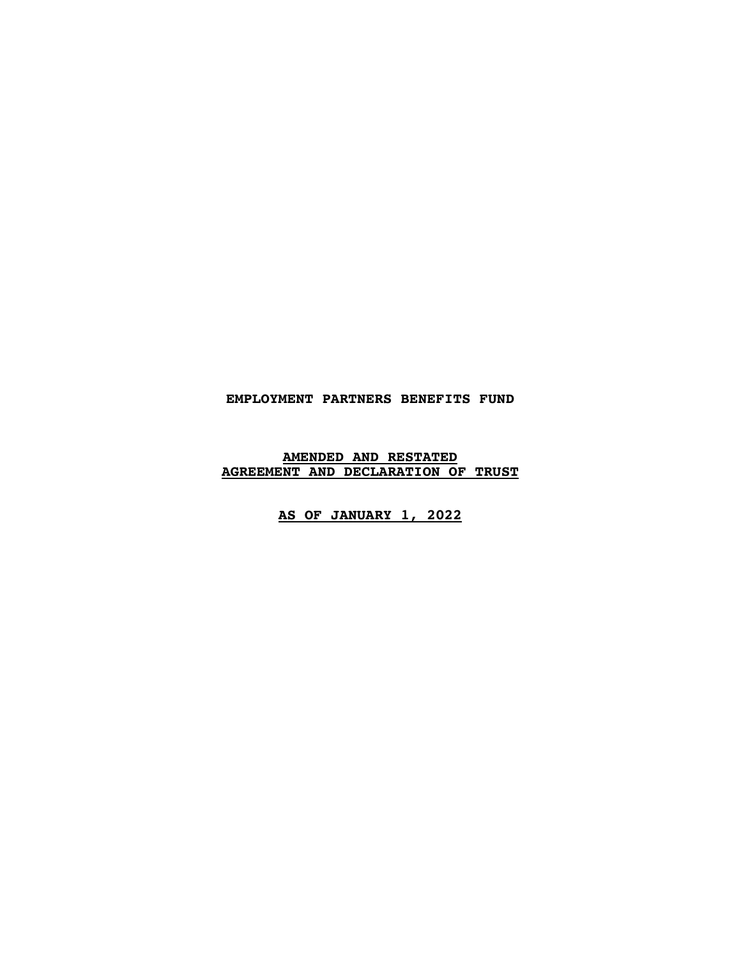# **EMPLOYMENT PARTNERS BENEFITS FUND**

### **AMENDED AND RESTATED AGREEMENT AND DECLARATION OF TRUST**

# **AS OF JANUARY 1, 2022**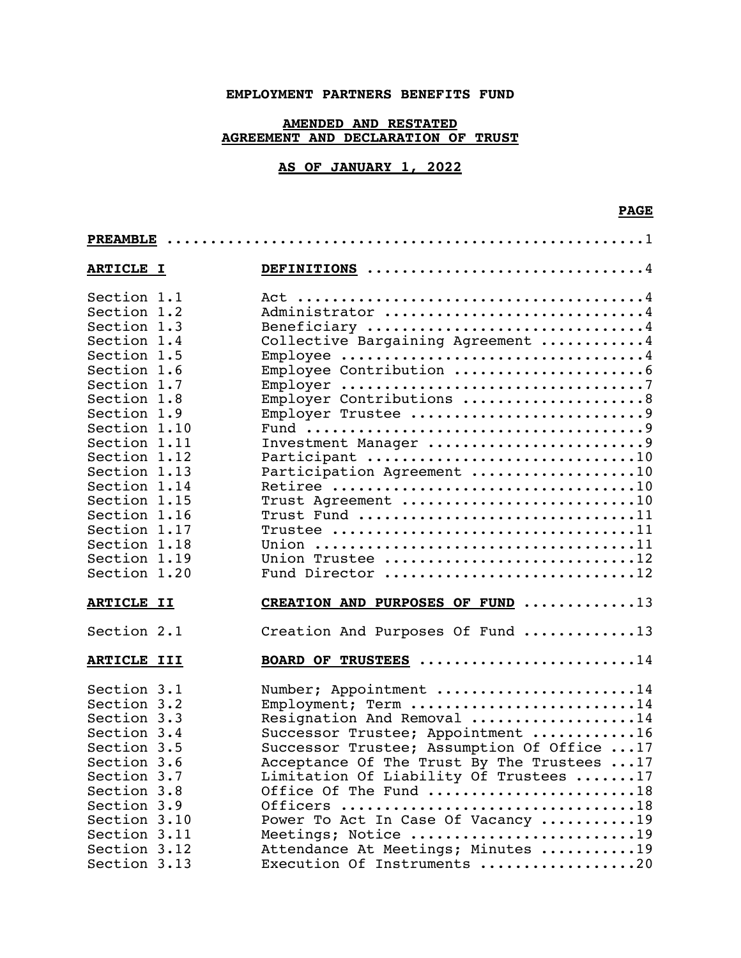# **EMPLOYMENT PARTNERS BENEFITS FUND**

# **AMENDED AND RESTATED AGREEMENT AND DECLARATION OF TRUST**

# **AS OF JANUARY 1, 2022**

| <b>ARTICLE I</b> |  | DEFINITIONS 4                               |  |  |
|------------------|--|---------------------------------------------|--|--|
| Section 1.1      |  |                                             |  |  |
| Section 1.2      |  | Administrator 4                             |  |  |
| Section 1.3      |  | Beneficiary 4                               |  |  |
| Section 1.4      |  | Collective Bargaining Agreement 4           |  |  |
| Section 1.5      |  |                                             |  |  |
| Section 1.6      |  |                                             |  |  |
| Section 1.7      |  |                                             |  |  |
| Section 1.8      |  | Employer Contributions 8                    |  |  |
| Section 1.9      |  | Employer Trustee 9                          |  |  |
| Section 1.10     |  |                                             |  |  |
| Section 1.11     |  | Investment Manager 9                        |  |  |
| Section 1.12     |  | Participant 10                              |  |  |
| Section 1.13     |  | Participation Agreement 10                  |  |  |
| Section 1.14     |  |                                             |  |  |
| Section 1.15     |  | Trust Agreement 10                          |  |  |
| Section 1.16     |  | Trust Fund 11                               |  |  |
| Section 1.17     |  |                                             |  |  |
| Section 1.18     |  |                                             |  |  |
| Section 1.19     |  | Union Trustee 12                            |  |  |
| Section 1.20     |  | Fund Director 12                            |  |  |
| ARTICLE II       |  | CREATION AND PURPOSES OF FUND 13            |  |  |
| Section 2.1      |  | Creation And Purposes Of Fund 13            |  |  |
| ARTICLE III      |  | BOARD OF TRUSTEES 14                        |  |  |
| Section 3.1      |  | Number; Appointment 14                      |  |  |
| Section 3.2      |  | Employment; Term 14                         |  |  |
| Section 3.3      |  | Resignation And Removal 14                  |  |  |
| Section 3.4      |  | Successor Trustee; Appointment 16           |  |  |
| Section 3.5      |  | Successor Trustee; Assumption Of Office  17 |  |  |
| Section 3.6      |  | Acceptance Of The Trust By The Trustees 17  |  |  |
| Section 3.7      |  | Limitation Of Liability Of Trustees 17      |  |  |
| Section 3.8      |  | Office Of The Fund 18                       |  |  |
| Section 3.9      |  | Officers 18                                 |  |  |
| Section 3.10     |  | Power To Act In Case Of Vacancy 19          |  |  |
| Section 3.11     |  | Meetings; Notice 19                         |  |  |
| Section 3.12     |  | Attendance At Meetings; Minutes 19          |  |  |
| Section 3.13     |  | Execution Of Instruments 20                 |  |  |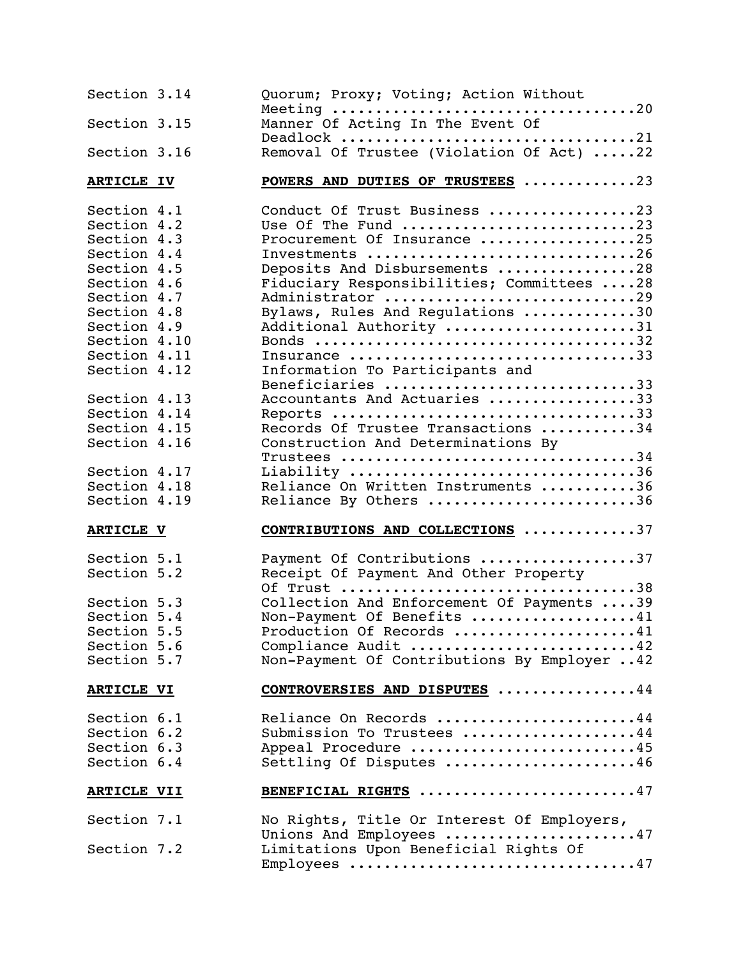| Section 3.14                 | Quorum; Proxy; Voting; Action Without                            |
|------------------------------|------------------------------------------------------------------|
| Section 3.15                 | Manner Of Acting In The Event Of                                 |
| Section 3.16                 | Deadlock 21<br>Removal Of Trustee (Violation Of Act) 22          |
| <b>ARTICLE IV</b>            | POWERS AND DUTIES OF TRUSTEES 23                                 |
| Section 4.1                  | Conduct Of Trust Business 23                                     |
| Section 4.2                  | Use Of The Fund 23                                               |
| Section 4.3                  | Procurement Of Insurance 25                                      |
| Section 4.4                  | Investments 26                                                   |
| Section 4.5                  | Deposits And Disbursements 28                                    |
| Section 4.6                  | Fiduciary Responsibilities; Committees 28                        |
| Section 4.7                  | Administrator 29                                                 |
| Section 4.8                  | Bylaws, Rules And Regulations 30                                 |
| Section 4.9                  | Additional Authority 31                                          |
| Section 4.10                 |                                                                  |
| Section 4.11                 | Insurance 33                                                     |
| Section 4.12                 | Information To Participants and                                  |
|                              | Beneficiaries 33                                                 |
| Section 4.13                 | Accountants And Actuaries 33                                     |
| Section 4.14                 | Reports 33                                                       |
| Section 4.15                 | Records Of Trustee Transactions 34                               |
| Section 4.16                 | Construction And Determinations By                               |
|                              |                                                                  |
| Section 4.17                 | Liability 36                                                     |
|                              |                                                                  |
|                              |                                                                  |
| Section 4.18<br>Section 4.19 | Reliance On Written Instruments 36<br>Reliance By Others 36      |
| <b>ARTICLE V</b>             | <b>CONTRIBUTIONS AND COLLECTIONS 37</b>                          |
|                              |                                                                  |
| Section 5.1                  | Payment Of Contributions 37                                      |
| Section 5.2                  | Receipt Of Payment And Other Property                            |
|                              | Of Trust 38                                                      |
| Section 5.3                  | Collection And Enforcement Of Payments 39                        |
| Section 5.4                  | Non-Payment Of Benefits 41                                       |
| Section 5.5                  | Production Of Records 41                                         |
| Section 5.6                  | Compliance Audit 42                                              |
| Section 5.7                  | Non-Payment Of Contributions By Employer  42                     |
| <b>ARTICLE VI</b>            | CONTROVERSIES AND DISPUTES 44                                    |
| Section 6.1                  | Reliance On Records 44                                           |
| Section 6.2                  | Submission To Trustees 44                                        |
| Section 6.3                  |                                                                  |
| Section 6.4                  | Appeal Procedure 45<br>Settling Of Disputes 46                   |
| <b>ARTICLE VII</b>           | BENEFICIAL RIGHTS 47                                             |
| Section 7.1                  | No Rights, Title Or Interest Of Employers,                       |
| Section 7.2                  | Unions And Employees 47<br>Limitations Upon Beneficial Rights Of |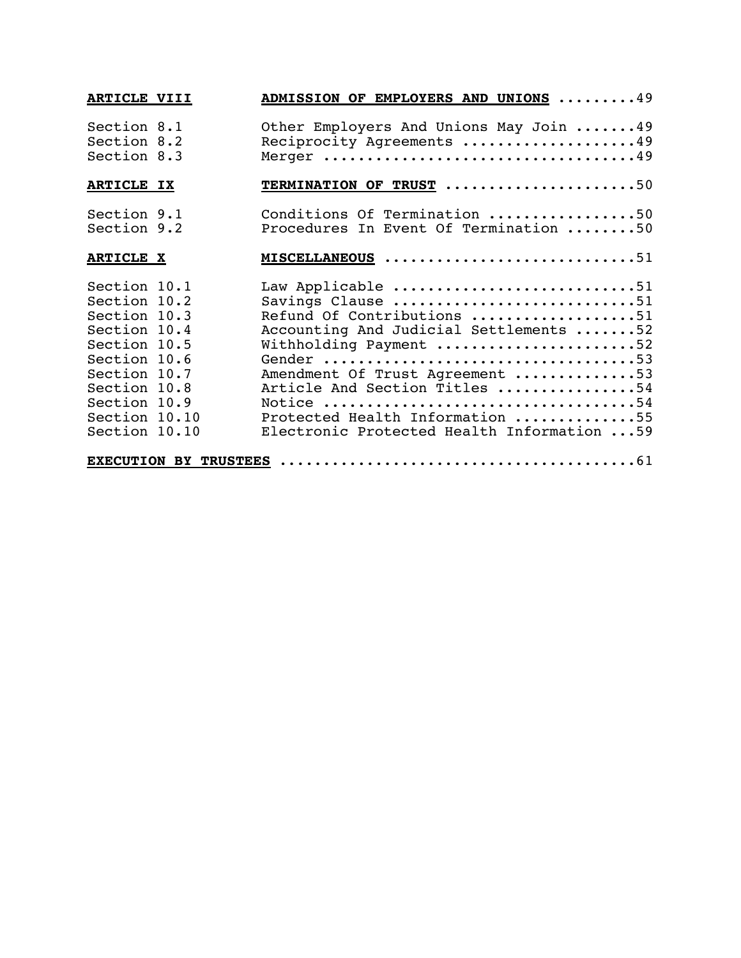| ARTICLE VIII                                                                                                                                                                   |  | <b>ADMISSION OF EMPLOYERS AND UNIONS 49</b>                                                                                                                                                                                                                                                    |  |  |
|--------------------------------------------------------------------------------------------------------------------------------------------------------------------------------|--|------------------------------------------------------------------------------------------------------------------------------------------------------------------------------------------------------------------------------------------------------------------------------------------------|--|--|
| Section 8.1<br>Section 8.2<br>Section 8.3                                                                                                                                      |  | Other Employers And Unions May Join  49<br>Reciprocity Agreements 49                                                                                                                                                                                                                           |  |  |
| <b>ARTICLE IX</b>                                                                                                                                                              |  | TERMINATION OF TRUST 50                                                                                                                                                                                                                                                                        |  |  |
| Section 9.1<br>Section 9.2                                                                                                                                                     |  | Conditions Of Termination 50<br>Procedures In Event Of Termination 50                                                                                                                                                                                                                          |  |  |
| <b>ARTICLE X</b>                                                                                                                                                               |  | MISCELLANEOUS 51                                                                                                                                                                                                                                                                               |  |  |
| Section 10.1<br>Section 10.2<br>Section 10.3<br>Section 10.4<br>Section 10.5<br>Section 10.6<br>Section 10.7<br>Section 10.8<br>Section 10.9<br>Section 10.10<br>Section 10.10 |  | Law Applicable 51<br>Savings Clause 51<br>Refund Of Contributions 51<br>Accounting And Judicial Settlements 52<br>Withholding Payment 52<br>Amendment Of Trust Agreement 53<br>Article And Section Titles 54<br>Protected Health Information 55<br>Electronic Protected Health Information  59 |  |  |
|                                                                                                                                                                                |  |                                                                                                                                                                                                                                                                                                |  |  |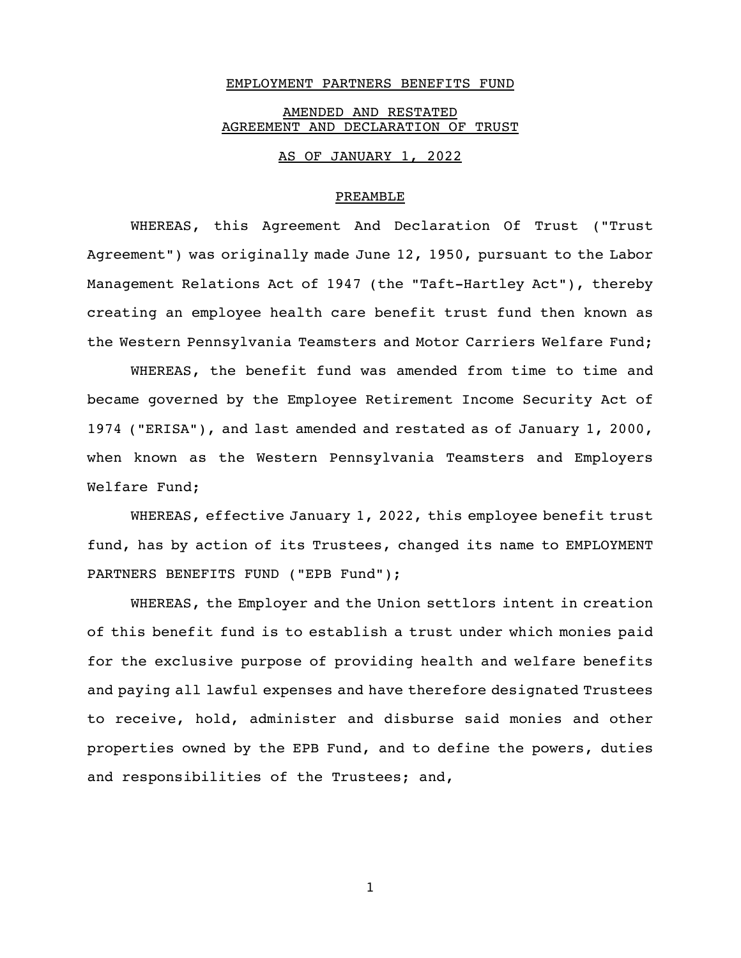#### EMPLOYMENT PARTNERS BENEFITS FUND

### AMENDED AND RESTATED AGREEMENT AND DECLARATION OF TRUST

#### AS OF JANUARY 1, 2022

#### PREAMBLE

WHEREAS, this Agreement And Declaration Of Trust ("Trust Agreement") was originally made June 12, 1950, pursuant to the Labor Management Relations Act of 1947 (the "Taft-Hartley Act"), thereby creating an employee health care benefit trust fund then known as the Western Pennsylvania Teamsters and Motor Carriers Welfare Fund;

WHEREAS, the benefit fund was amended from time to time and became governed by the Employee Retirement Income Security Act of 1974 ("ERISA"), and last amended and restated as of January 1, 2000, when known as the Western Pennsylvania Teamsters and Employers Welfare Fund;

WHEREAS, effective January 1, 2022, this employee benefit trust fund, has by action of its Trustees, changed its name to EMPLOYMENT PARTNERS BENEFITS FUND ("EPB Fund");

WHEREAS, the Employer and the Union settlors intent in creation of this benefit fund is to establish a trust under which monies paid for the exclusive purpose of providing health and welfare benefits and paying all lawful expenses and have therefore designated Trustees to receive, hold, administer and disburse said monies and other properties owned by the EPB Fund, and to define the powers, duties and responsibilities of the Trustees; and,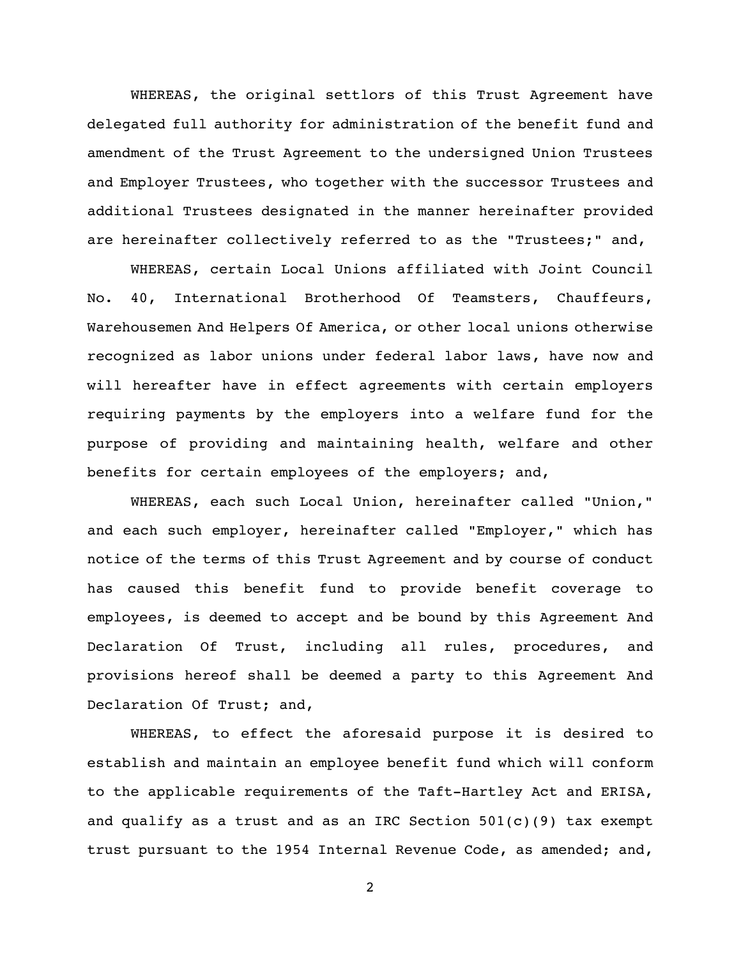WHEREAS, the original settlors of this Trust Agreement have delegated full authority for administration of the benefit fund and amendment of the Trust Agreement to the undersigned Union Trustees and Employer Trustees, who together with the successor Trustees and additional Trustees designated in the manner hereinafter provided are hereinafter collectively referred to as the "Trustees;" and,

WHEREAS, certain Local Unions affiliated with Joint Council No. 40, International Brotherhood Of Teamsters, Chauffeurs, Warehousemen And Helpers Of America, or other local unions otherwise recognized as labor unions under federal labor laws, have now and will hereafter have in effect agreements with certain employers requiring payments by the employers into a welfare fund for the purpose of providing and maintaining health, welfare and other benefits for certain employees of the employers; and,

WHEREAS, each such Local Union, hereinafter called "Union," and each such employer, hereinafter called "Employer," which has notice of the terms of this Trust Agreement and by course of conduct has caused this benefit fund to provide benefit coverage to employees, is deemed to accept and be bound by this Agreement And Declaration Of Trust, including all rules, procedures, and provisions hereof shall be deemed a party to this Agreement And Declaration Of Trust; and,

WHEREAS, to effect the aforesaid purpose it is desired to establish and maintain an employee benefit fund which will conform to the applicable requirements of the Taft-Hartley Act and ERISA, and qualify as a trust and as an IRC Section  $501(c)(9)$  tax exempt trust pursuant to the 1954 Internal Revenue Code, as amended; and,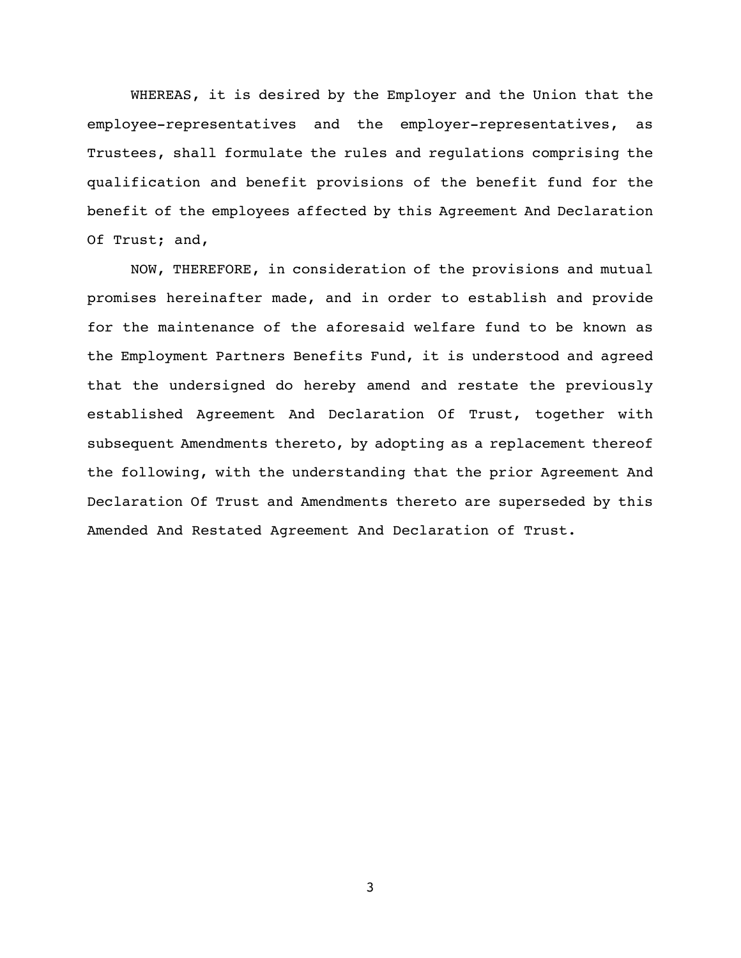WHEREAS, it is desired by the Employer and the Union that the employee-representatives and the employer-representatives, as Trustees, shall formulate the rules and regulations comprising the qualification and benefit provisions of the benefit fund for the benefit of the employees affected by this Agreement And Declaration Of Trust; and,

NOW, THEREFORE, in consideration of the provisions and mutual promises hereinafter made, and in order to establish and provide for the maintenance of the aforesaid welfare fund to be known as the Employment Partners Benefits Fund, it is understood and agreed that the undersigned do hereby amend and restate the previously established Agreement And Declaration Of Trust, together with subsequent Amendments thereto, by adopting as a replacement thereof the following, with the understanding that the prior Agreement And Declaration Of Trust and Amendments thereto are superseded by this Amended And Restated Agreement And Declaration of Trust.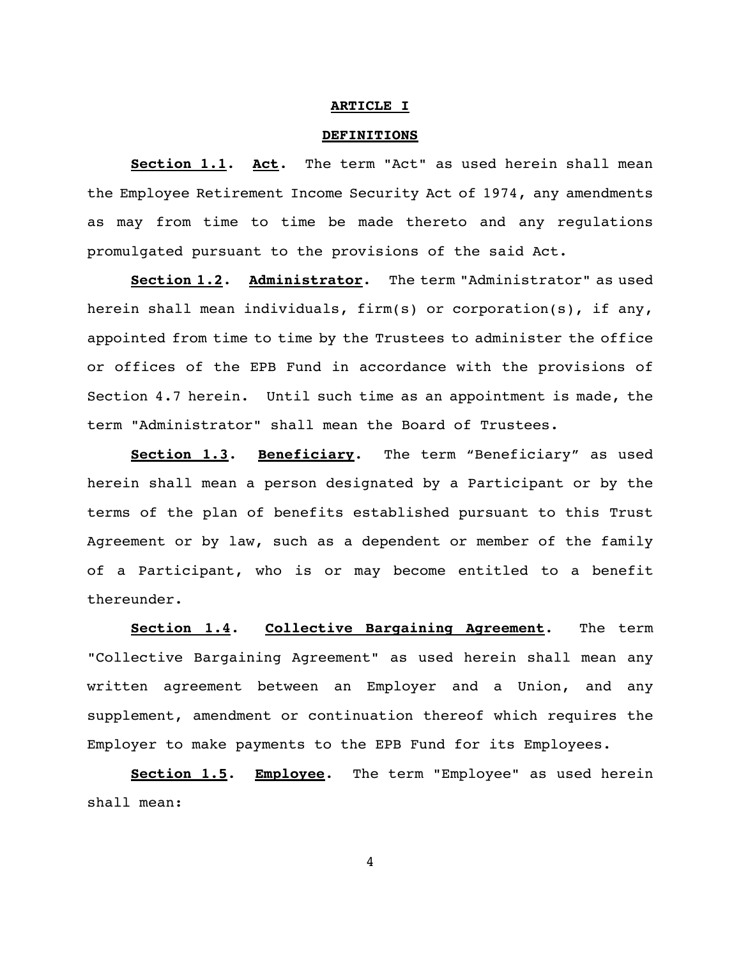#### **ARTICLE I**

#### **DEFINITIONS**

**Section 1.1**. **Act**. The term "Act" as used herein shall mean the Employee Retirement Income Security Act of 1974, any amendments as may from time to time be made thereto and any regulations promulgated pursuant to the provisions of the said Act.

**Section 1.2**. **Administrator**. The term "Administrator" as used herein shall mean individuals, firm(s) or corporation(s), if any, appointed from time to time by the Trustees to administer the office or offices of the EPB Fund in accordance with the provisions of Section 4.7 herein. Until such time as an appointment is made, the term "Administrator" shall mean the Board of Trustees.

**Section 1.3**. **Beneficiary**. The term "Beneficiary" as used herein shall mean a person designated by a Participant or by the terms of the plan of benefits established pursuant to this Trust Agreement or by law, such as a dependent or member of the family of a Participant, who is or may become entitled to a benefit thereunder.

**Section 1.4**. **Collective Bargaining Agreement**. The term "Collective Bargaining Agreement" as used herein shall mean any written agreement between an Employer and a Union, and any supplement, amendment or continuation thereof which requires the Employer to make payments to the EPB Fund for its Employees.

**Section 1.5**. **Employee**. The term "Employee" as used herein shall mean: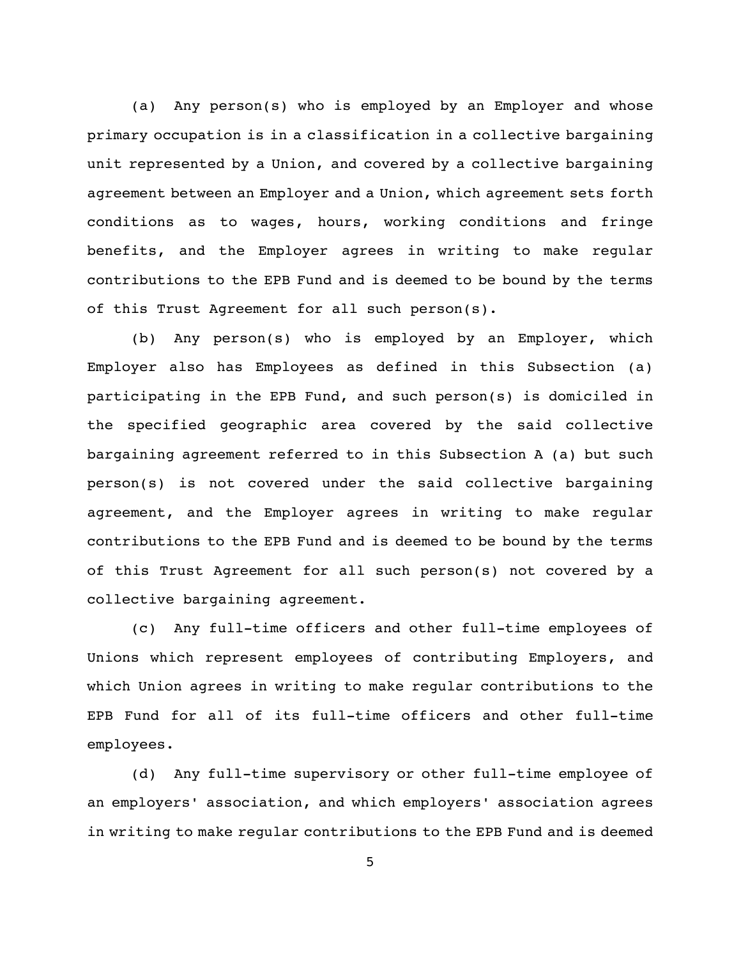(a) Any person(s) who is employed by an Employer and whose primary occupation is in a classification in a collective bargaining unit represented by a Union, and covered by a collective bargaining agreement between an Employer and a Union, which agreement sets forth conditions as to wages, hours, working conditions and fringe benefits, and the Employer agrees in writing to make regular contributions to the EPB Fund and is deemed to be bound by the terms of this Trust Agreement for all such person(s).

(b) Any person(s) who is employed by an Employer, which Employer also has Employees as defined in this Subsection (a) participating in the EPB Fund, and such person(s) is domiciled in the specified geographic area covered by the said collective bargaining agreement referred to in this Subsection A (a) but such person(s) is not covered under the said collective bargaining agreement, and the Employer agrees in writing to make regular contributions to the EPB Fund and is deemed to be bound by the terms of this Trust Agreement for all such person(s) not covered by a collective bargaining agreement.

(c) Any full-time officers and other full-time employees of Unions which represent employees of contributing Employers, and which Union agrees in writing to make regular contributions to the EPB Fund for all of its full-time officers and other full-time employees.

(d) Any full-time supervisory or other full-time employee of an employers' association, and which employers' association agrees in writing to make regular contributions to the EPB Fund and is deemed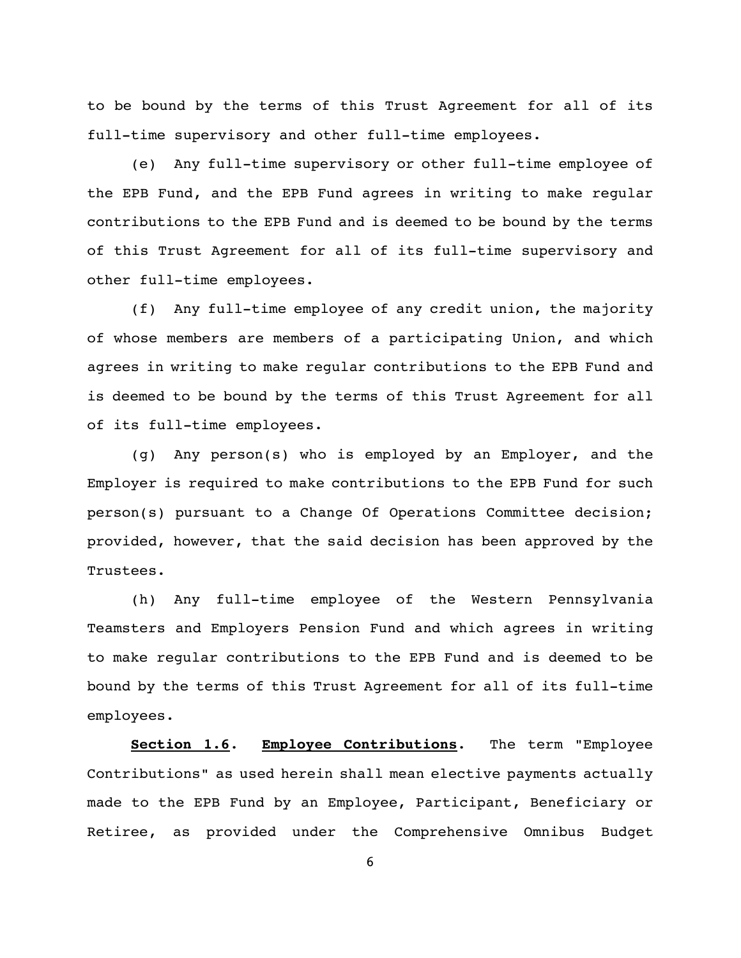to be bound by the terms of this Trust Agreement for all of its full-time supervisory and other full-time employees.

(e) Any full-time supervisory or other full-time employee of the EPB Fund, and the EPB Fund agrees in writing to make regular contributions to the EPB Fund and is deemed to be bound by the terms of this Trust Agreement for all of its full-time supervisory and other full-time employees.

(f) Any full-time employee of any credit union, the majority of whose members are members of a participating Union, and which agrees in writing to make regular contributions to the EPB Fund and is deemed to be bound by the terms of this Trust Agreement for all of its full-time employees.

(g) Any person(s) who is employed by an Employer, and the Employer is required to make contributions to the EPB Fund for such person(s) pursuant to a Change Of Operations Committee decision; provided, however, that the said decision has been approved by the Trustees.

(h) Any full-time employee of the Western Pennsylvania Teamsters and Employers Pension Fund and which agrees in writing to make regular contributions to the EPB Fund and is deemed to be bound by the terms of this Trust Agreement for all of its full-time employees.

**Section 1.6**. **Employee Contributions**. The term "Employee Contributions" as used herein shall mean elective payments actually made to the EPB Fund by an Employee, Participant, Beneficiary or Retiree, as provided under the Comprehensive Omnibus Budget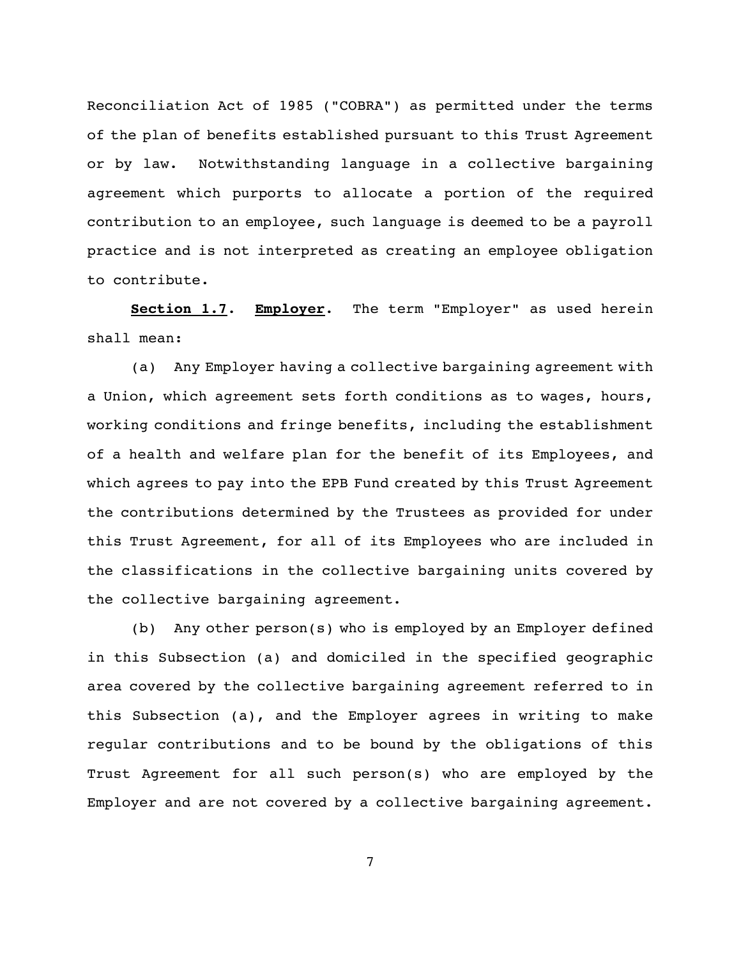Reconciliation Act of 1985 ("COBRA") as permitted under the terms of the plan of benefits established pursuant to this Trust Agreement or by law. Notwithstanding language in a collective bargaining agreement which purports to allocate a portion of the required contribution to an employee, such language is deemed to be a payroll practice and is not interpreted as creating an employee obligation to contribute.

**Section 1.7**. **Employer**. The term "Employer" as used herein shall mean:

(a) Any Employer having a collective bargaining agreement with a Union, which agreement sets forth conditions as to wages, hours, working conditions and fringe benefits, including the establishment of a health and welfare plan for the benefit of its Employees, and which agrees to pay into the EPB Fund created by this Trust Agreement the contributions determined by the Trustees as provided for under this Trust Agreement, for all of its Employees who are included in the classifications in the collective bargaining units covered by the collective bargaining agreement.

(b) Any other person(s) who is employed by an Employer defined in this Subsection (a) and domiciled in the specified geographic area covered by the collective bargaining agreement referred to in this Subsection (a), and the Employer agrees in writing to make regular contributions and to be bound by the obligations of this Trust Agreement for all such person(s) who are employed by the Employer and are not covered by a collective bargaining agreement.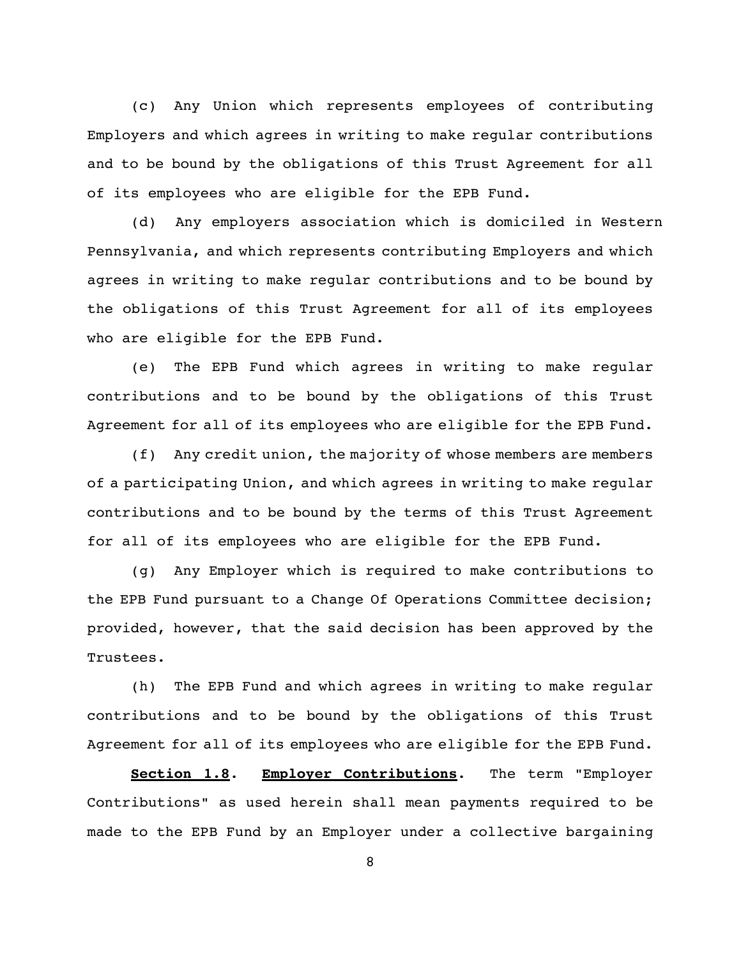(c) Any Union which represents employees of contributing Employers and which agrees in writing to make regular contributions and to be bound by the obligations of this Trust Agreement for all of its employees who are eligible for the EPB Fund.

(d) Any employers association which is domiciled in Western Pennsylvania, and which represents contributing Employers and which agrees in writing to make regular contributions and to be bound by the obligations of this Trust Agreement for all of its employees who are eligible for the EPB Fund.

(e) The EPB Fund which agrees in writing to make regular contributions and to be bound by the obligations of this Trust Agreement for all of its employees who are eligible for the EPB Fund.

(f) Any credit union, the majority of whose members are members of a participating Union, and which agrees in writing to make regular contributions and to be bound by the terms of this Trust Agreement for all of its employees who are eligible for the EPB Fund.

(g) Any Employer which is required to make contributions to the EPB Fund pursuant to a Change Of Operations Committee decision; provided, however, that the said decision has been approved by the Trustees.

(h) The EPB Fund and which agrees in writing to make regular contributions and to be bound by the obligations of this Trust Agreement for all of its employees who are eligible for the EPB Fund.

**Section 1.8**. **Employer Contributions**. The term "Employer Contributions" as used herein shall mean payments required to be made to the EPB Fund by an Employer under a collective bargaining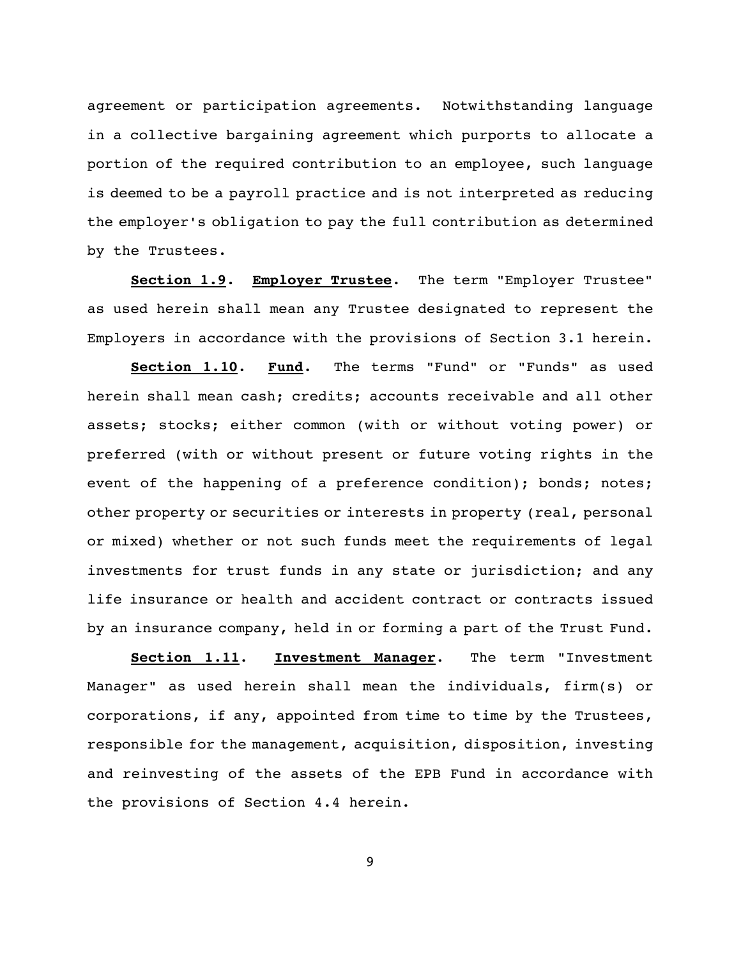agreement or participation agreements. Notwithstanding language in a collective bargaining agreement which purports to allocate a portion of the required contribution to an employee, such language is deemed to be a payroll practice and is not interpreted as reducing the employer's obligation to pay the full contribution as determined by the Trustees.

**Section 1.9**. **Employer Trustee**. The term "Employer Trustee" as used herein shall mean any Trustee designated to represent the Employers in accordance with the provisions of Section 3.1 herein.

**Section 1.10**. **Fund**. The terms "Fund" or "Funds" as used herein shall mean cash; credits; accounts receivable and all other assets; stocks; either common (with or without voting power) or preferred (with or without present or future voting rights in the event of the happening of a preference condition); bonds; notes; other property or securities or interests in property (real, personal or mixed) whether or not such funds meet the requirements of legal investments for trust funds in any state or jurisdiction; and any life insurance or health and accident contract or contracts issued by an insurance company, held in or forming a part of the Trust Fund.

**Section 1.11**. **Investment Manager**. The term "Investment Manager" as used herein shall mean the individuals, firm(s) or corporations, if any, appointed from time to time by the Trustees, responsible for the management, acquisition, disposition, investing and reinvesting of the assets of the EPB Fund in accordance with the provisions of Section 4.4 herein.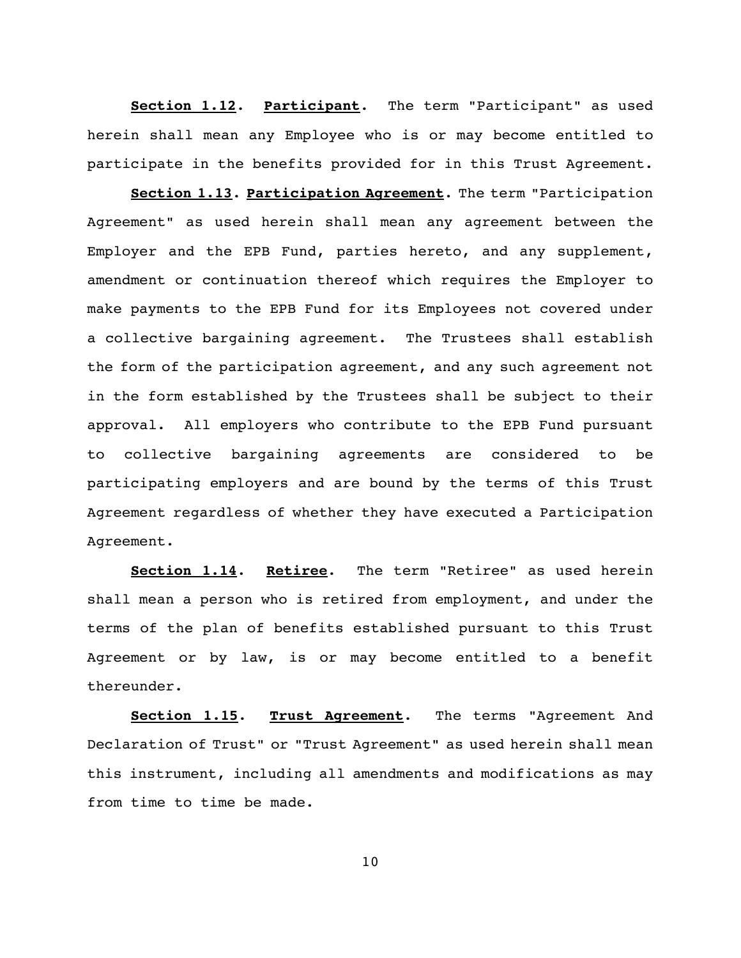**Section 1.12**. **Participant**. The term "Participant" as used herein shall mean any Employee who is or may become entitled to participate in the benefits provided for in this Trust Agreement.

**Section 1.13**. **Participation Agreement**. The term "Participation Agreement" as used herein shall mean any agreement between the Employer and the EPB Fund, parties hereto, and any supplement, amendment or continuation thereof which requires the Employer to make payments to the EPB Fund for its Employees not covered under a collective bargaining agreement. The Trustees shall establish the form of the participation agreement, and any such agreement not in the form established by the Trustees shall be subject to their approval. All employers who contribute to the EPB Fund pursuant to collective bargaining agreements are considered to be participating employers and are bound by the terms of this Trust Agreement regardless of whether they have executed a Participation Agreement.

**Section 1.14**. **Retiree**. The term "Retiree" as used herein shall mean a person who is retired from employment, and under the terms of the plan of benefits established pursuant to this Trust Agreement or by law, is or may become entitled to a benefit thereunder.

**Section 1.15**. **Trust Agreement**. The terms "Agreement And Declaration of Trust" or "Trust Agreement" as used herein shall mean this instrument, including all amendments and modifications as may from time to time be made.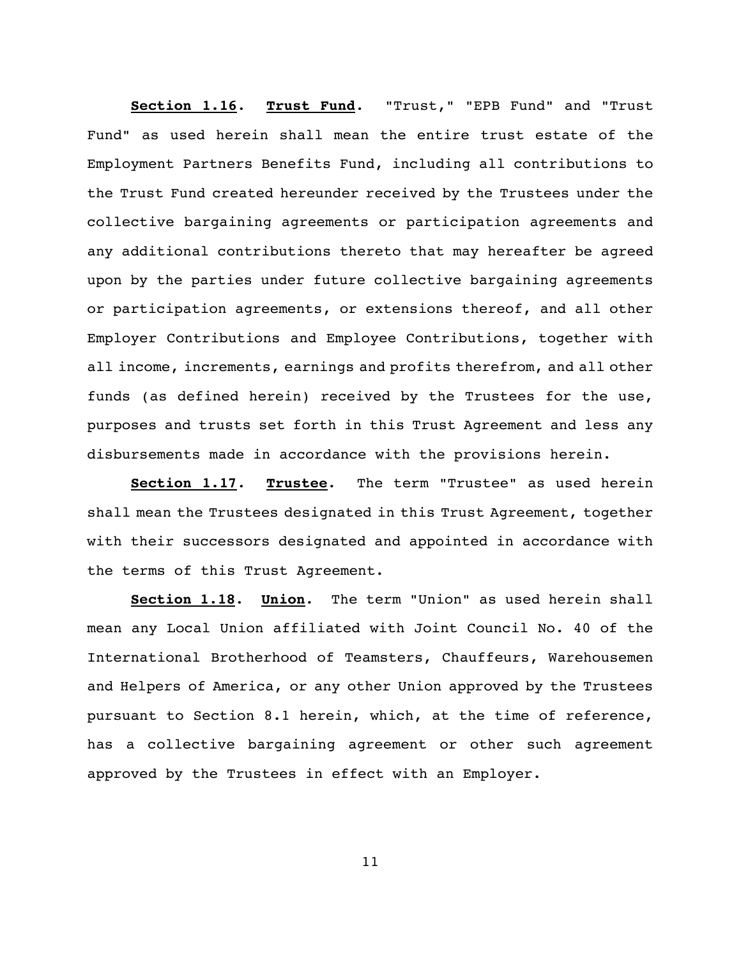**Section 1.16**. **Trust Fund**. "Trust," "EPB Fund" and "Trust Fund" as used herein shall mean the entire trust estate of the Employment Partners Benefits Fund, including all contributions to the Trust Fund created hereunder received by the Trustees under the collective bargaining agreements or participation agreements and any additional contributions thereto that may hereafter be agreed upon by the parties under future collective bargaining agreements or participation agreements, or extensions thereof, and all other Employer Contributions and Employee Contributions, together with all income, increments, earnings and profits therefrom, and all other funds (as defined herein) received by the Trustees for the use, purposes and trusts set forth in this Trust Agreement and less any disbursements made in accordance with the provisions herein.

**Section 1.17**. **Trustee**. The term "Trustee" as used herein shall mean the Trustees designated in this Trust Agreement, together with their successors designated and appointed in accordance with the terms of this Trust Agreement.

**Section 1.18**. **Union**. The term "Union" as used herein shall mean any Local Union affiliated with Joint Council No. 40 of the International Brotherhood of Teamsters, Chauffeurs, Warehousemen and Helpers of America, or any other Union approved by the Trustees pursuant to Section 8.1 herein, which, at the time of reference, has a collective bargaining agreement or other such agreement approved by the Trustees in effect with an Employer.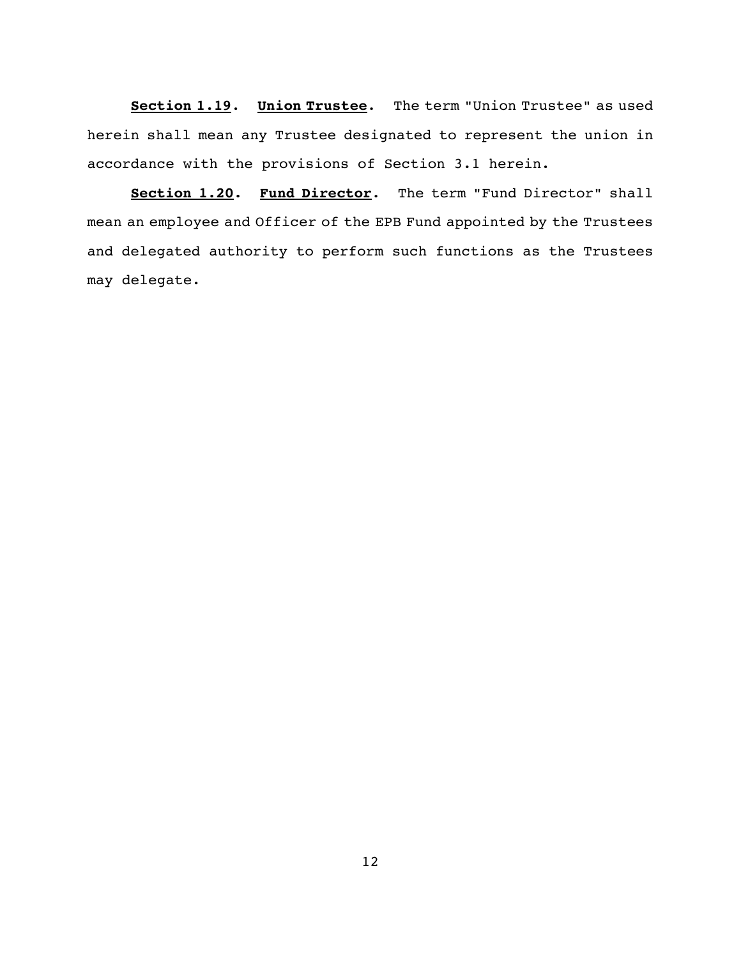**Section 1.19**. **Union Trustee**. The term "Union Trustee" as used herein shall mean any Trustee designated to represent the union in accordance with the provisions of Section 3.1 herein.

**Section 1.20. Fund Director**. The term "Fund Director" shall mean an employee and Officer of the EPB Fund appointed by the Trustees and delegated authority to perform such functions as the Trustees may delegate.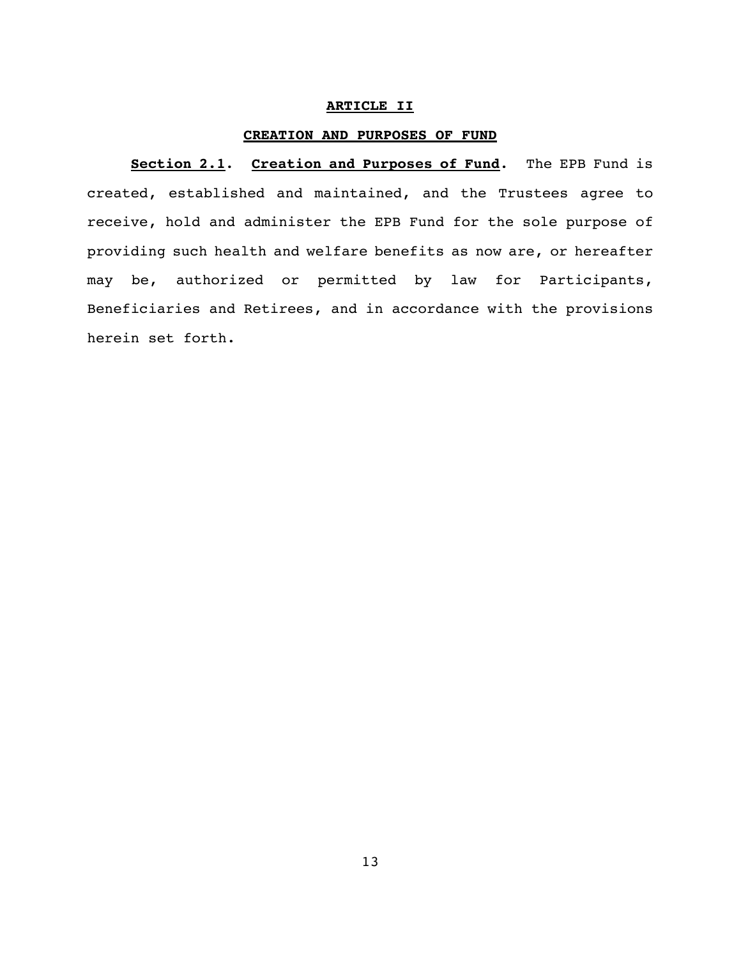### **ARTICLE II**

### **CREATION AND PURPOSES OF FUND**

**Section 2.1**. **Creation and Purposes of Fund**. The EPB Fund is created, established and maintained, and the Trustees agree to receive, hold and administer the EPB Fund for the sole purpose of providing such health and welfare benefits as now are, or hereafter may be, authorized or permitted by law for Participants, Beneficiaries and Retirees, and in accordance with the provisions herein set forth.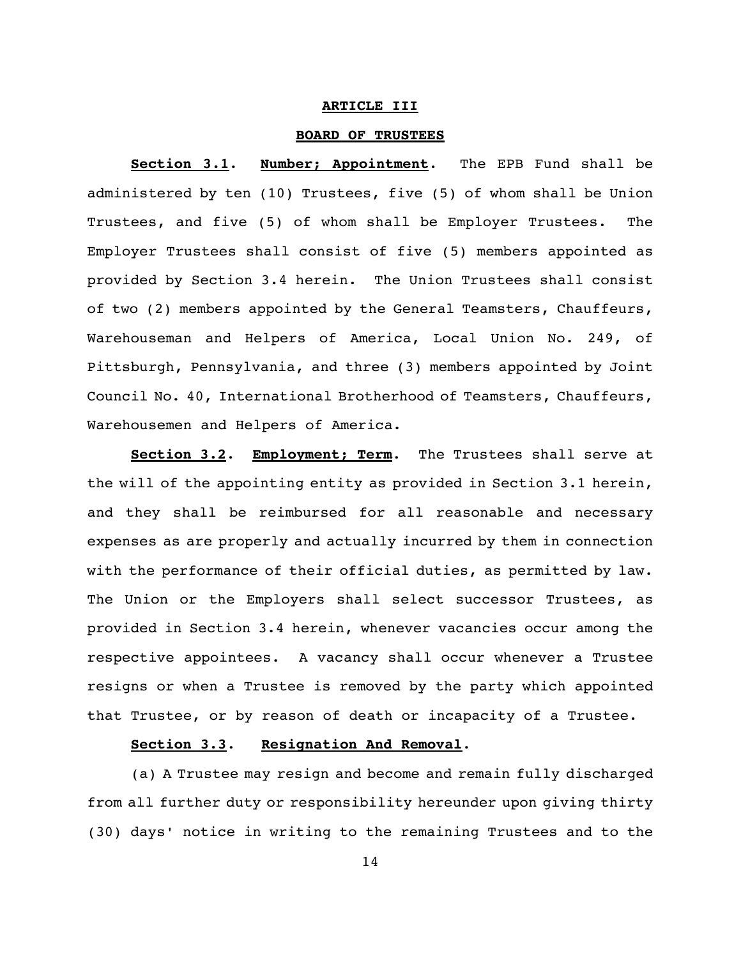### **ARTICLE III**

### **BOARD OF TRUSTEES**

**Section 3.1**. **Number; Appointment**. The EPB Fund shall be administered by ten (10) Trustees, five (5) of whom shall be Union Trustees, and five (5) of whom shall be Employer Trustees. The Employer Trustees shall consist of five (5) members appointed as provided by Section 3.4 herein. The Union Trustees shall consist of two (2) members appointed by the General Teamsters, Chauffeurs, Warehouseman and Helpers of America, Local Union No. 249, of Pittsburgh, Pennsylvania, and three (3) members appointed by Joint Council No. 40, International Brotherhood of Teamsters, Chauffeurs, Warehousemen and Helpers of America.

**Section 3.2**. **Employment; Term**. The Trustees shall serve at the will of the appointing entity as provided in Section 3.1 herein, and they shall be reimbursed for all reasonable and necessary expenses as are properly and actually incurred by them in connection with the performance of their official duties, as permitted by law. The Union or the Employers shall select successor Trustees, as provided in Section 3.4 herein, whenever vacancies occur among the respective appointees. A vacancy shall occur whenever a Trustee resigns or when a Trustee is removed by the party which appointed that Trustee, or by reason of death or incapacity of a Trustee.

# **Section 3.3**. **Resignation And Removal**.

(a) A Trustee may resign and become and remain fully discharged from all further duty or responsibility hereunder upon giving thirty (30) days' notice in writing to the remaining Trustees and to the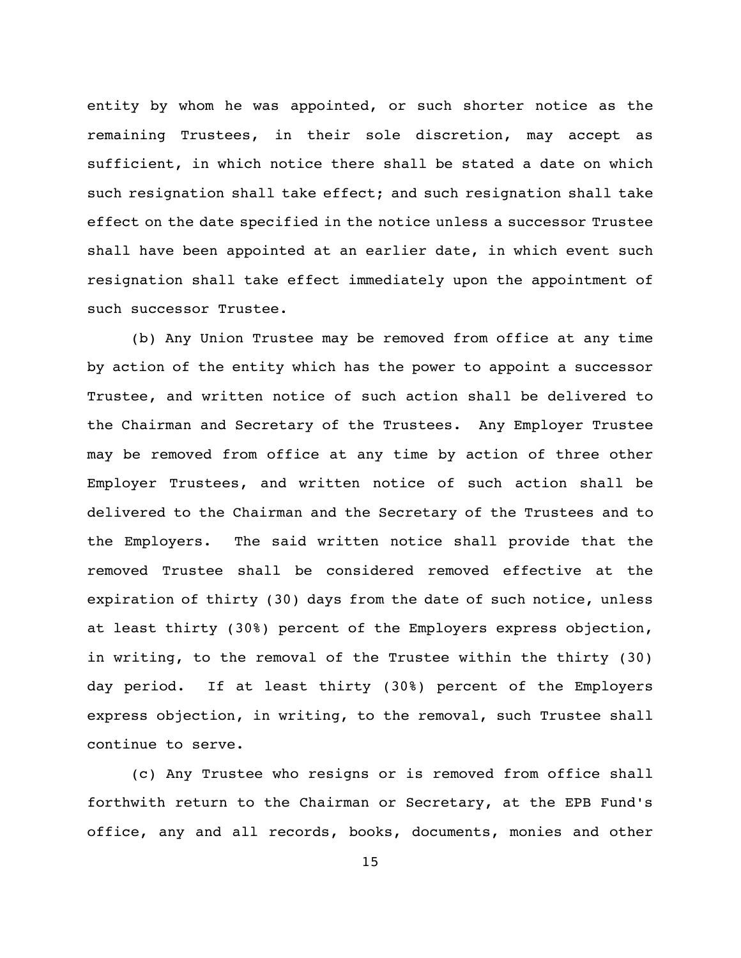entity by whom he was appointed, or such shorter notice as the remaining Trustees, in their sole discretion, may accept as sufficient, in which notice there shall be stated a date on which such resignation shall take effect; and such resignation shall take effect on the date specified in the notice unless a successor Trustee shall have been appointed at an earlier date, in which event such resignation shall take effect immediately upon the appointment of such successor Trustee.

(b) Any Union Trustee may be removed from office at any time by action of the entity which has the power to appoint a successor Trustee, and written notice of such action shall be delivered to the Chairman and Secretary of the Trustees. Any Employer Trustee may be removed from office at any time by action of three other Employer Trustees, and written notice of such action shall be delivered to the Chairman and the Secretary of the Trustees and to the Employers. The said written notice shall provide that the removed Trustee shall be considered removed effective at the expiration of thirty (30) days from the date of such notice, unless at least thirty (30%) percent of the Employers express objection, in writing, to the removal of the Trustee within the thirty (30) day period. If at least thirty (30%) percent of the Employers express objection, in writing, to the removal, such Trustee shall continue to serve.

(c) Any Trustee who resigns or is removed from office shall forthwith return to the Chairman or Secretary, at the EPB Fund's office, any and all records, books, documents, monies and other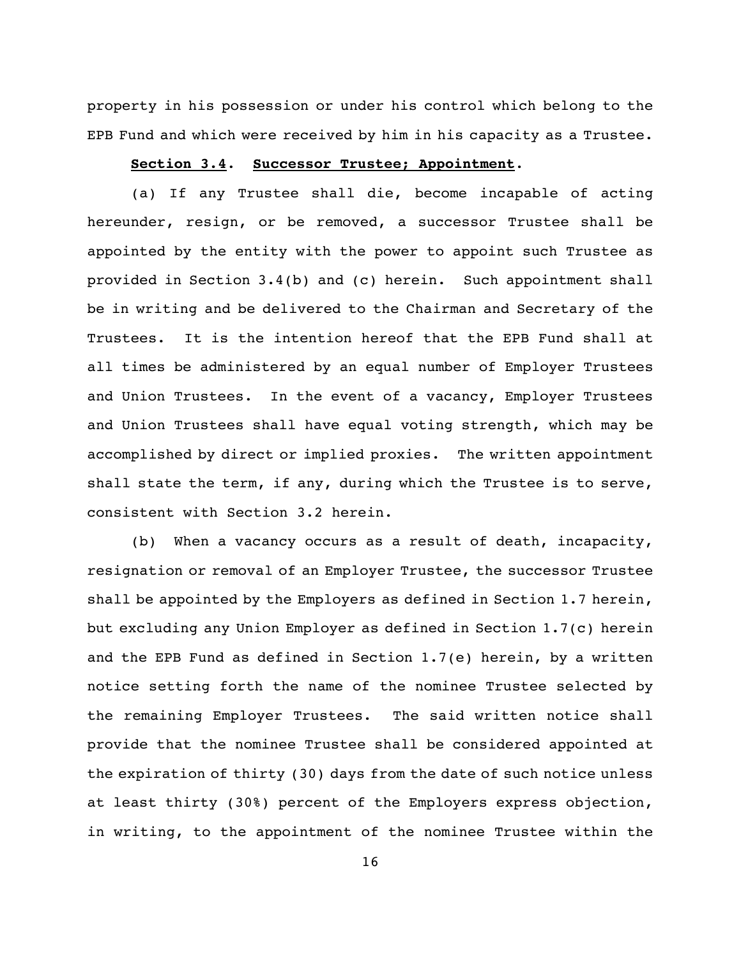property in his possession or under his control which belong to the EPB Fund and which were received by him in his capacity as a Trustee.

#### **Section 3.4**. **Successor Trustee; Appointment**.

(a) If any Trustee shall die, become incapable of acting hereunder, resign, or be removed, a successor Trustee shall be appointed by the entity with the power to appoint such Trustee as provided in Section 3.4(b) and (c) herein. Such appointment shall be in writing and be delivered to the Chairman and Secretary of the Trustees. It is the intention hereof that the EPB Fund shall at all times be administered by an equal number of Employer Trustees and Union Trustees. In the event of a vacancy, Employer Trustees and Union Trustees shall have equal voting strength, which may be accomplished by direct or implied proxies. The written appointment shall state the term, if any, during which the Trustee is to serve, consistent with Section 3.2 herein.

(b) When a vacancy occurs as a result of death, incapacity, resignation or removal of an Employer Trustee, the successor Trustee shall be appointed by the Employers as defined in Section 1.7 herein, but excluding any Union Employer as defined in Section 1.7(c) herein and the EPB Fund as defined in Section 1.7(e) herein, by a written notice setting forth the name of the nominee Trustee selected by the remaining Employer Trustees. The said written notice shall provide that the nominee Trustee shall be considered appointed at the expiration of thirty (30) days from the date of such notice unless at least thirty (30%) percent of the Employers express objection, in writing, to the appointment of the nominee Trustee within the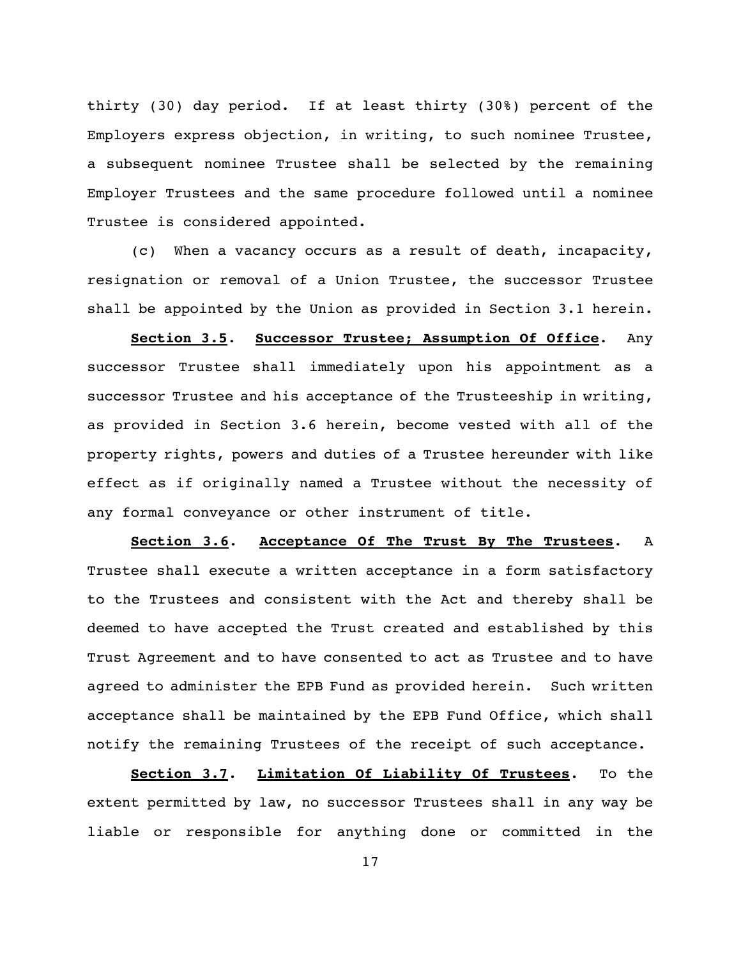thirty (30) day period. If at least thirty (30%) percent of the Employers express objection, in writing, to such nominee Trustee, a subsequent nominee Trustee shall be selected by the remaining Employer Trustees and the same procedure followed until a nominee Trustee is considered appointed.

(c) When a vacancy occurs as a result of death, incapacity, resignation or removal of a Union Trustee, the successor Trustee shall be appointed by the Union as provided in Section 3.1 herein.

**Section 3.5**. **Successor Trustee; Assumption Of Office**. Any successor Trustee shall immediately upon his appointment as a successor Trustee and his acceptance of the Trusteeship in writing, as provided in Section 3.6 herein, become vested with all of the property rights, powers and duties of a Trustee hereunder with like effect as if originally named a Trustee without the necessity of any formal conveyance or other instrument of title.

**Section 3.6**. **Acceptance Of The Trust By The Trustees**. A Trustee shall execute a written acceptance in a form satisfactory to the Trustees and consistent with the Act and thereby shall be deemed to have accepted the Trust created and established by this Trust Agreement and to have consented to act as Trustee and to have agreed to administer the EPB Fund as provided herein. Such written acceptance shall be maintained by the EPB Fund Office, which shall notify the remaining Trustees of the receipt of such acceptance.

**Section 3.7**. **Limitation Of Liability Of Trustees**. To the extent permitted by law, no successor Trustees shall in any way be liable or responsible for anything done or committed in the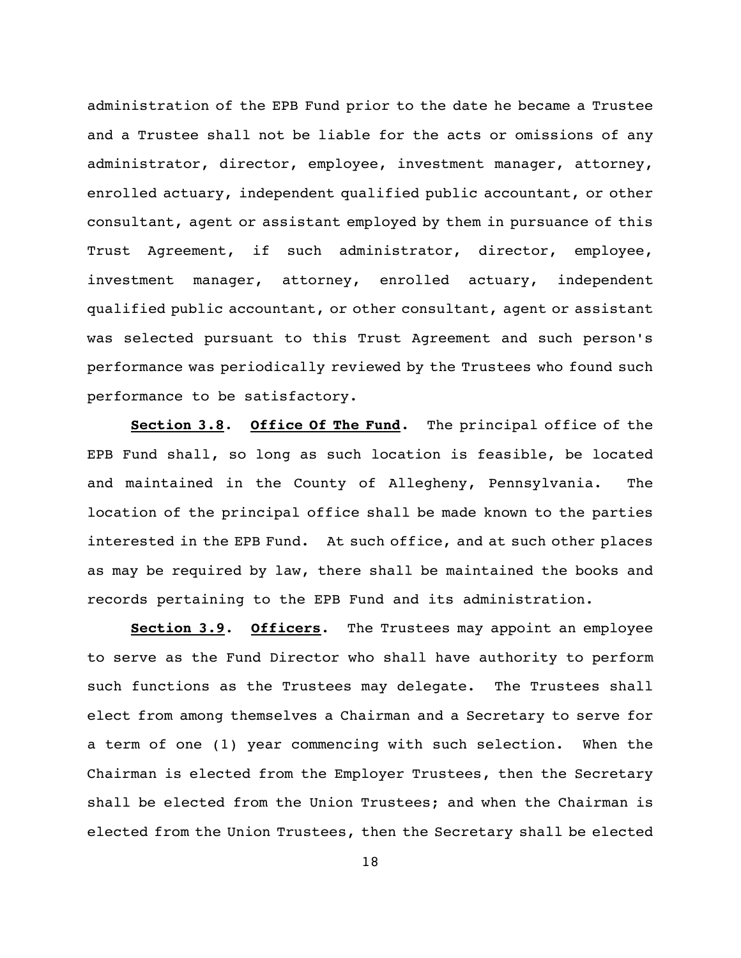administration of the EPB Fund prior to the date he became a Trustee and a Trustee shall not be liable for the acts or omissions of any administrator, director, employee, investment manager, attorney, enrolled actuary, independent qualified public accountant, or other consultant, agent or assistant employed by them in pursuance of this Trust Agreement, if such administrator, director, employee, investment manager, attorney, enrolled actuary, independent qualified public accountant, or other consultant, agent or assistant was selected pursuant to this Trust Agreement and such person's performance was periodically reviewed by the Trustees who found such performance to be satisfactory.

**Section 3.8**. **Office Of The Fund**. The principal office of the EPB Fund shall, so long as such location is feasible, be located and maintained in the County of Allegheny, Pennsylvania. The location of the principal office shall be made known to the parties interested in the EPB Fund. At such office, and at such other places as may be required by law, there shall be maintained the books and records pertaining to the EPB Fund and its administration.

**Section 3.9**. **Officers**. The Trustees may appoint an employee to serve as the Fund Director who shall have authority to perform such functions as the Trustees may delegate. The Trustees shall elect from among themselves a Chairman and a Secretary to serve for a term of one (1) year commencing with such selection. When the Chairman is elected from the Employer Trustees, then the Secretary shall be elected from the Union Trustees; and when the Chairman is elected from the Union Trustees, then the Secretary shall be elected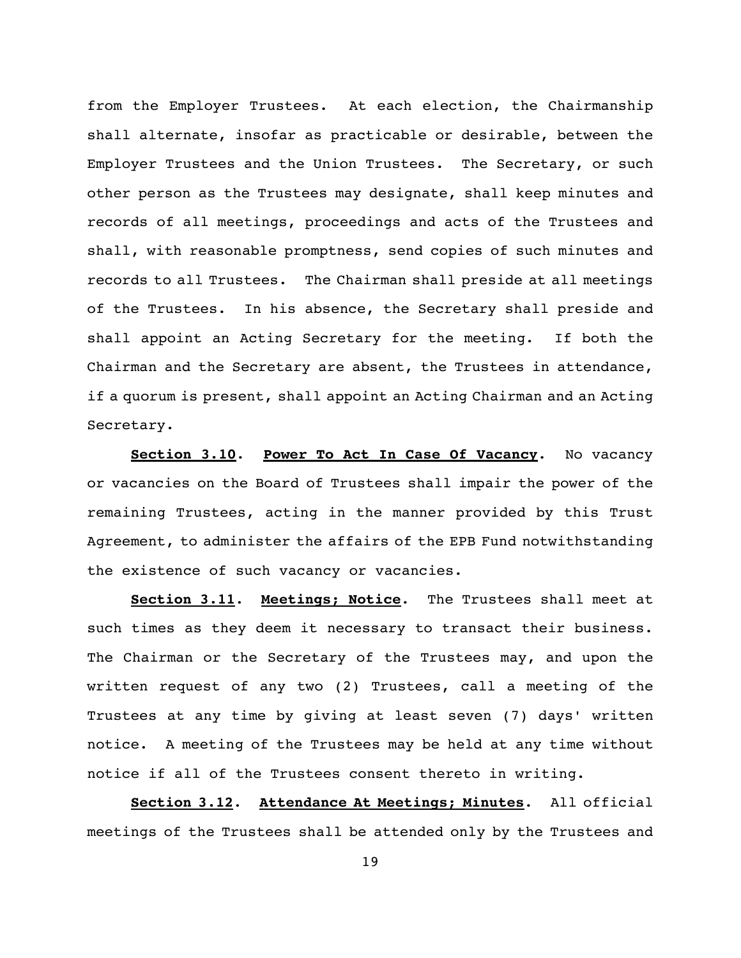from the Employer Trustees. At each election, the Chairmanship shall alternate, insofar as practicable or desirable, between the Employer Trustees and the Union Trustees. The Secretary, or such other person as the Trustees may designate, shall keep minutes and records of all meetings, proceedings and acts of the Trustees and shall, with reasonable promptness, send copies of such minutes and records to all Trustees. The Chairman shall preside at all meetings of the Trustees. In his absence, the Secretary shall preside and shall appoint an Acting Secretary for the meeting. If both the Chairman and the Secretary are absent, the Trustees in attendance, if a quorum is present, shall appoint an Acting Chairman and an Acting Secretary.

**Section 3.10**. **Power To Act In Case Of Vacancy**. No vacancy or vacancies on the Board of Trustees shall impair the power of the remaining Trustees, acting in the manner provided by this Trust Agreement, to administer the affairs of the EPB Fund notwithstanding the existence of such vacancy or vacancies.

**Section 3.11**. **Meetings; Notice**. The Trustees shall meet at such times as they deem it necessary to transact their business. The Chairman or the Secretary of the Trustees may, and upon the written request of any two (2) Trustees, call a meeting of the Trustees at any time by giving at least seven (7) days' written notice. A meeting of the Trustees may be held at any time without notice if all of the Trustees consent thereto in writing.

**Section 3.12**. **Attendance At Meetings; Minutes**. All official meetings of the Trustees shall be attended only by the Trustees and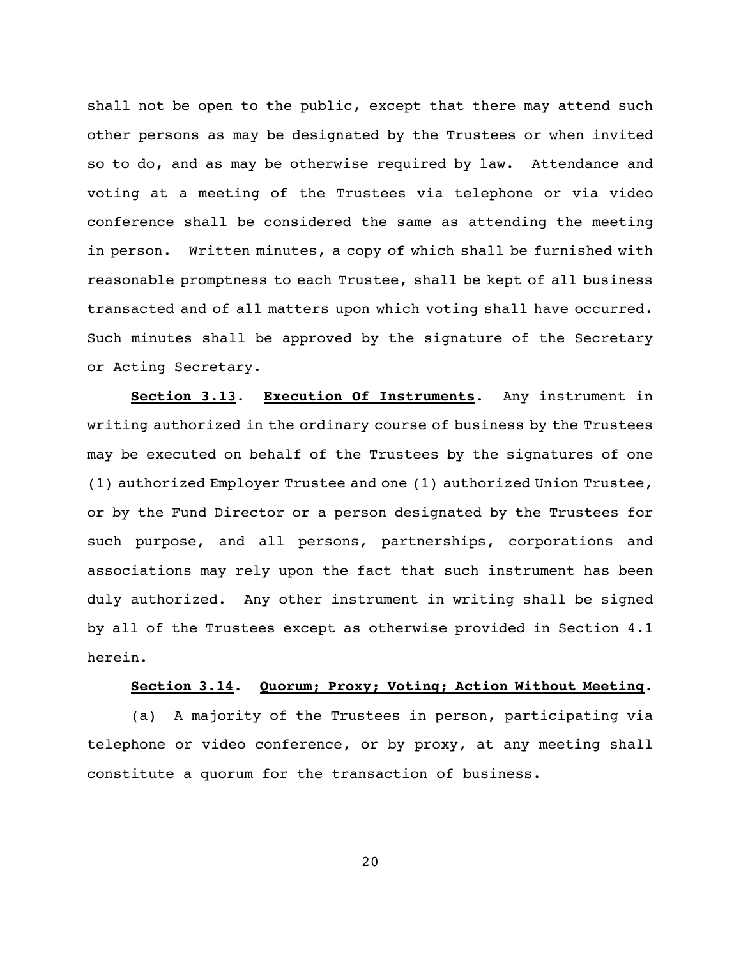shall not be open to the public, except that there may attend such other persons as may be designated by the Trustees or when invited so to do, and as may be otherwise required by law. Attendance and voting at a meeting of the Trustees via telephone or via video conference shall be considered the same as attending the meeting in person. Written minutes, a copy of which shall be furnished with reasonable promptness to each Trustee, shall be kept of all business transacted and of all matters upon which voting shall have occurred. Such minutes shall be approved by the signature of the Secretary or Acting Secretary.

**Section 3.13**. **Execution Of Instruments**. Any instrument in writing authorized in the ordinary course of business by the Trustees may be executed on behalf of the Trustees by the signatures of one (1) authorized Employer Trustee and one (1) authorized Union Trustee, or by the Fund Director or a person designated by the Trustees for such purpose, and all persons, partnerships, corporations and associations may rely upon the fact that such instrument has been duly authorized. Any other instrument in writing shall be signed by all of the Trustees except as otherwise provided in Section 4.1 herein.

### **Section 3.14**. **Quorum; Proxy; Voting; Action Without Meeting**.

(a) A majority of the Trustees in person, participating via telephone or video conference, or by proxy, at any meeting shall constitute a quorum for the transaction of business.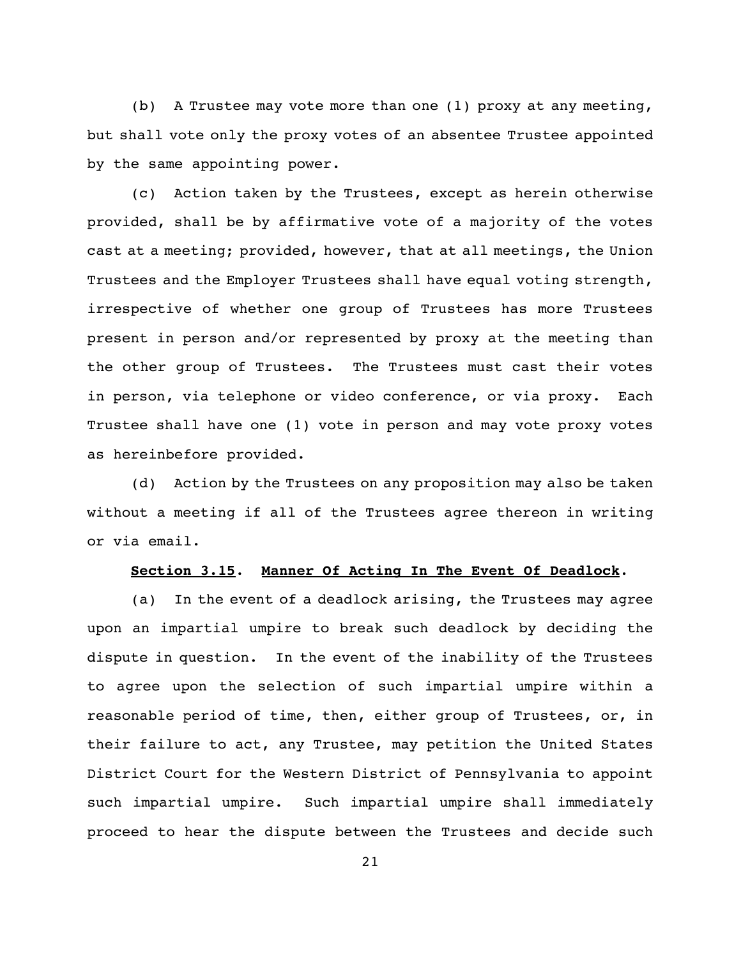(b) A Trustee may vote more than one (1) proxy at any meeting, but shall vote only the proxy votes of an absentee Trustee appointed by the same appointing power.

(c) Action taken by the Trustees, except as herein otherwise provided, shall be by affirmative vote of a majority of the votes cast at a meeting; provided, however, that at all meetings, the Union Trustees and the Employer Trustees shall have equal voting strength, irrespective of whether one group of Trustees has more Trustees present in person and/or represented by proxy at the meeting than the other group of Trustees. The Trustees must cast their votes in person, via telephone or video conference, or via proxy. Each Trustee shall have one (1) vote in person and may vote proxy votes as hereinbefore provided.

(d) Action by the Trustees on any proposition may also be taken without a meeting if all of the Trustees agree thereon in writing or via email.

### **Section 3.15**. **Manner Of Acting In The Event Of Deadlock**.

(a) In the event of a deadlock arising, the Trustees may agree upon an impartial umpire to break such deadlock by deciding the dispute in question. In the event of the inability of the Trustees to agree upon the selection of such impartial umpire within a reasonable period of time, then, either group of Trustees, or, in their failure to act, any Trustee, may petition the United States District Court for the Western District of Pennsylvania to appoint such impartial umpire. Such impartial umpire shall immediately proceed to hear the dispute between the Trustees and decide such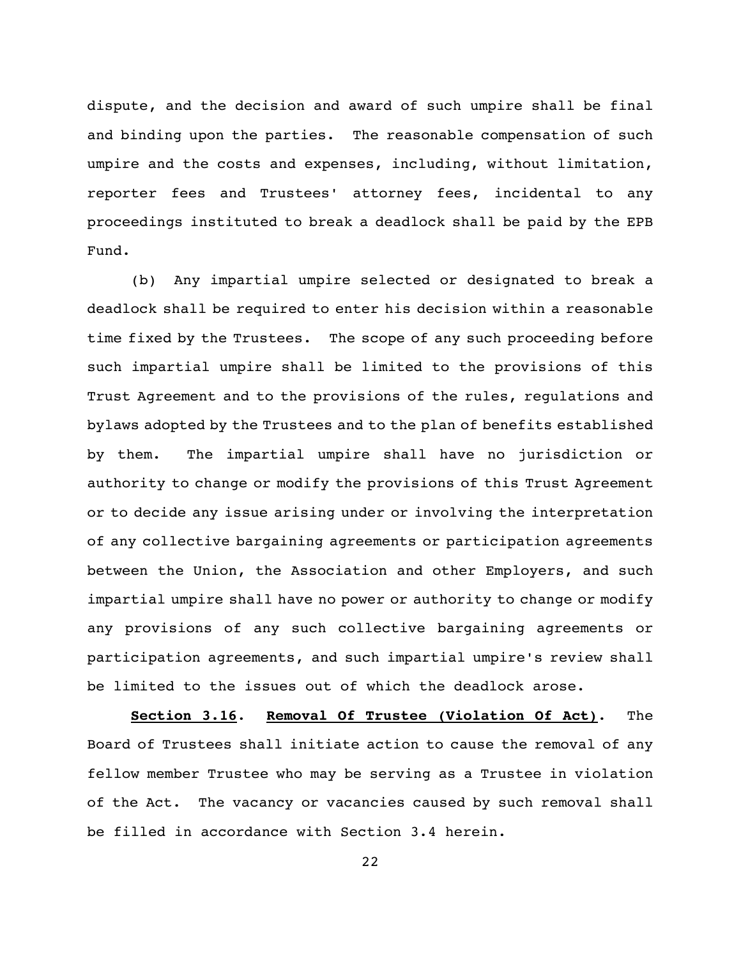dispute, and the decision and award of such umpire shall be final and binding upon the parties. The reasonable compensation of such umpire and the costs and expenses, including, without limitation, reporter fees and Trustees' attorney fees, incidental to any proceedings instituted to break a deadlock shall be paid by the EPB Fund.

(b) Any impartial umpire selected or designated to break a deadlock shall be required to enter his decision within a reasonable time fixed by the Trustees. The scope of any such proceeding before such impartial umpire shall be limited to the provisions of this Trust Agreement and to the provisions of the rules, regulations and bylaws adopted by the Trustees and to the plan of benefits established by them. The impartial umpire shall have no jurisdiction or authority to change or modify the provisions of this Trust Agreement or to decide any issue arising under or involving the interpretation of any collective bargaining agreements or participation agreements between the Union, the Association and other Employers, and such impartial umpire shall have no power or authority to change or modify any provisions of any such collective bargaining agreements or participation agreements, and such impartial umpire's review shall be limited to the issues out of which the deadlock arose.

**Section 3.16**. **Removal Of Trustee (Violation Of Act)**. The Board of Trustees shall initiate action to cause the removal of any fellow member Trustee who may be serving as a Trustee in violation of the Act. The vacancy or vacancies caused by such removal shall be filled in accordance with Section 3.4 herein.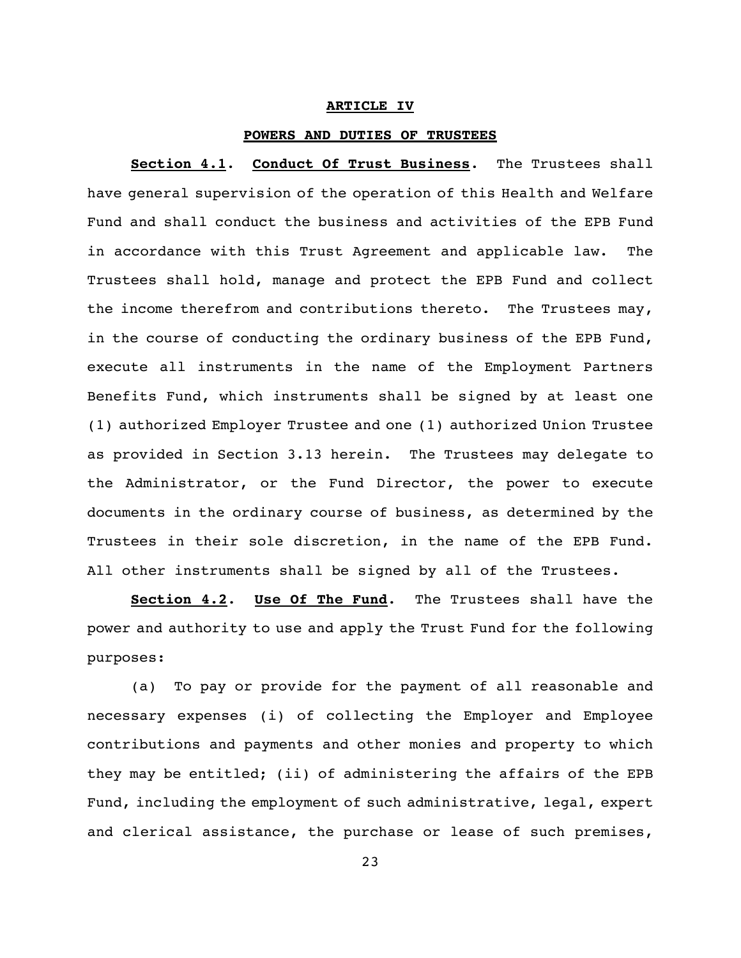#### **ARTICLE IV**

### **POWERS AND DUTIES OF TRUSTEES**

**Section 4.1**. **Conduct Of Trust Business**. The Trustees shall have general supervision of the operation of this Health and Welfare Fund and shall conduct the business and activities of the EPB Fund in accordance with this Trust Agreement and applicable law. The Trustees shall hold, manage and protect the EPB Fund and collect the income therefrom and contributions thereto. The Trustees may, in the course of conducting the ordinary business of the EPB Fund, execute all instruments in the name of the Employment Partners Benefits Fund, which instruments shall be signed by at least one (1) authorized Employer Trustee and one (1) authorized Union Trustee as provided in Section 3.13 herein. The Trustees may delegate to the Administrator, or the Fund Director, the power to execute documents in the ordinary course of business, as determined by the Trustees in their sole discretion, in the name of the EPB Fund. All other instruments shall be signed by all of the Trustees.

**Section 4.2**. **Use Of The Fund**. The Trustees shall have the power and authority to use and apply the Trust Fund for the following purposes:

(a) To pay or provide for the payment of all reasonable and necessary expenses (i) of collecting the Employer and Employee contributions and payments and other monies and property to which they may be entitled; (ii) of administering the affairs of the EPB Fund, including the employment of such administrative, legal, expert and clerical assistance, the purchase or lease of such premises,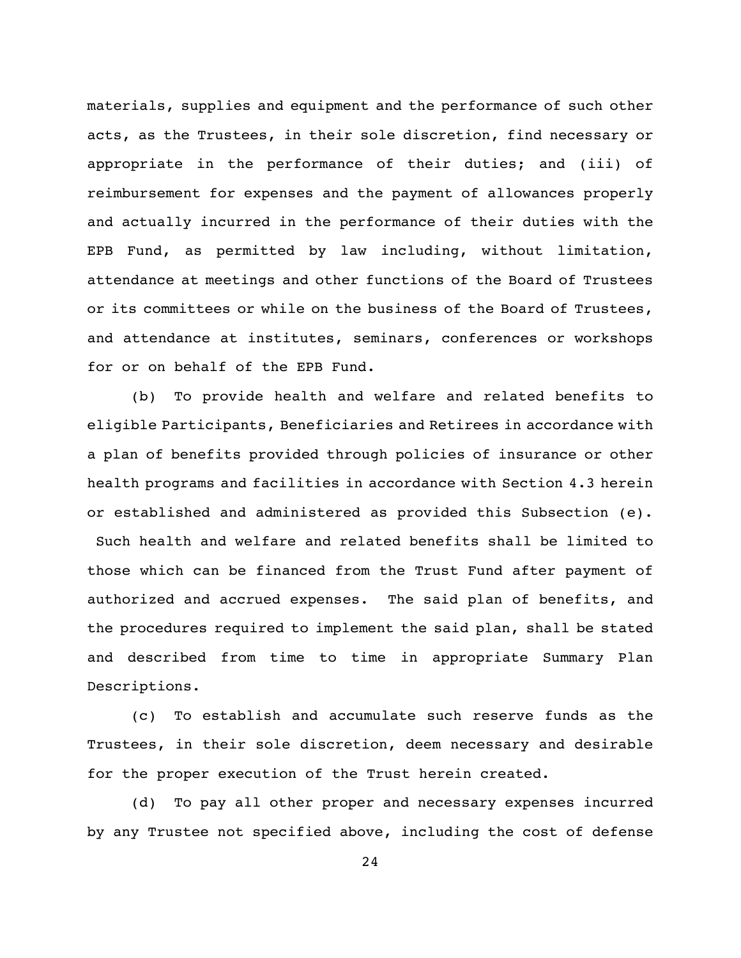materials, supplies and equipment and the performance of such other acts, as the Trustees, in their sole discretion, find necessary or appropriate in the performance of their duties; and (iii) of reimbursement for expenses and the payment of allowances properly and actually incurred in the performance of their duties with the EPB Fund, as permitted by law including, without limitation, attendance at meetings and other functions of the Board of Trustees or its committees or while on the business of the Board of Trustees, and attendance at institutes, seminars, conferences or workshops for or on behalf of the EPB Fund.

(b) To provide health and welfare and related benefits to eligible Participants, Beneficiaries and Retirees in accordance with a plan of benefits provided through policies of insurance or other health programs and facilities in accordance with Section 4.3 herein or established and administered as provided this Subsection (e). Such health and welfare and related benefits shall be limited to those which can be financed from the Trust Fund after payment of authorized and accrued expenses. The said plan of benefits, and the procedures required to implement the said plan, shall be stated and described from time to time in appropriate Summary Plan Descriptions.

(c) To establish and accumulate such reserve funds as the Trustees, in their sole discretion, deem necessary and desirable for the proper execution of the Trust herein created.

(d) To pay all other proper and necessary expenses incurred by any Trustee not specified above, including the cost of defense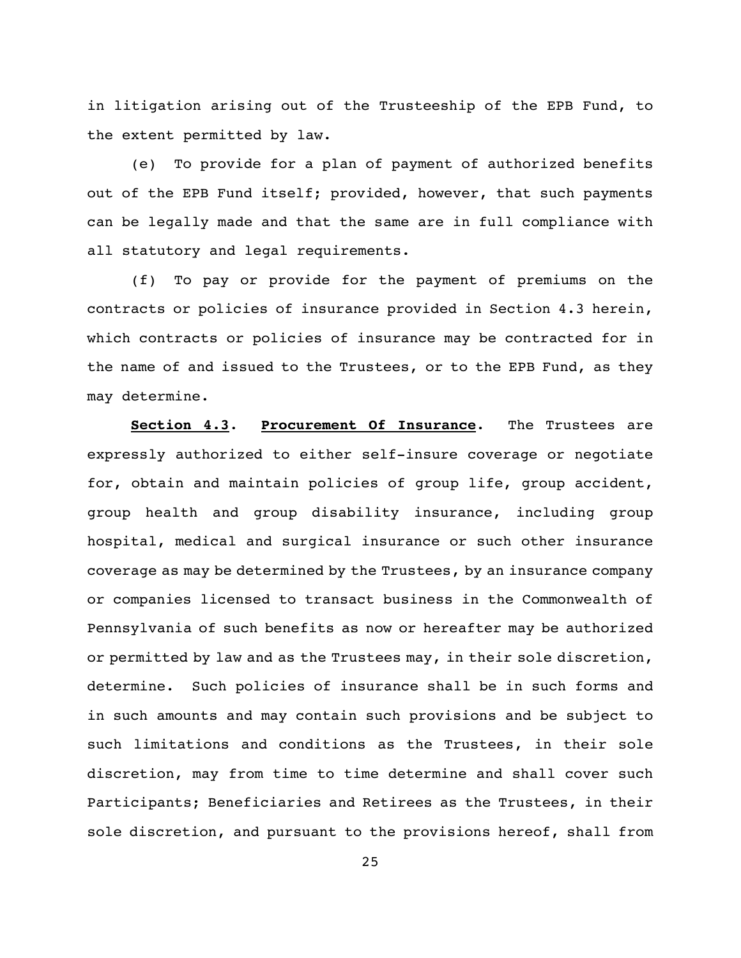in litigation arising out of the Trusteeship of the EPB Fund, to the extent permitted by law.

(e) To provide for a plan of payment of authorized benefits out of the EPB Fund itself; provided, however, that such payments can be legally made and that the same are in full compliance with all statutory and legal requirements.

(f) To pay or provide for the payment of premiums on the contracts or policies of insurance provided in Section 4.3 herein, which contracts or policies of insurance may be contracted for in the name of and issued to the Trustees, or to the EPB Fund, as they may determine.

**Section 4.3**. **Procurement Of Insurance**. The Trustees are expressly authorized to either self-insure coverage or negotiate for, obtain and maintain policies of group life, group accident, group health and group disability insurance, including group hospital, medical and surgical insurance or such other insurance coverage as may be determined by the Trustees, by an insurance company or companies licensed to transact business in the Commonwealth of Pennsylvania of such benefits as now or hereafter may be authorized or permitted by law and as the Trustees may, in their sole discretion, determine. Such policies of insurance shall be in such forms and in such amounts and may contain such provisions and be subject to such limitations and conditions as the Trustees, in their sole discretion, may from time to time determine and shall cover such Participants; Beneficiaries and Retirees as the Trustees, in their sole discretion, and pursuant to the provisions hereof, shall from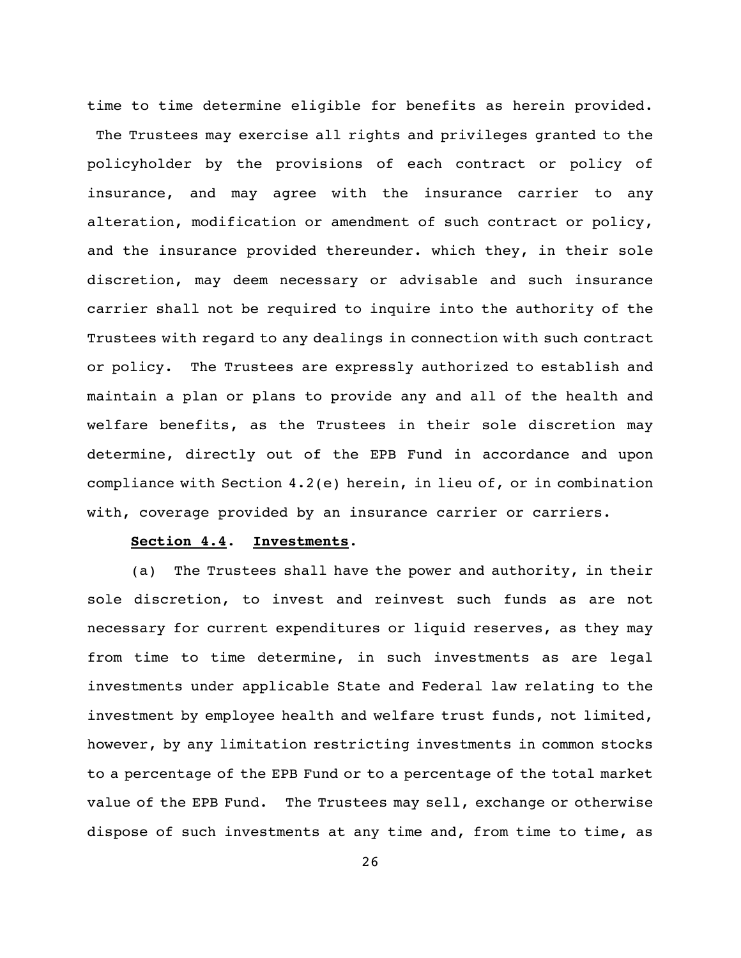time to time determine eligible for benefits as herein provided. The Trustees may exercise all rights and privileges granted to the policyholder by the provisions of each contract or policy of insurance, and may agree with the insurance carrier to any alteration, modification or amendment of such contract or policy, and the insurance provided thereunder. which they, in their sole discretion, may deem necessary or advisable and such insurance carrier shall not be required to inquire into the authority of the Trustees with regard to any dealings in connection with such contract or policy. The Trustees are expressly authorized to establish and maintain a plan or plans to provide any and all of the health and welfare benefits, as the Trustees in their sole discretion may determine, directly out of the EPB Fund in accordance and upon compliance with Section 4.2(e) herein, in lieu of, or in combination with, coverage provided by an insurance carrier or carriers.

### **Section 4.4**. **Investments**.

(a) The Trustees shall have the power and authority, in their sole discretion, to invest and reinvest such funds as are not necessary for current expenditures or liquid reserves, as they may from time to time determine, in such investments as are legal investments under applicable State and Federal law relating to the investment by employee health and welfare trust funds, not limited, however, by any limitation restricting investments in common stocks to a percentage of the EPB Fund or to a percentage of the total market value of the EPB Fund. The Trustees may sell, exchange or otherwise dispose of such investments at any time and, from time to time, as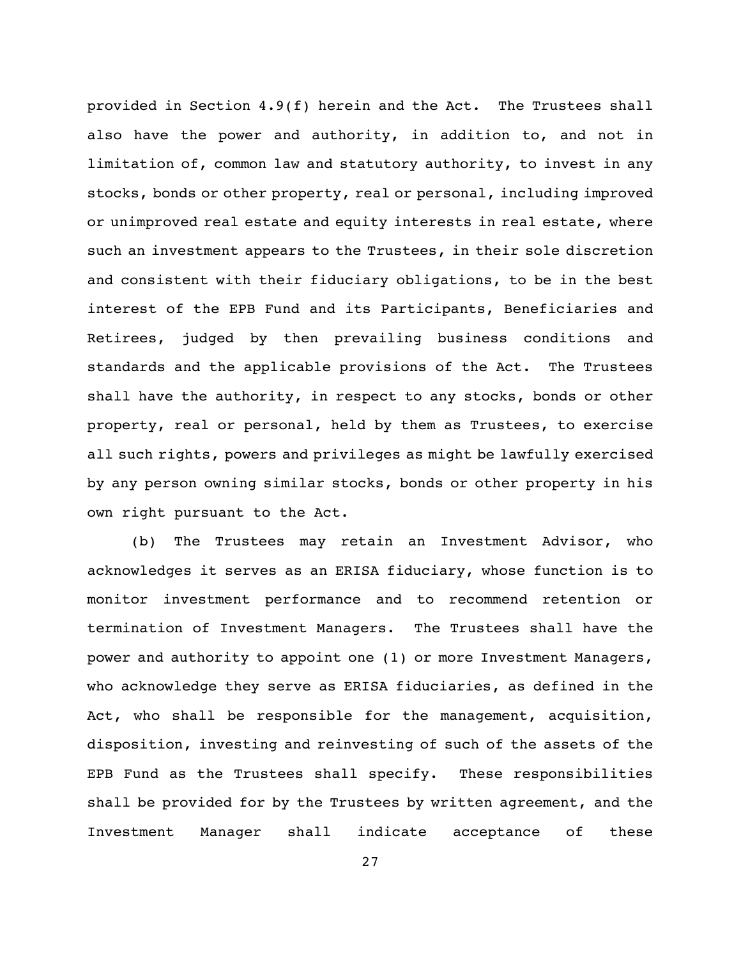provided in Section 4.9(f) herein and the Act. The Trustees shall also have the power and authority, in addition to, and not in limitation of, common law and statutory authority, to invest in any stocks, bonds or other property, real or personal, including improved or unimproved real estate and equity interests in real estate, where such an investment appears to the Trustees, in their sole discretion and consistent with their fiduciary obligations, to be in the best interest of the EPB Fund and its Participants, Beneficiaries and Retirees, judged by then prevailing business conditions and standards and the applicable provisions of the Act. The Trustees shall have the authority, in respect to any stocks, bonds or other property, real or personal, held by them as Trustees, to exercise all such rights, powers and privileges as might be lawfully exercised by any person owning similar stocks, bonds or other property in his own right pursuant to the Act.

(b) The Trustees may retain an Investment Advisor, who acknowledges it serves as an ERISA fiduciary, whose function is to monitor investment performance and to recommend retention or termination of Investment Managers. The Trustees shall have the power and authority to appoint one (1) or more Investment Managers, who acknowledge they serve as ERISA fiduciaries, as defined in the Act, who shall be responsible for the management, acquisition, disposition, investing and reinvesting of such of the assets of the EPB Fund as the Trustees shall specify. These responsibilities shall be provided for by the Trustees by written agreement, and the Investment Manager shall indicate acceptance of these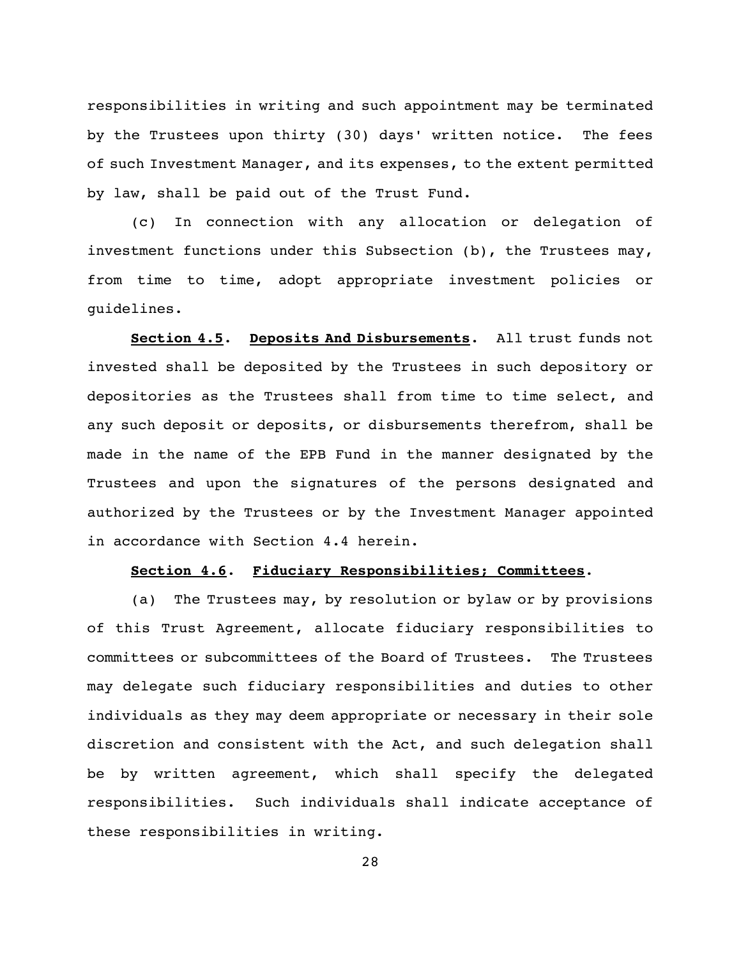responsibilities in writing and such appointment may be terminated by the Trustees upon thirty (30) days' written notice. The fees of such Investment Manager, and its expenses, to the extent permitted by law, shall be paid out of the Trust Fund.

(c) In connection with any allocation or delegation of investment functions under this Subsection (b), the Trustees may, from time to time, adopt appropriate investment policies or guidelines.

**Section 4.5**. **Deposits And Disbursements**. All trust funds not invested shall be deposited by the Trustees in such depository or depositories as the Trustees shall from time to time select, and any such deposit or deposits, or disbursements therefrom, shall be made in the name of the EPB Fund in the manner designated by the Trustees and upon the signatures of the persons designated and authorized by the Trustees or by the Investment Manager appointed in accordance with Section 4.4 herein.

### **Section 4.6**. **Fiduciary Responsibilities; Committees**.

(a) The Trustees may, by resolution or bylaw or by provisions of this Trust Agreement, allocate fiduciary responsibilities to committees or subcommittees of the Board of Trustees. The Trustees may delegate such fiduciary responsibilities and duties to other individuals as they may deem appropriate or necessary in their sole discretion and consistent with the Act, and such delegation shall be by written agreement, which shall specify the delegated responsibilities. Such individuals shall indicate acceptance of these responsibilities in writing.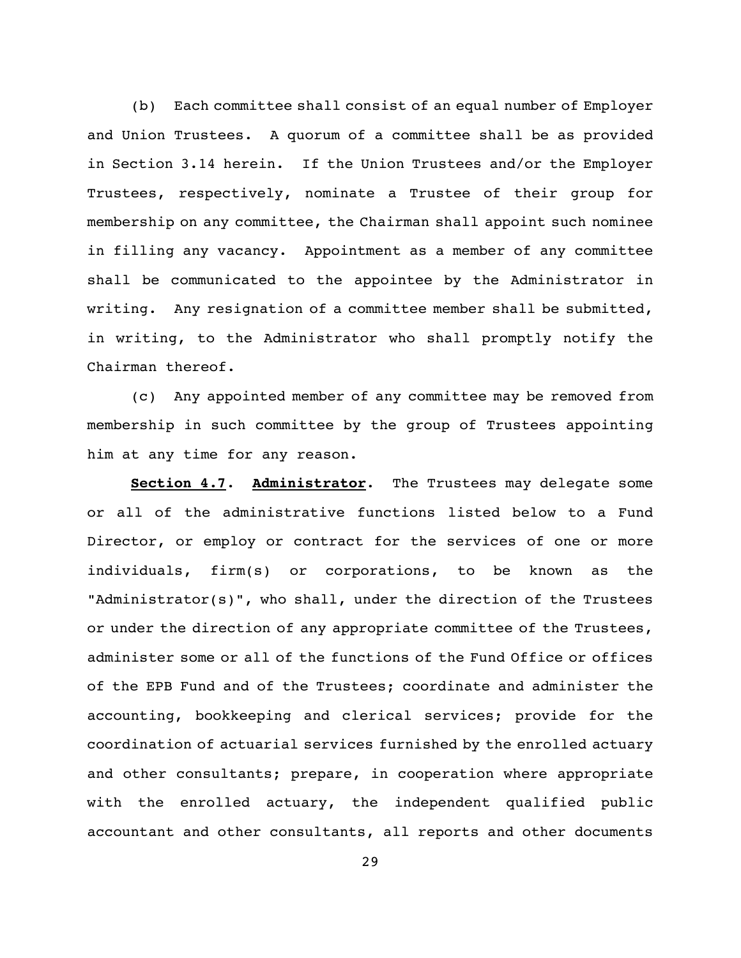(b) Each committee shall consist of an equal number of Employer and Union Trustees. A quorum of a committee shall be as provided in Section 3.14 herein. If the Union Trustees and/or the Employer Trustees, respectively, nominate a Trustee of their group for membership on any committee, the Chairman shall appoint such nominee in filling any vacancy. Appointment as a member of any committee shall be communicated to the appointee by the Administrator in writing. Any resignation of a committee member shall be submitted, in writing, to the Administrator who shall promptly notify the Chairman thereof.

(c) Any appointed member of any committee may be removed from membership in such committee by the group of Trustees appointing him at any time for any reason.

**Section 4.7**. **Administrator**. The Trustees may delegate some or all of the administrative functions listed below to a Fund Director, or employ or contract for the services of one or more individuals, firm(s) or corporations, to be known as the "Administrator(s)", who shall, under the direction of the Trustees or under the direction of any appropriate committee of the Trustees, administer some or all of the functions of the Fund Office or offices of the EPB Fund and of the Trustees; coordinate and administer the accounting, bookkeeping and clerical services; provide for the coordination of actuarial services furnished by the enrolled actuary and other consultants; prepare, in cooperation where appropriate with the enrolled actuary, the independent qualified public accountant and other consultants, all reports and other documents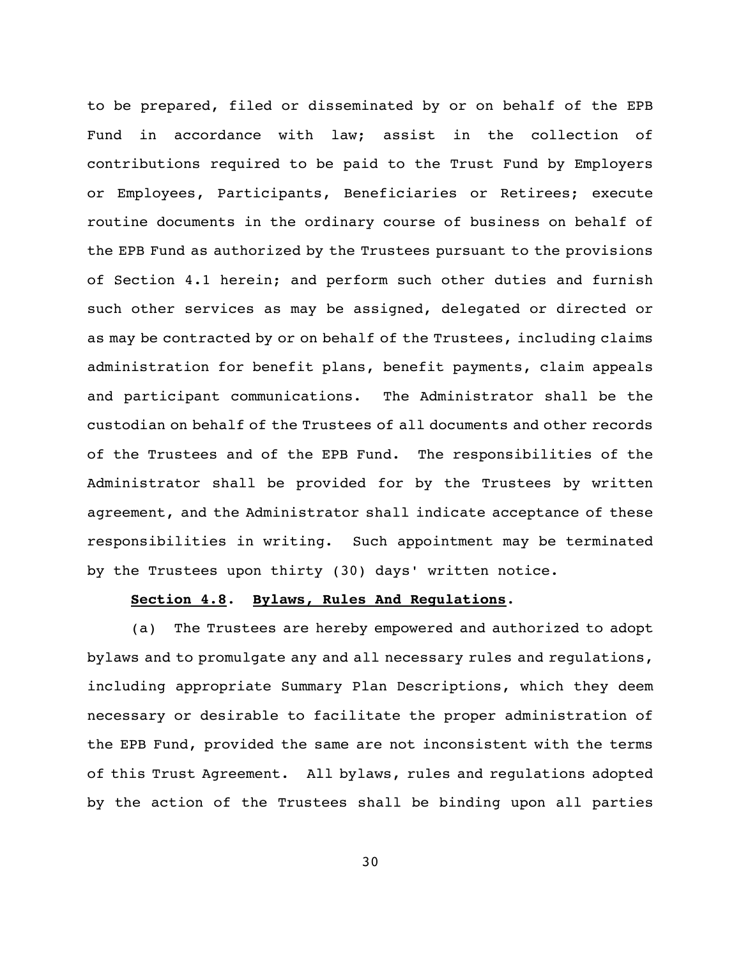to be prepared, filed or disseminated by or on behalf of the EPB Fund in accordance with law; assist in the collection of contributions required to be paid to the Trust Fund by Employers or Employees, Participants, Beneficiaries or Retirees; execute routine documents in the ordinary course of business on behalf of the EPB Fund as authorized by the Trustees pursuant to the provisions of Section 4.1 herein; and perform such other duties and furnish such other services as may be assigned, delegated or directed or as may be contracted by or on behalf of the Trustees, including claims administration for benefit plans, benefit payments, claim appeals and participant communications. The Administrator shall be the custodian on behalf of the Trustees of all documents and other records of the Trustees and of the EPB Fund. The responsibilities of the Administrator shall be provided for by the Trustees by written agreement, and the Administrator shall indicate acceptance of these responsibilities in writing. Such appointment may be terminated by the Trustees upon thirty (30) days' written notice.

# **Section 4.8**. **Bylaws, Rules And Regulations**.

(a) The Trustees are hereby empowered and authorized to adopt bylaws and to promulgate any and all necessary rules and regulations, including appropriate Summary Plan Descriptions, which they deem necessary or desirable to facilitate the proper administration of the EPB Fund, provided the same are not inconsistent with the terms of this Trust Agreement. All bylaws, rules and regulations adopted by the action of the Trustees shall be binding upon all parties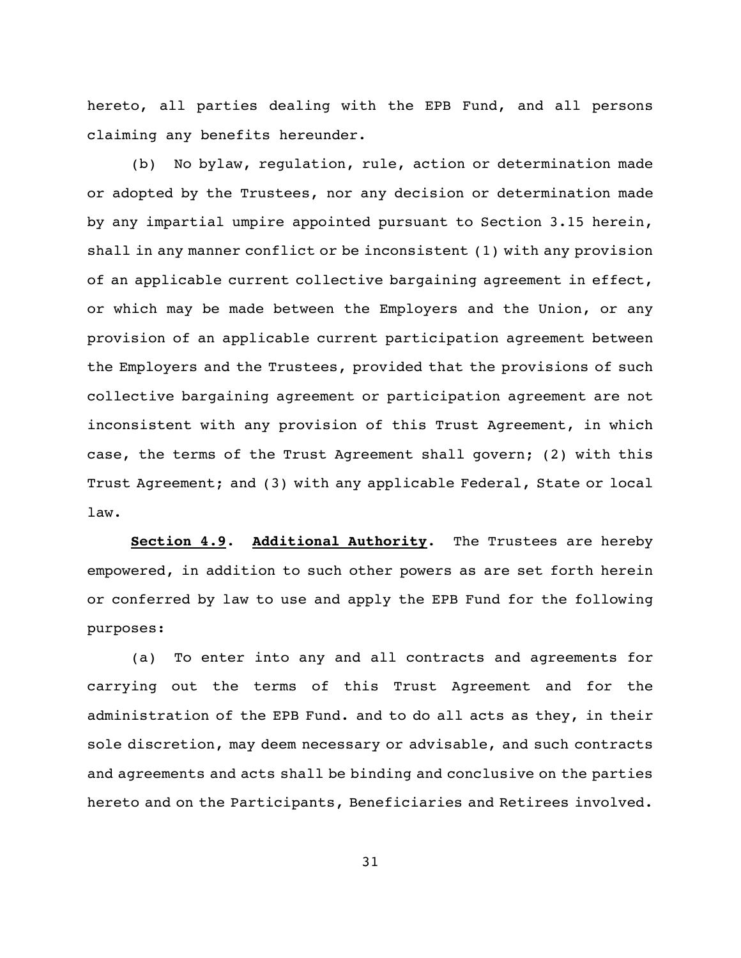hereto, all parties dealing with the EPB Fund, and all persons claiming any benefits hereunder.

(b) No bylaw, regulation, rule, action or determination made or adopted by the Trustees, nor any decision or determination made by any impartial umpire appointed pursuant to Section 3.15 herein, shall in any manner conflict or be inconsistent (1) with any provision of an applicable current collective bargaining agreement in effect, or which may be made between the Employers and the Union, or any provision of an applicable current participation agreement between the Employers and the Trustees, provided that the provisions of such collective bargaining agreement or participation agreement are not inconsistent with any provision of this Trust Agreement, in which case, the terms of the Trust Agreement shall govern; (2) with this Trust Agreement; and (3) with any applicable Federal, State or local law.

**Section 4.9**. **Additional Authority**. The Trustees are hereby empowered, in addition to such other powers as are set forth herein or conferred by law to use and apply the EPB Fund for the following purposes:

(a) To enter into any and all contracts and agreements for carrying out the terms of this Trust Agreement and for the administration of the EPB Fund. and to do all acts as they, in their sole discretion, may deem necessary or advisable, and such contracts and agreements and acts shall be binding and conclusive on the parties hereto and on the Participants, Beneficiaries and Retirees involved.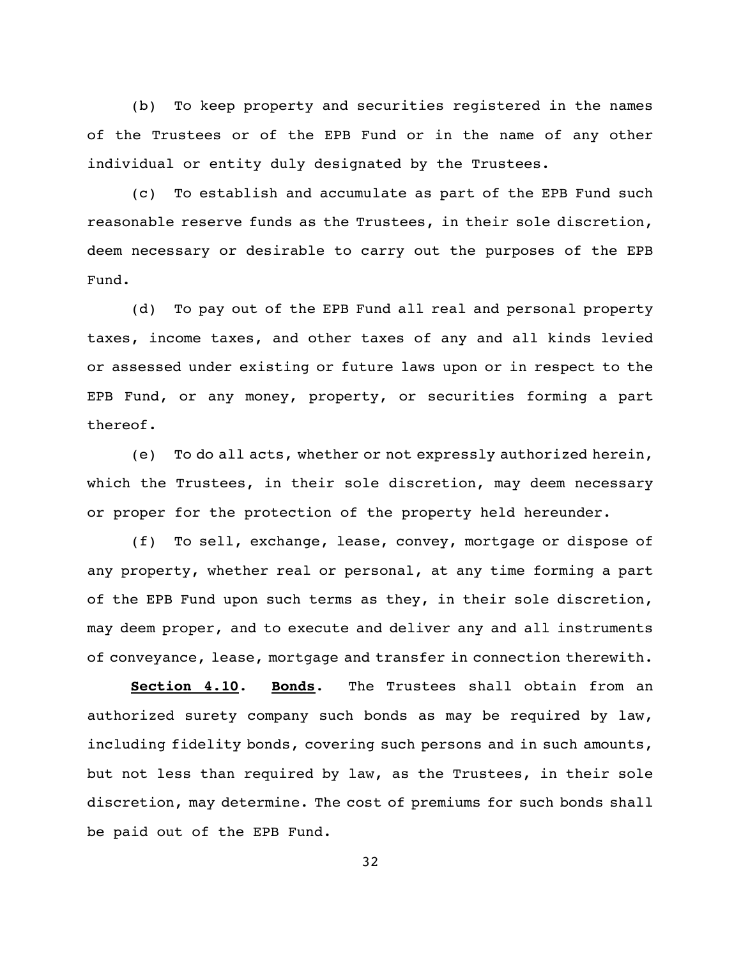(b) To keep property and securities registered in the names of the Trustees or of the EPB Fund or in the name of any other individual or entity duly designated by the Trustees.

(c) To establish and accumulate as part of the EPB Fund such reasonable reserve funds as the Trustees, in their sole discretion, deem necessary or desirable to carry out the purposes of the EPB Fund.

(d) To pay out of the EPB Fund all real and personal property taxes, income taxes, and other taxes of any and all kinds levied or assessed under existing or future laws upon or in respect to the EPB Fund, or any money, property, or securities forming a part thereof.

(e) To do all acts, whether or not expressly authorized herein, which the Trustees, in their sole discretion, may deem necessary or proper for the protection of the property held hereunder.

(f) To sell, exchange, lease, convey, mortgage or dispose of any property, whether real or personal, at any time forming a part of the EPB Fund upon such terms as they, in their sole discretion, may deem proper, and to execute and deliver any and all instruments of conveyance, lease, mortgage and transfer in connection therewith.

**Section 4.10**. **Bonds**. The Trustees shall obtain from an authorized surety company such bonds as may be required by law, including fidelity bonds, covering such persons and in such amounts, but not less than required by law, as the Trustees, in their sole discretion, may determine. The cost of premiums for such bonds shall be paid out of the EPB Fund.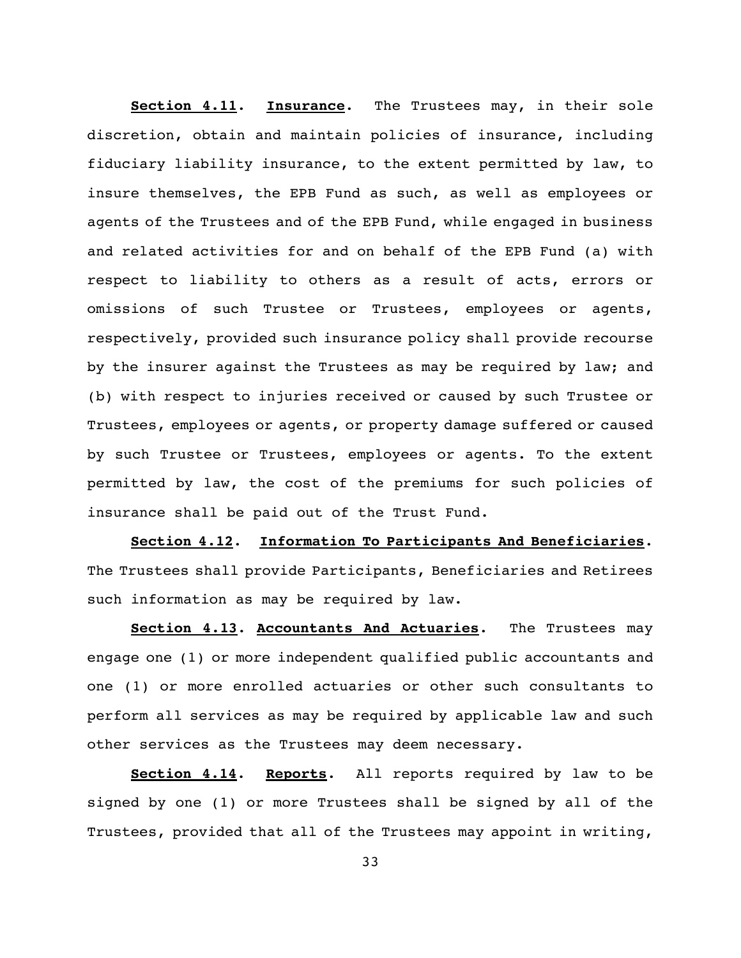**Section 4.11**. **Insurance**. The Trustees may, in their sole discretion, obtain and maintain policies of insurance, including fiduciary liability insurance, to the extent permitted by law, to insure themselves, the EPB Fund as such, as well as employees or agents of the Trustees and of the EPB Fund, while engaged in business and related activities for and on behalf of the EPB Fund (a) with respect to liability to others as a result of acts, errors or omissions of such Trustee or Trustees, employees or agents, respectively, provided such insurance policy shall provide recourse by the insurer against the Trustees as may be required by law; and (b) with respect to injuries received or caused by such Trustee or Trustees, employees or agents, or property damage suffered or caused by such Trustee or Trustees, employees or agents. To the extent permitted by law, the cost of the premiums for such policies of insurance shall be paid out of the Trust Fund.

**Section 4.12**. **Information To Participants And Beneficiaries**. The Trustees shall provide Participants, Beneficiaries and Retirees such information as may be required by law.

**Section 4.13**. **Accountants And Actuaries**. The Trustees may engage one (1) or more independent qualified public accountants and one (1) or more enrolled actuaries or other such consultants to perform all services as may be required by applicable law and such other services as the Trustees may deem necessary.

**Section 4.14**. **Reports**. All reports required by law to be signed by one (1) or more Trustees shall be signed by all of the Trustees, provided that all of the Trustees may appoint in writing,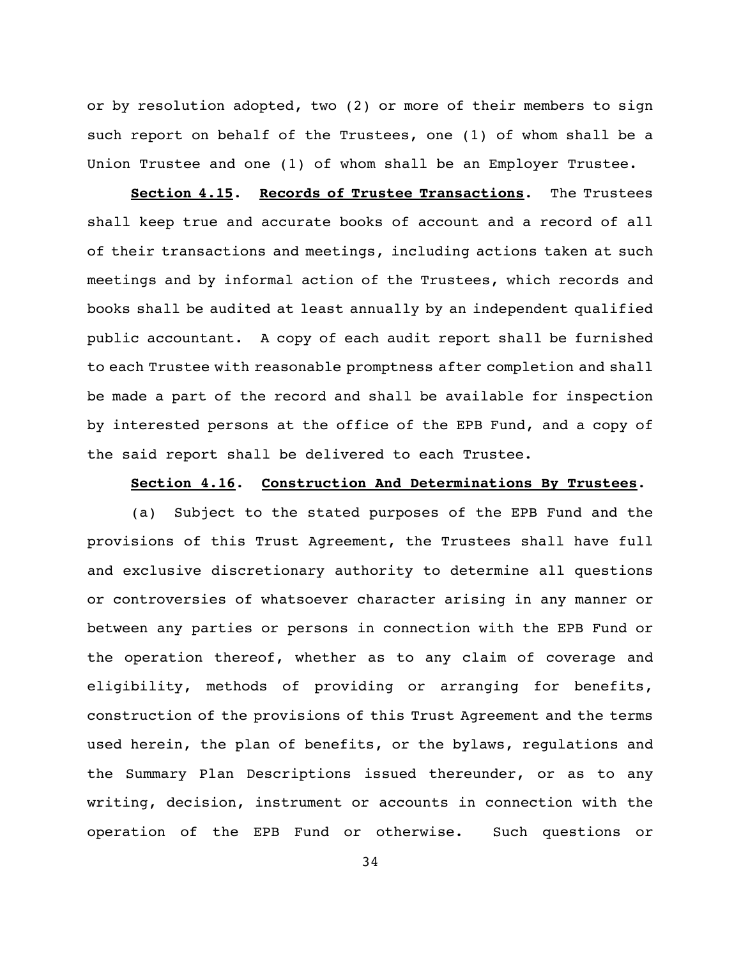or by resolution adopted, two (2) or more of their members to sign such report on behalf of the Trustees, one (1) of whom shall be a Union Trustee and one (1) of whom shall be an Employer Trustee.

**Section 4.15**. **Records of Trustee Transactions**. The Trustees shall keep true and accurate books of account and a record of all of their transactions and meetings, including actions taken at such meetings and by informal action of the Trustees, which records and books shall be audited at least annually by an independent qualified public accountant. A copy of each audit report shall be furnished to each Trustee with reasonable promptness after completion and shall be made a part of the record and shall be available for inspection by interested persons at the office of the EPB Fund, and a copy of the said report shall be delivered to each Trustee.

#### **Section 4.16**. **Construction And Determinations By Trustees**.

(a) Subject to the stated purposes of the EPB Fund and the provisions of this Trust Agreement, the Trustees shall have full and exclusive discretionary authority to determine all questions or controversies of whatsoever character arising in any manner or between any parties or persons in connection with the EPB Fund or the operation thereof, whether as to any claim of coverage and eligibility, methods of providing or arranging for benefits, construction of the provisions of this Trust Agreement and the terms used herein, the plan of benefits, or the bylaws, regulations and the Summary Plan Descriptions issued thereunder, or as to any writing, decision, instrument or accounts in connection with the operation of the EPB Fund or otherwise. Such questions or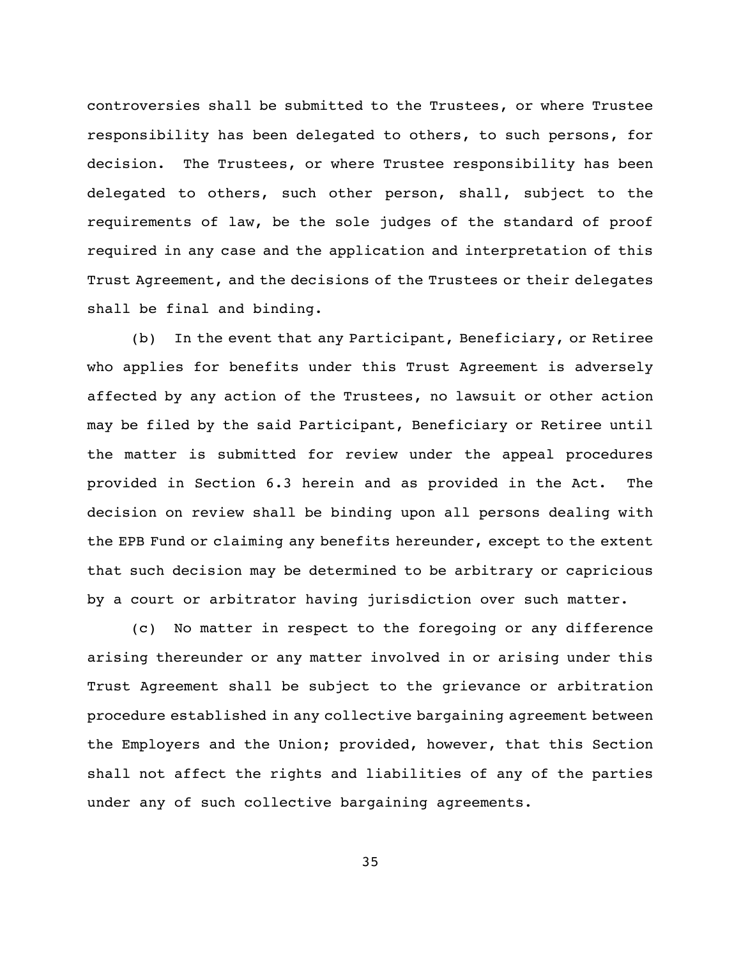controversies shall be submitted to the Trustees, or where Trustee responsibility has been delegated to others, to such persons, for decision. The Trustees, or where Trustee responsibility has been delegated to others, such other person, shall, subject to the requirements of law, be the sole judges of the standard of proof required in any case and the application and interpretation of this Trust Agreement, and the decisions of the Trustees or their delegates shall be final and binding.

(b) In the event that any Participant, Beneficiary, or Retiree who applies for benefits under this Trust Agreement is adversely affected by any action of the Trustees, no lawsuit or other action may be filed by the said Participant, Beneficiary or Retiree until the matter is submitted for review under the appeal procedures provided in Section 6.3 herein and as provided in the Act. The decision on review shall be binding upon all persons dealing with the EPB Fund or claiming any benefits hereunder, except to the extent that such decision may be determined to be arbitrary or capricious by a court or arbitrator having jurisdiction over such matter.

(c) No matter in respect to the foregoing or any difference arising thereunder or any matter involved in or arising under this Trust Agreement shall be subject to the grievance or arbitration procedure established in any collective bargaining agreement between the Employers and the Union; provided, however, that this Section shall not affect the rights and liabilities of any of the parties under any of such collective bargaining agreements.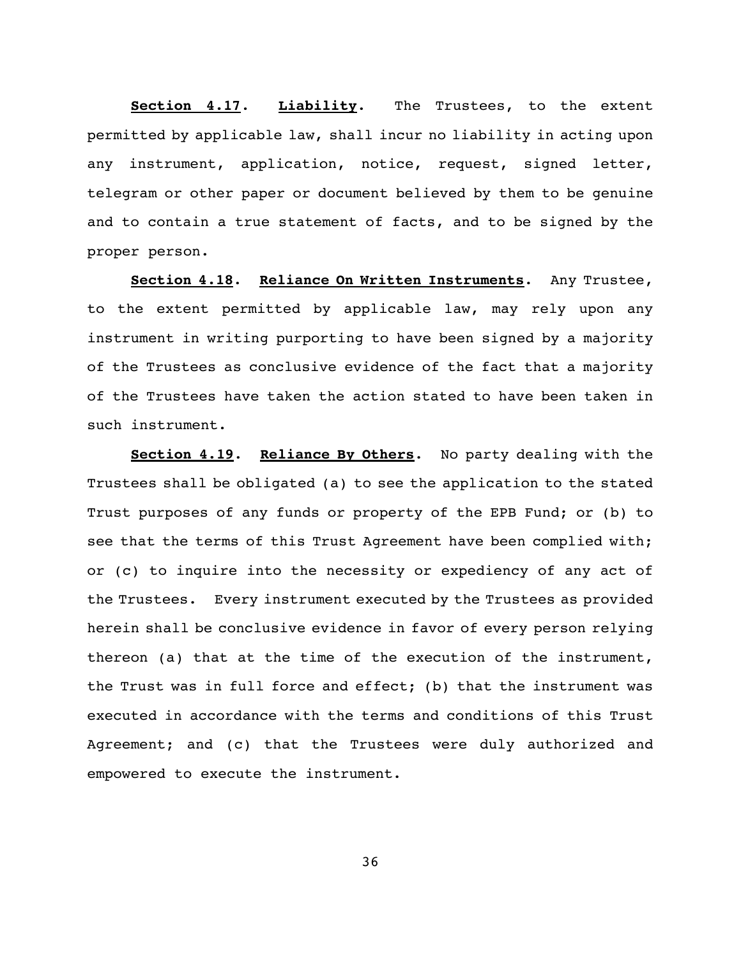**Section 4.17**. **Liability**. The Trustees, to the extent permitted by applicable law, shall incur no liability in acting upon any instrument, application, notice, request, signed letter, telegram or other paper or document believed by them to be genuine and to contain a true statement of facts, and to be signed by the proper person.

**Section 4.18**. **Reliance On Written Instruments**. Any Trustee, to the extent permitted by applicable law, may rely upon any instrument in writing purporting to have been signed by a majority of the Trustees as conclusive evidence of the fact that a majority of the Trustees have taken the action stated to have been taken in such instrument.

**Section 4.19**. **Reliance By Others**. No party dealing with the Trustees shall be obligated (a) to see the application to the stated Trust purposes of any funds or property of the EPB Fund; or (b) to see that the terms of this Trust Agreement have been complied with; or (c) to inquire into the necessity or expediency of any act of the Trustees. Every instrument executed by the Trustees as provided herein shall be conclusive evidence in favor of every person relying thereon (a) that at the time of the execution of the instrument, the Trust was in full force and effect; (b) that the instrument was executed in accordance with the terms and conditions of this Trust Agreement; and (c) that the Trustees were duly authorized and empowered to execute the instrument.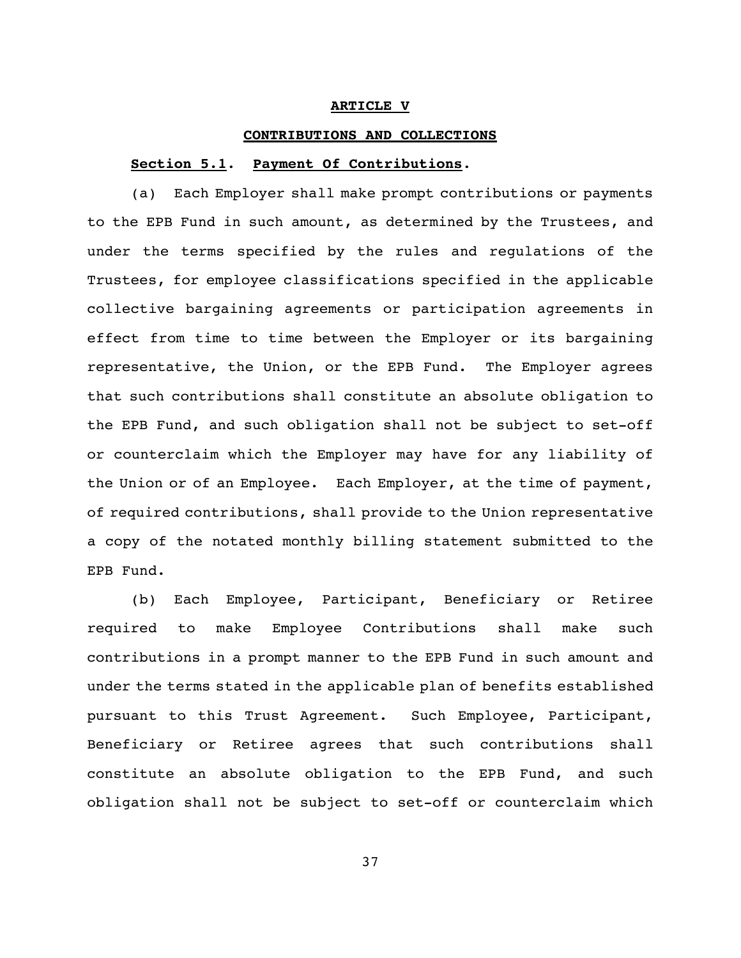#### **ARTICLE V**

#### **CONTRIBUTIONS AND COLLECTIONS**

#### **Section 5.1**. **Payment Of Contributions**.

(a) Each Employer shall make prompt contributions or payments to the EPB Fund in such amount, as determined by the Trustees, and under the terms specified by the rules and regulations of the Trustees, for employee classifications specified in the applicable collective bargaining agreements or participation agreements in effect from time to time between the Employer or its bargaining representative, the Union, or the EPB Fund. The Employer agrees that such contributions shall constitute an absolute obligation to the EPB Fund, and such obligation shall not be subject to set-off or counterclaim which the Employer may have for any liability of the Union or of an Employee. Each Employer, at the time of payment, of required contributions, shall provide to the Union representative a copy of the notated monthly billing statement submitted to the EPB Fund.

(b) Each Employee, Participant, Beneficiary or Retiree required to make Employee Contributions shall make such contributions in a prompt manner to the EPB Fund in such amount and under the terms stated in the applicable plan of benefits established pursuant to this Trust Agreement. Such Employee, Participant, Beneficiary or Retiree agrees that such contributions shall constitute an absolute obligation to the EPB Fund, and such obligation shall not be subject to set-off or counterclaim which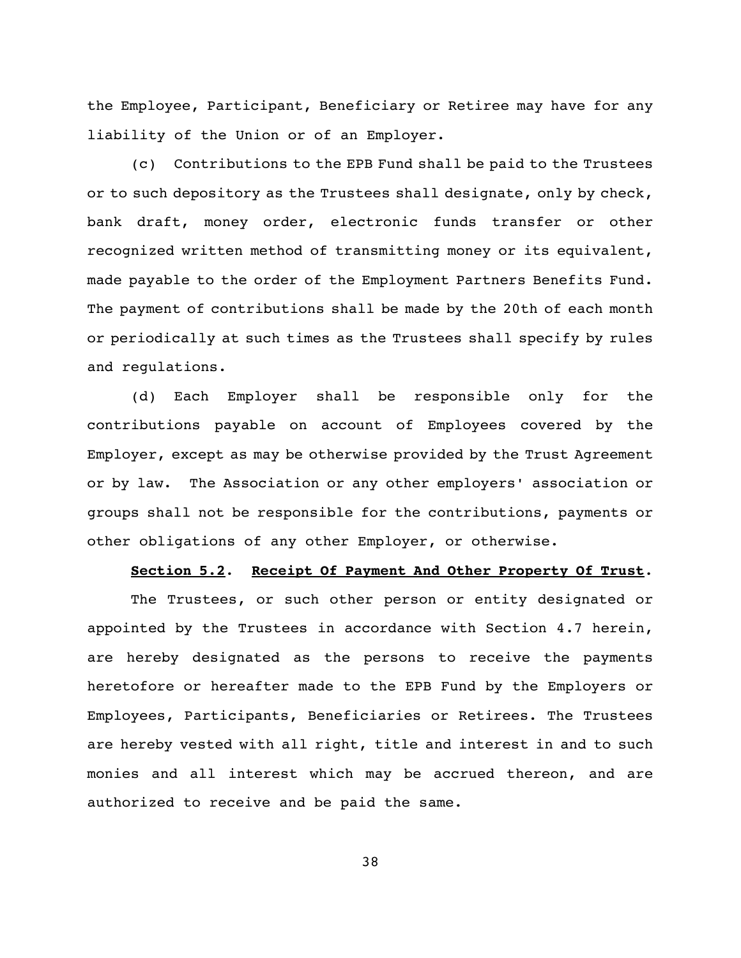the Employee, Participant, Beneficiary or Retiree may have for any liability of the Union or of an Employer.

(c) Contributions to the EPB Fund shall be paid to the Trustees or to such depository as the Trustees shall designate, only by check, bank draft, money order, electronic funds transfer or other recognized written method of transmitting money or its equivalent, made payable to the order of the Employment Partners Benefits Fund. The payment of contributions shall be made by the 20th of each month or periodically at such times as the Trustees shall specify by rules and regulations.

(d) Each Employer shall be responsible only for the contributions payable on account of Employees covered by the Employer, except as may be otherwise provided by the Trust Agreement or by law. The Association or any other employers' association or groups shall not be responsible for the contributions, payments or other obligations of any other Employer, or otherwise.

#### **Section 5.2**. **Receipt Of Payment And Other Property Of Trust**.

The Trustees, or such other person or entity designated or appointed by the Trustees in accordance with Section 4.7 herein, are hereby designated as the persons to receive the payments heretofore or hereafter made to the EPB Fund by the Employers or Employees, Participants, Beneficiaries or Retirees. The Trustees are hereby vested with all right, title and interest in and to such monies and all interest which may be accrued thereon, and are authorized to receive and be paid the same.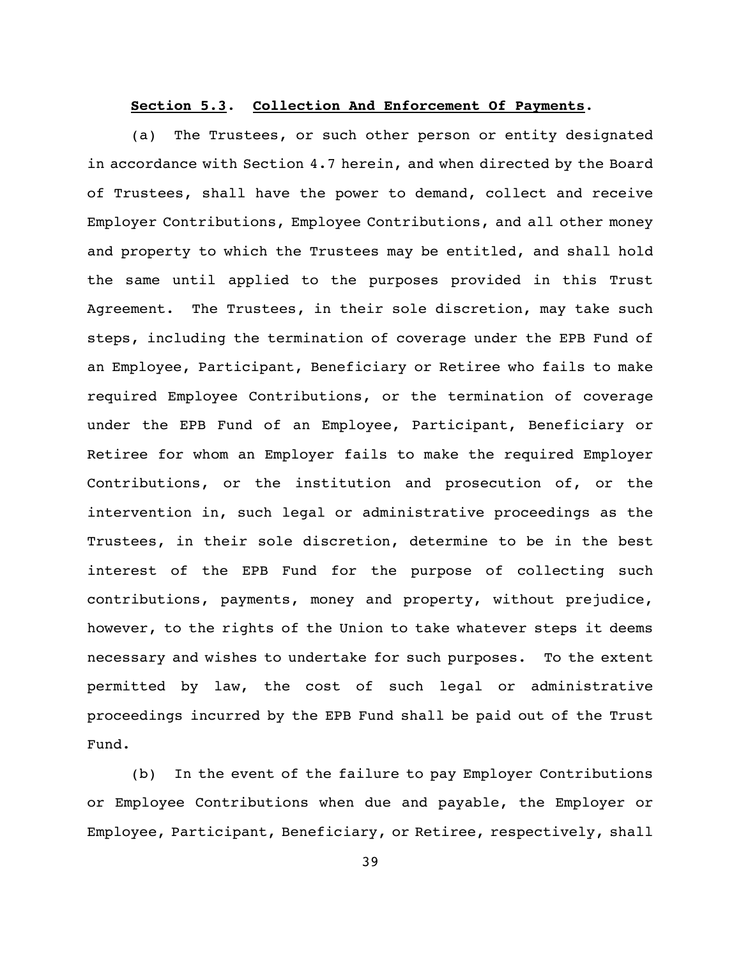### **Section 5.3**. **Collection And Enforcement Of Payments**.

(a) The Trustees, or such other person or entity designated in accordance with Section 4.7 herein, and when directed by the Board of Trustees, shall have the power to demand, collect and receive Employer Contributions, Employee Contributions, and all other money and property to which the Trustees may be entitled, and shall hold the same until applied to the purposes provided in this Trust Agreement. The Trustees, in their sole discretion, may take such steps, including the termination of coverage under the EPB Fund of an Employee, Participant, Beneficiary or Retiree who fails to make required Employee Contributions, or the termination of coverage under the EPB Fund of an Employee, Participant, Beneficiary or Retiree for whom an Employer fails to make the required Employer Contributions, or the institution and prosecution of, or the intervention in, such legal or administrative proceedings as the Trustees, in their sole discretion, determine to be in the best interest of the EPB Fund for the purpose of collecting such contributions, payments, money and property, without prejudice, however, to the rights of the Union to take whatever steps it deems necessary and wishes to undertake for such purposes. To the extent permitted by law, the cost of such legal or administrative proceedings incurred by the EPB Fund shall be paid out of the Trust Fund.

(b) In the event of the failure to pay Employer Contributions or Employee Contributions when due and payable, the Employer or Employee, Participant, Beneficiary, or Retiree, respectively, shall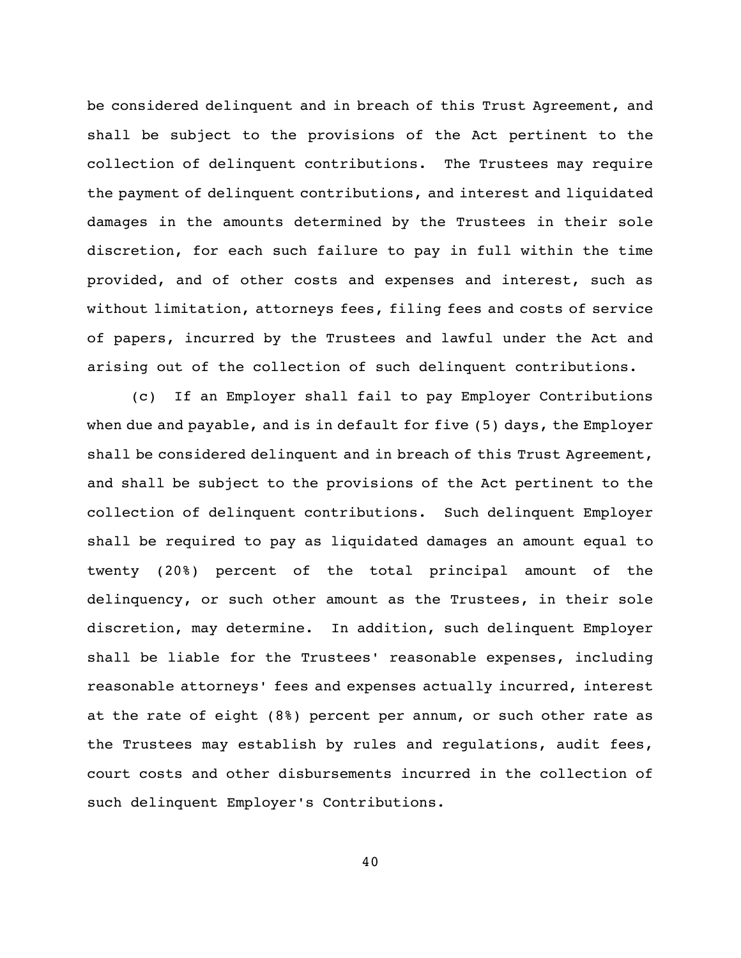be considered delinquent and in breach of this Trust Agreement, and shall be subject to the provisions of the Act pertinent to the collection of delinquent contributions. The Trustees may require the payment of delinquent contributions, and interest and liquidated damages in the amounts determined by the Trustees in their sole discretion, for each such failure to pay in full within the time provided, and of other costs and expenses and interest, such as without limitation, attorneys fees, filing fees and costs of service of papers, incurred by the Trustees and lawful under the Act and arising out of the collection of such delinquent contributions.

(c) If an Employer shall fail to pay Employer Contributions when due and payable, and is in default for five (5) days, the Employer shall be considered delinquent and in breach of this Trust Agreement, and shall be subject to the provisions of the Act pertinent to the collection of delinquent contributions. Such delinquent Employer shall be required to pay as liquidated damages an amount equal to twenty (20%) percent of the total principal amount of the delinquency, or such other amount as the Trustees, in their sole discretion, may determine. In addition, such delinquent Employer shall be liable for the Trustees' reasonable expenses, including reasonable attorneys' fees and expenses actually incurred, interest at the rate of eight (8%) percent per annum, or such other rate as the Trustees may establish by rules and regulations, audit fees, court costs and other disbursements incurred in the collection of such delinquent Employer's Contributions.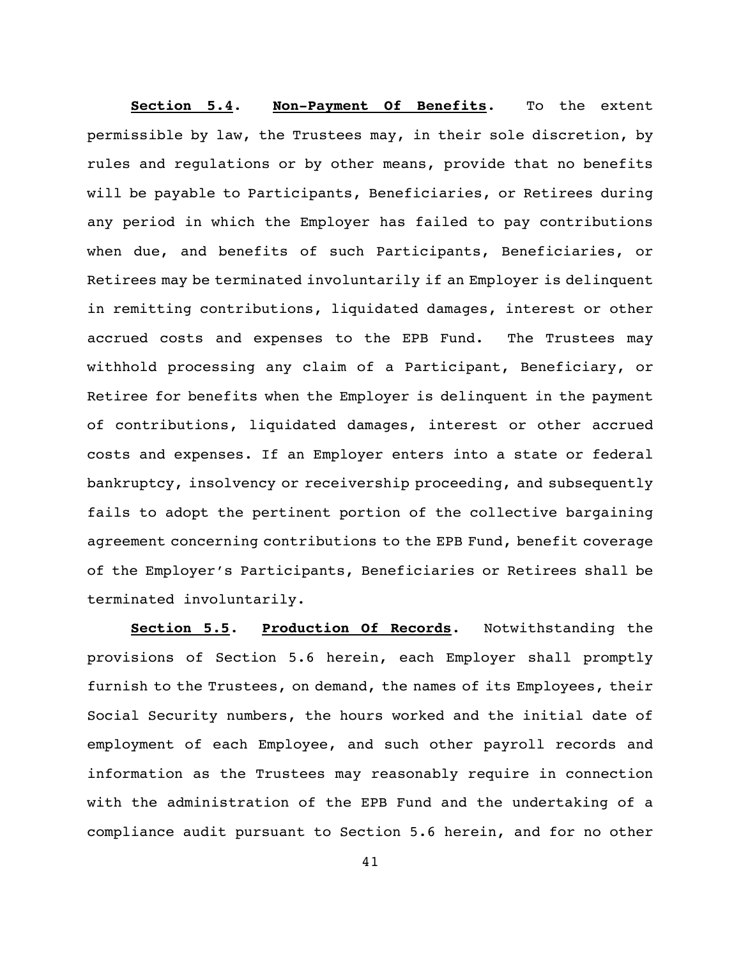**Section 5.4**. **Non-Payment Of Benefits**. To the extent permissible by law, the Trustees may, in their sole discretion, by rules and regulations or by other means, provide that no benefits will be payable to Participants, Beneficiaries, or Retirees during any period in which the Employer has failed to pay contributions when due, and benefits of such Participants, Beneficiaries, or Retirees may be terminated involuntarily if an Employer is delinquent in remitting contributions, liquidated damages, interest or other accrued costs and expenses to the EPB Fund. The Trustees may withhold processing any claim of a Participant, Beneficiary, or Retiree for benefits when the Employer is delinquent in the payment of contributions, liquidated damages, interest or other accrued costs and expenses. If an Employer enters into a state or federal bankruptcy, insolvency or receivership proceeding, and subsequently fails to adopt the pertinent portion of the collective bargaining agreement concerning contributions to the EPB Fund, benefit coverage of the Employer's Participants, Beneficiaries or Retirees shall be terminated involuntarily.

**Section 5.5**. **Production Of Records**. Notwithstanding the provisions of Section 5.6 herein, each Employer shall promptly furnish to the Trustees, on demand, the names of its Employees, their Social Security numbers, the hours worked and the initial date of employment of each Employee, and such other payroll records and information as the Trustees may reasonably require in connection with the administration of the EPB Fund and the undertaking of a compliance audit pursuant to Section 5.6 herein, and for no other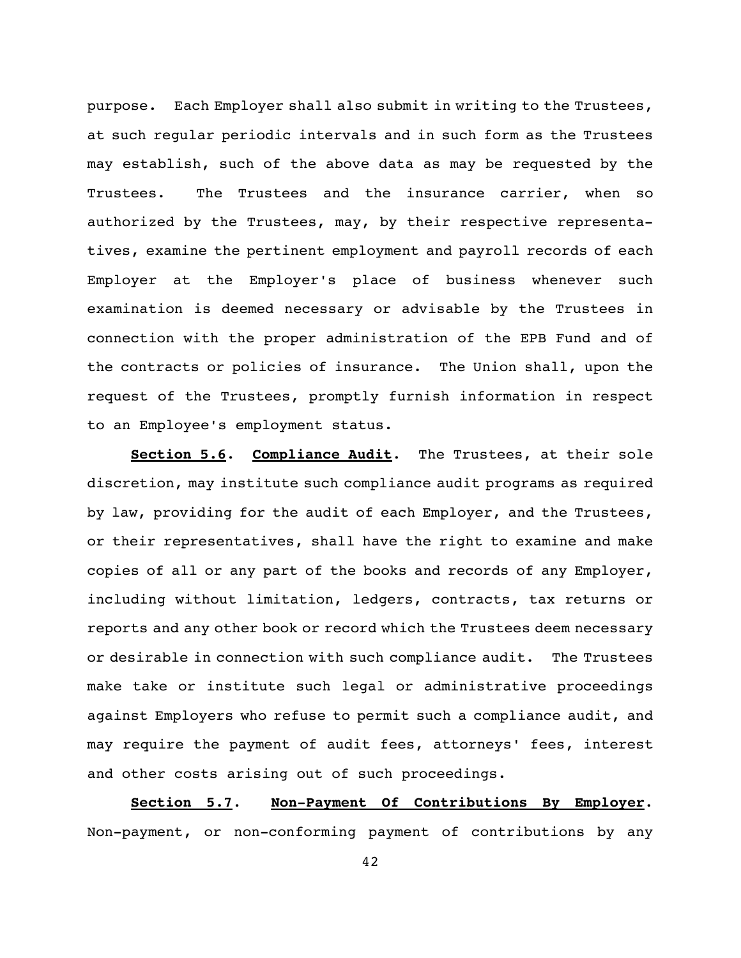purpose. Each Employer shall also submit in writing to the Trustees, at such regular periodic intervals and in such form as the Trustees may establish, such of the above data as may be requested by the Trustees. The Trustees and the insurance carrier, when so authorized by the Trustees, may, by their respective representatives, examine the pertinent employment and payroll records of each Employer at the Employer's place of business whenever such examination is deemed necessary or advisable by the Trustees in connection with the proper administration of the EPB Fund and of the contracts or policies of insurance. The Union shall, upon the request of the Trustees, promptly furnish information in respect to an Employee's employment status.

**Section 5.6**. **Compliance Audit**. The Trustees, at their sole discretion, may institute such compliance audit programs as required by law, providing for the audit of each Employer, and the Trustees, or their representatives, shall have the right to examine and make copies of all or any part of the books and records of any Employer, including without limitation, ledgers, contracts, tax returns or reports and any other book or record which the Trustees deem necessary or desirable in connection with such compliance audit. The Trustees make take or institute such legal or administrative proceedings against Employers who refuse to permit such a compliance audit, and may require the payment of audit fees, attorneys' fees, interest and other costs arising out of such proceedings.

**Section 5.7**. **Non-Payment Of Contributions By Employer**. Non-payment, or non-conforming payment of contributions by any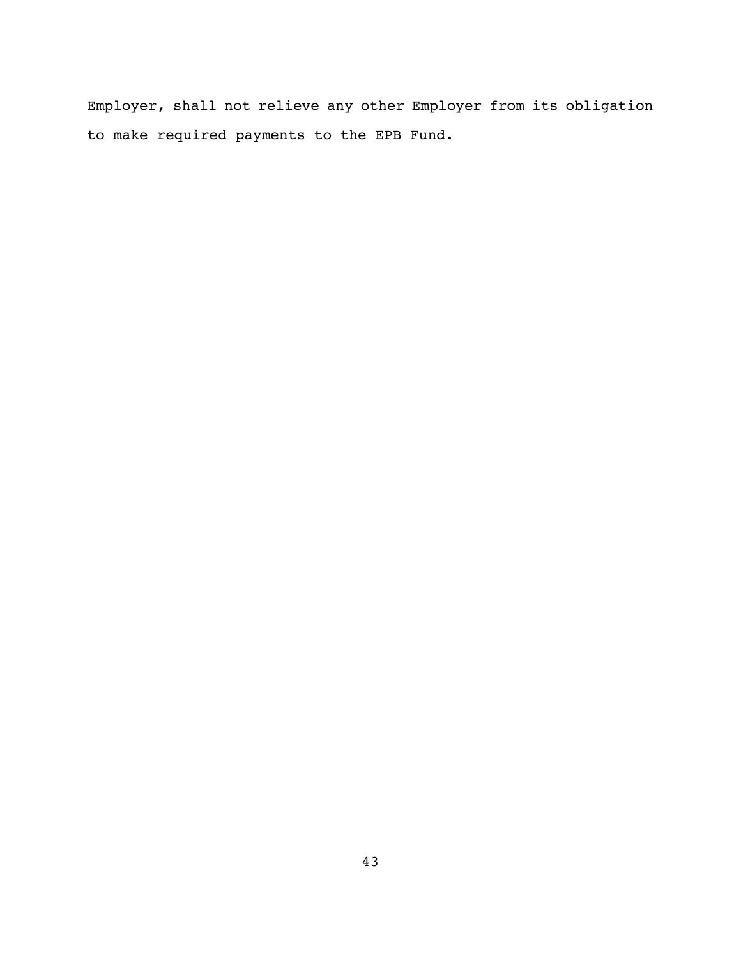Employer, shall not relieve any other Employer from its obligation to make required payments to the EPB Fund.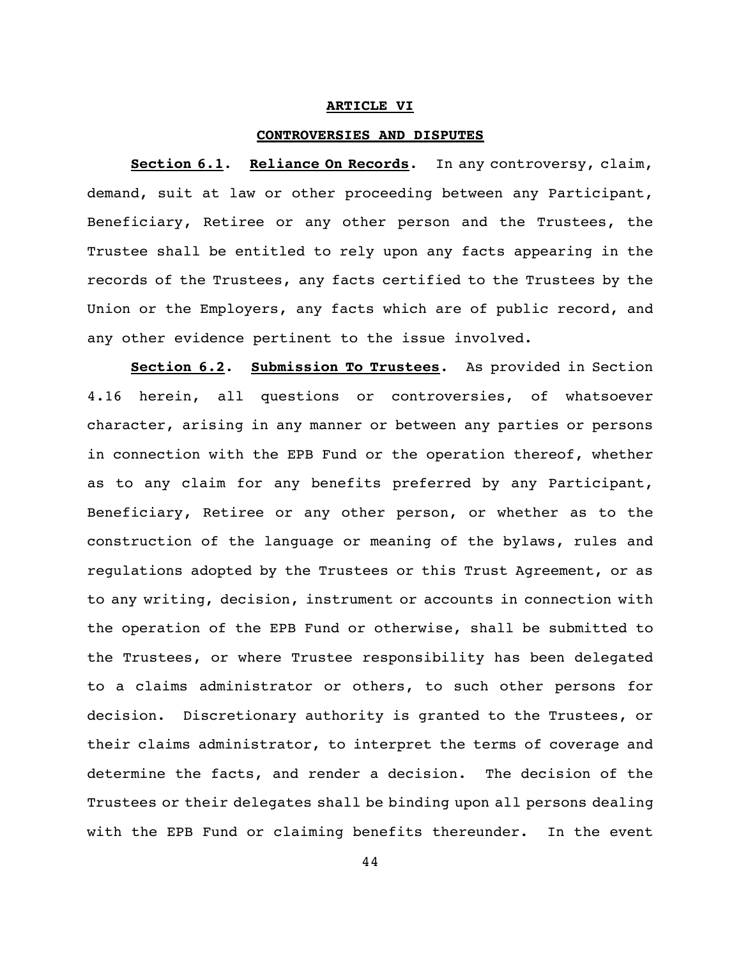#### **ARTICLE VI**

#### **CONTROVERSIES AND DISPUTES**

**Section 6.1**. **Reliance On Records**. In any controversy, claim, demand, suit at law or other proceeding between any Participant, Beneficiary, Retiree or any other person and the Trustees, the Trustee shall be entitled to rely upon any facts appearing in the records of the Trustees, any facts certified to the Trustees by the Union or the Employers, any facts which are of public record, and any other evidence pertinent to the issue involved.

**Section 6.2**. **Submission To Trustees**. As provided in Section 4.16 herein, all questions or controversies, of whatsoever character, arising in any manner or between any parties or persons in connection with the EPB Fund or the operation thereof, whether as to any claim for any benefits preferred by any Participant, Beneficiary, Retiree or any other person, or whether as to the construction of the language or meaning of the bylaws, rules and regulations adopted by the Trustees or this Trust Agreement, or as to any writing, decision, instrument or accounts in connection with the operation of the EPB Fund or otherwise, shall be submitted to the Trustees, or where Trustee responsibility has been delegated to a claims administrator or others, to such other persons for decision. Discretionary authority is granted to the Trustees, or their claims administrator, to interpret the terms of coverage and determine the facts, and render a decision. The decision of the Trustees or their delegates shall be binding upon all persons dealing with the EPB Fund or claiming benefits thereunder. In the event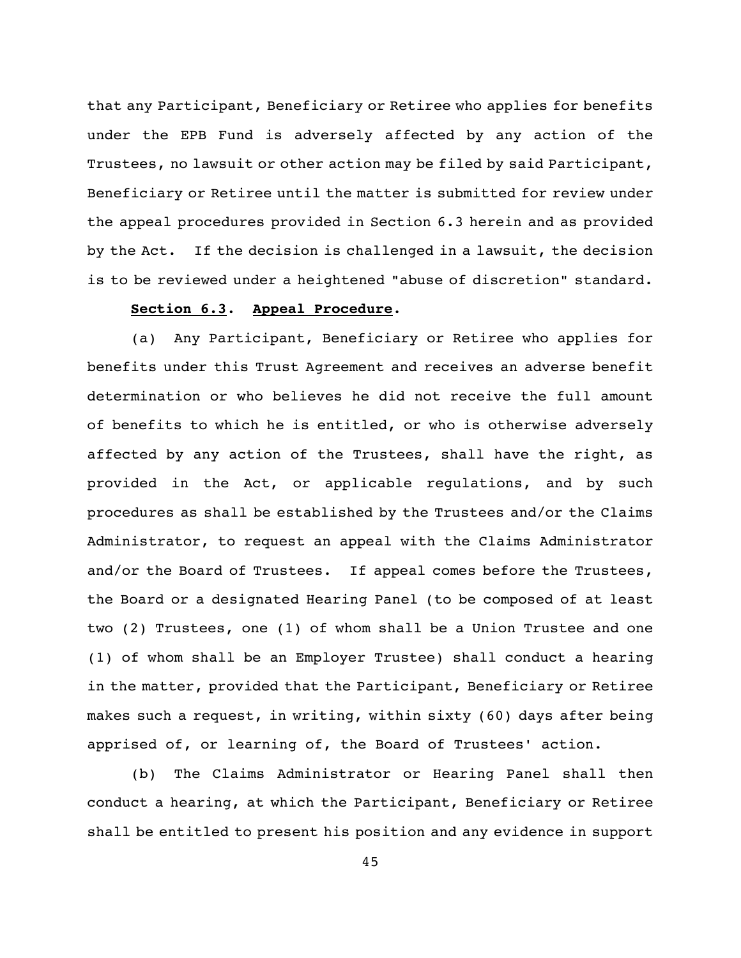that any Participant, Beneficiary or Retiree who applies for benefits under the EPB Fund is adversely affected by any action of the Trustees, no lawsuit or other action may be filed by said Participant, Beneficiary or Retiree until the matter is submitted for review under the appeal procedures provided in Section 6.3 herein and as provided by the Act. If the decision is challenged in a lawsuit, the decision is to be reviewed under a heightened "abuse of discretion" standard.

### **Section 6.3**. **Appeal Procedure**.

(a) Any Participant, Beneficiary or Retiree who applies for benefits under this Trust Agreement and receives an adverse benefit determination or who believes he did not receive the full amount of benefits to which he is entitled, or who is otherwise adversely affected by any action of the Trustees, shall have the right, as provided in the Act, or applicable regulations, and by such procedures as shall be established by the Trustees and/or the Claims Administrator, to request an appeal with the Claims Administrator and/or the Board of Trustees. If appeal comes before the Trustees, the Board or a designated Hearing Panel (to be composed of at least two (2) Trustees, one (1) of whom shall be a Union Trustee and one (1) of whom shall be an Employer Trustee) shall conduct a hearing in the matter, provided that the Participant, Beneficiary or Retiree makes such a request, in writing, within sixty (60) days after being apprised of, or learning of, the Board of Trustees' action.

(b) The Claims Administrator or Hearing Panel shall then conduct a hearing, at which the Participant, Beneficiary or Retiree shall be entitled to present his position and any evidence in support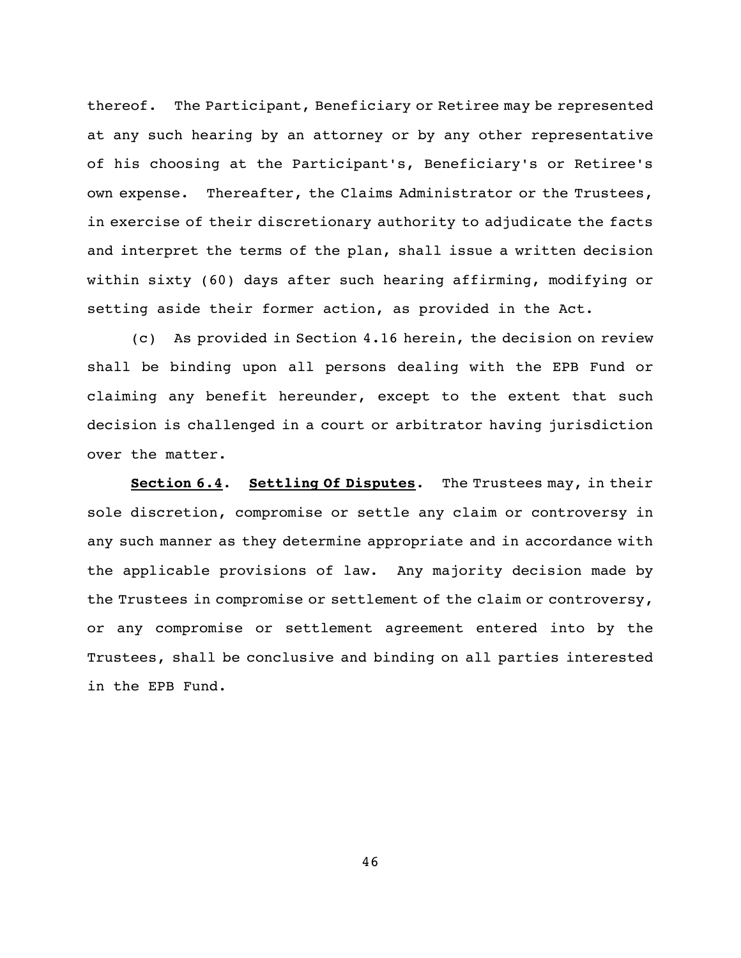thereof. The Participant, Beneficiary or Retiree may be represented at any such hearing by an attorney or by any other representative of his choosing at the Participant's, Beneficiary's or Retiree's own expense. Thereafter, the Claims Administrator or the Trustees, in exercise of their discretionary authority to adjudicate the facts and interpret the terms of the plan, shall issue a written decision within sixty (60) days after such hearing affirming, modifying or setting aside their former action, as provided in the Act.

(c) As provided in Section 4.16 herein, the decision on review shall be binding upon all persons dealing with the EPB Fund or claiming any benefit hereunder, except to the extent that such decision is challenged in a court or arbitrator having jurisdiction over the matter.

**Section 6.4**. **Settling Of Disputes**. The Trustees may, in their sole discretion, compromise or settle any claim or controversy in any such manner as they determine appropriate and in accordance with the applicable provisions of law. Any majority decision made by the Trustees in compromise or settlement of the claim or controversy, or any compromise or settlement agreement entered into by the Trustees, shall be conclusive and binding on all parties interested in the EPB Fund.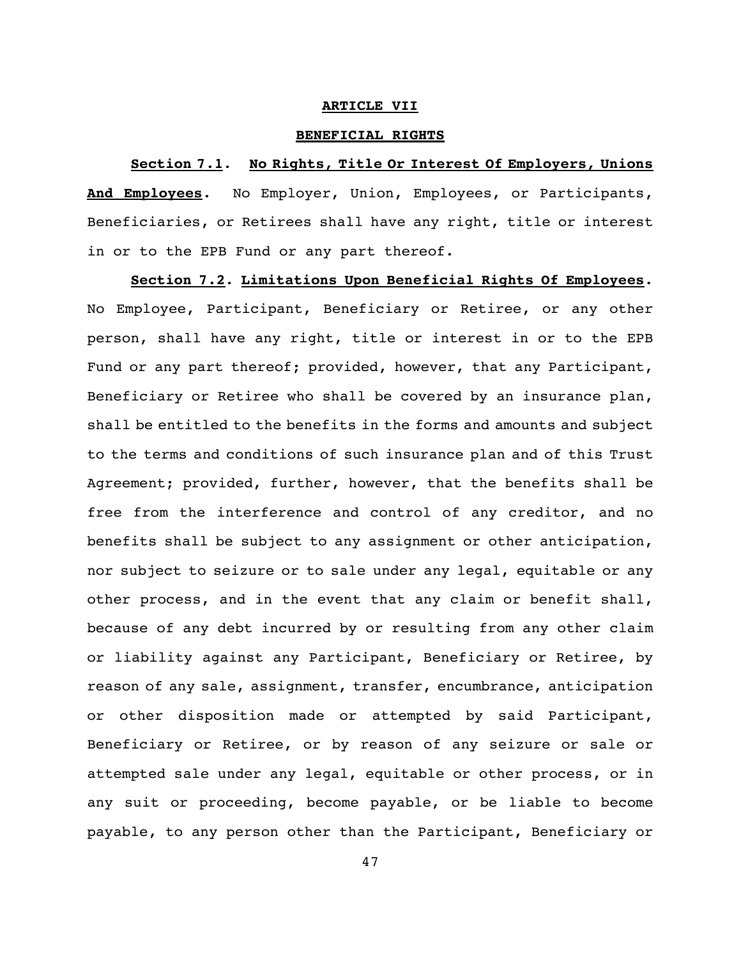#### **ARTICLE VII**

#### **BENEFICIAL RIGHTS**

#### **Section 7.1**. **No Rights, Title Or Interest Of Employers, Unions**

**And Employees**. No Employer, Union, Employees, or Participants, Beneficiaries, or Retirees shall have any right, title or interest in or to the EPB Fund or any part thereof.

**Section 7.2**. **Limitations Upon Beneficial Rights Of Employees**. No Employee, Participant, Beneficiary or Retiree, or any other person, shall have any right, title or interest in or to the EPB Fund or any part thereof; provided, however, that any Participant, Beneficiary or Retiree who shall be covered by an insurance plan, shall be entitled to the benefits in the forms and amounts and subject to the terms and conditions of such insurance plan and of this Trust Agreement; provided, further, however, that the benefits shall be free from the interference and control of any creditor, and no benefits shall be subject to any assignment or other anticipation, nor subject to seizure or to sale under any legal, equitable or any other process, and in the event that any claim or benefit shall, because of any debt incurred by or resulting from any other claim or liability against any Participant, Beneficiary or Retiree, by reason of any sale, assignment, transfer, encumbrance, anticipation or other disposition made or attempted by said Participant, Beneficiary or Retiree, or by reason of any seizure or sale or attempted sale under any legal, equitable or other process, or in any suit or proceeding, become payable, or be liable to become payable, to any person other than the Participant, Beneficiary or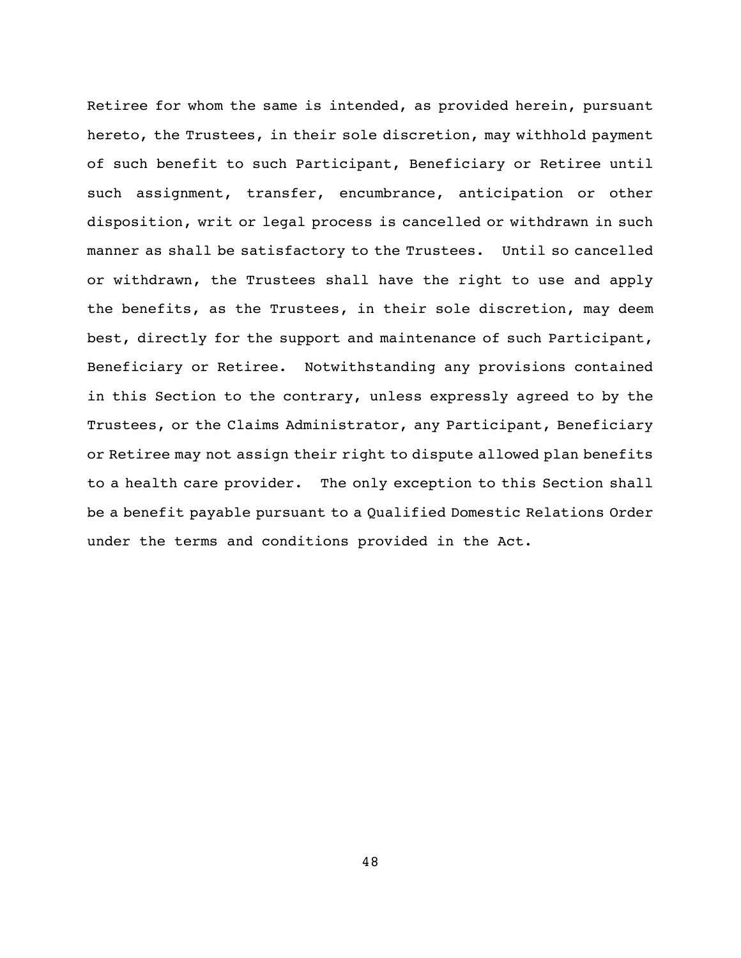Retiree for whom the same is intended, as provided herein, pursuant hereto, the Trustees, in their sole discretion, may withhold payment of such benefit to such Participant, Beneficiary or Retiree until such assignment, transfer, encumbrance, anticipation or other disposition, writ or legal process is cancelled or withdrawn in such manner as shall be satisfactory to the Trustees. Until so cancelled or withdrawn, the Trustees shall have the right to use and apply the benefits, as the Trustees, in their sole discretion, may deem best, directly for the support and maintenance of such Participant, Beneficiary or Retiree. Notwithstanding any provisions contained in this Section to the contrary, unless expressly agreed to by the Trustees, or the Claims Administrator, any Participant, Beneficiary or Retiree may not assign their right to dispute allowed plan benefits to a health care provider. The only exception to this Section shall be a benefit payable pursuant to a Qualified Domestic Relations Order under the terms and conditions provided in the Act.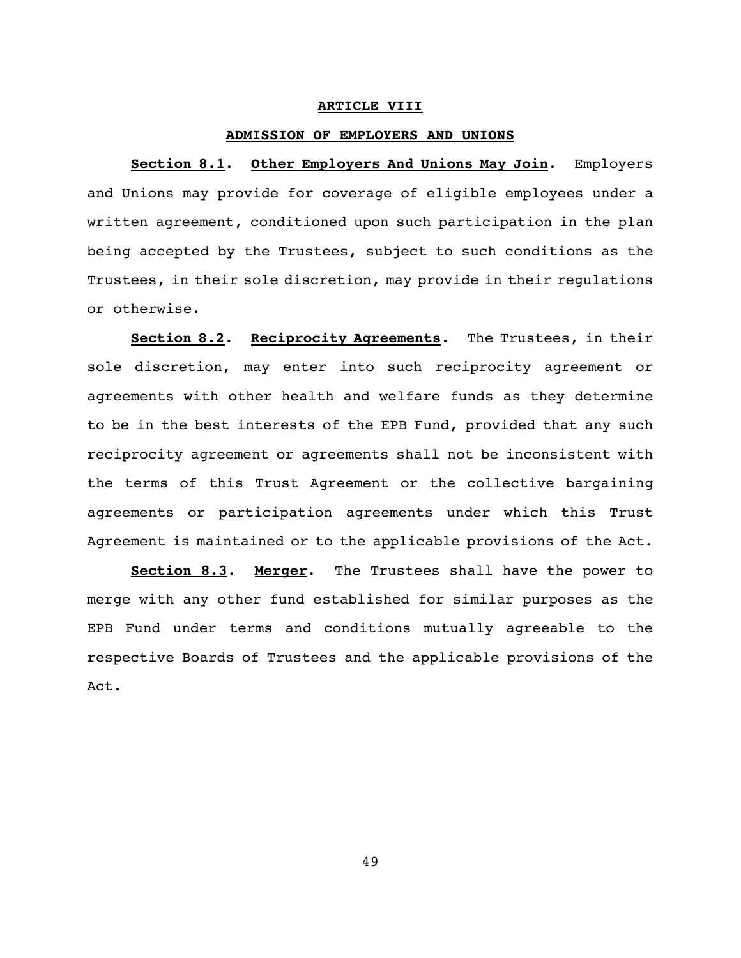#### **ARTICLE VIII**

#### **ADMISSION OF EMPLOYERS AND UNIONS**

**Section 8.1**. **Other Employers And Unions May Join**. Employers and Unions may provide for coverage of eligible employees under a written agreement, conditioned upon such participation in the plan being accepted by the Trustees, subject to such conditions as the Trustees, in their sole discretion, may provide in their regulations or otherwise.

**Section 8.2**. **Reciprocity Agreements**. The Trustees, in their sole discretion, may enter into such reciprocity agreement or agreements with other health and welfare funds as they determine to be in the best interests of the EPB Fund, provided that any such reciprocity agreement or agreements shall not be inconsistent with the terms of this Trust Agreement or the collective bargaining agreements or participation agreements under which this Trust Agreement is maintained or to the applicable provisions of the Act.

**Section 8.3**. **Merger**. The Trustees shall have the power to merge with any other fund established for similar purposes as the EPB Fund under terms and conditions mutually agreeable to the respective Boards of Trustees and the applicable provisions of the Act.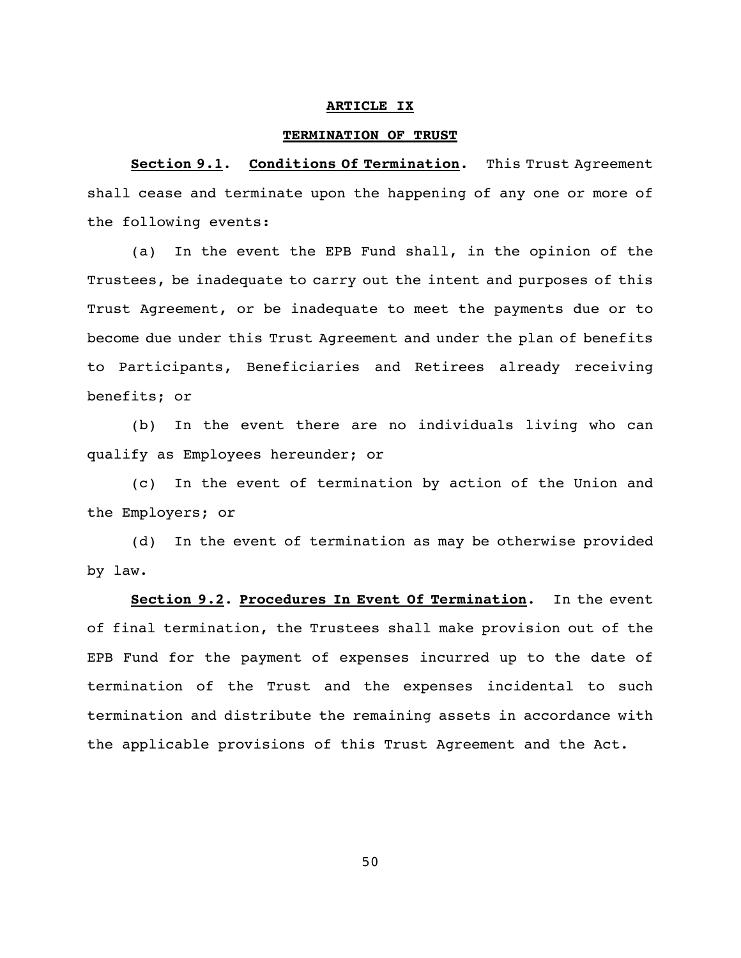#### **ARTICLE IX**

#### **TERMINATION OF TRUST**

**Section 9.1**. **Conditions Of Termination**. This Trust Agreement shall cease and terminate upon the happening of any one or more of the following events:

(a) In the event the EPB Fund shall, in the opinion of the Trustees, be inadequate to carry out the intent and purposes of this Trust Agreement, or be inadequate to meet the payments due or to become due under this Trust Agreement and under the plan of benefits to Participants, Beneficiaries and Retirees already receiving benefits; or

(b) In the event there are no individuals living who can qualify as Employees hereunder; or

(c) In the event of termination by action of the Union and the Employers; or

(d) In the event of termination as may be otherwise provided by law.

**Section 9.2**. **Procedures In Event Of Termination**. In the event of final termination, the Trustees shall make provision out of the EPB Fund for the payment of expenses incurred up to the date of termination of the Trust and the expenses incidental to such termination and distribute the remaining assets in accordance with the applicable provisions of this Trust Agreement and the Act.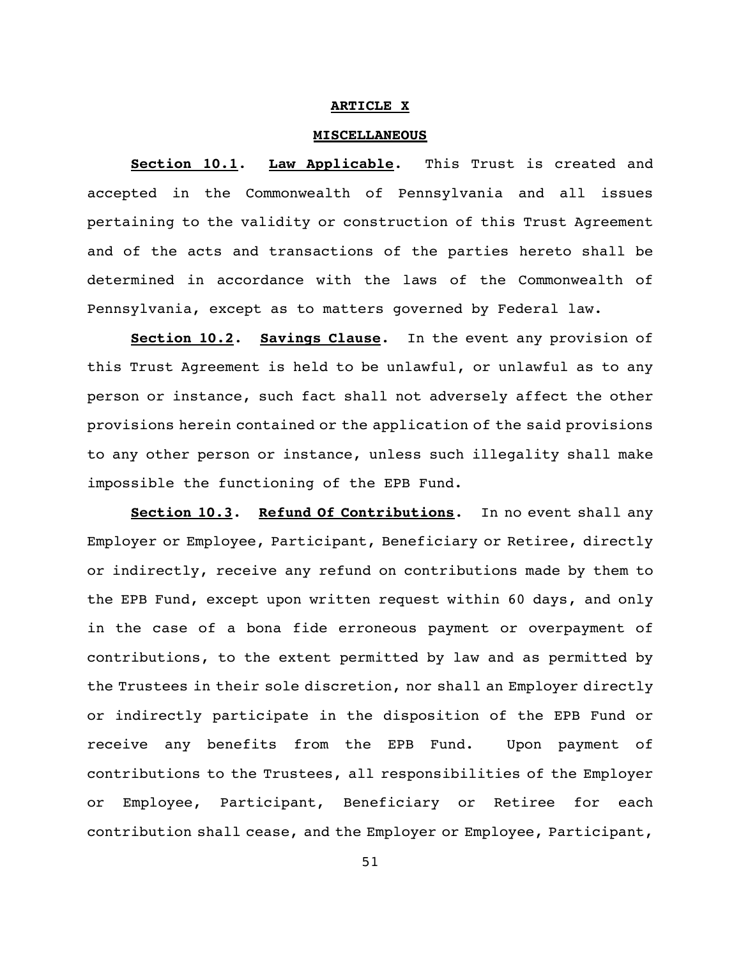#### **ARTICLE X**

#### **MISCELLANEOUS**

**Section 10.1**. **Law Applicable**. This Trust is created and accepted in the Commonwealth of Pennsylvania and all issues pertaining to the validity or construction of this Trust Agreement and of the acts and transactions of the parties hereto shall be determined in accordance with the laws of the Commonwealth of Pennsylvania, except as to matters governed by Federal law.

**Section 10.2**. **Savings Clause**. In the event any provision of this Trust Agreement is held to be unlawful, or unlawful as to any person or instance, such fact shall not adversely affect the other provisions herein contained or the application of the said provisions to any other person or instance, unless such illegality shall make impossible the functioning of the EPB Fund.

**Section 10.3**. **Refund Of Contributions**. In no event shall any Employer or Employee, Participant, Beneficiary or Retiree, directly or indirectly, receive any refund on contributions made by them to the EPB Fund, except upon written request within 60 days, and only in the case of a bona fide erroneous payment or overpayment of contributions, to the extent permitted by law and as permitted by the Trustees in their sole discretion, nor shall an Employer directly or indirectly participate in the disposition of the EPB Fund or receive any benefits from the EPB Fund. Upon payment of contributions to the Trustees, all responsibilities of the Employer or Employee, Participant, Beneficiary or Retiree for each contribution shall cease, and the Employer or Employee, Participant,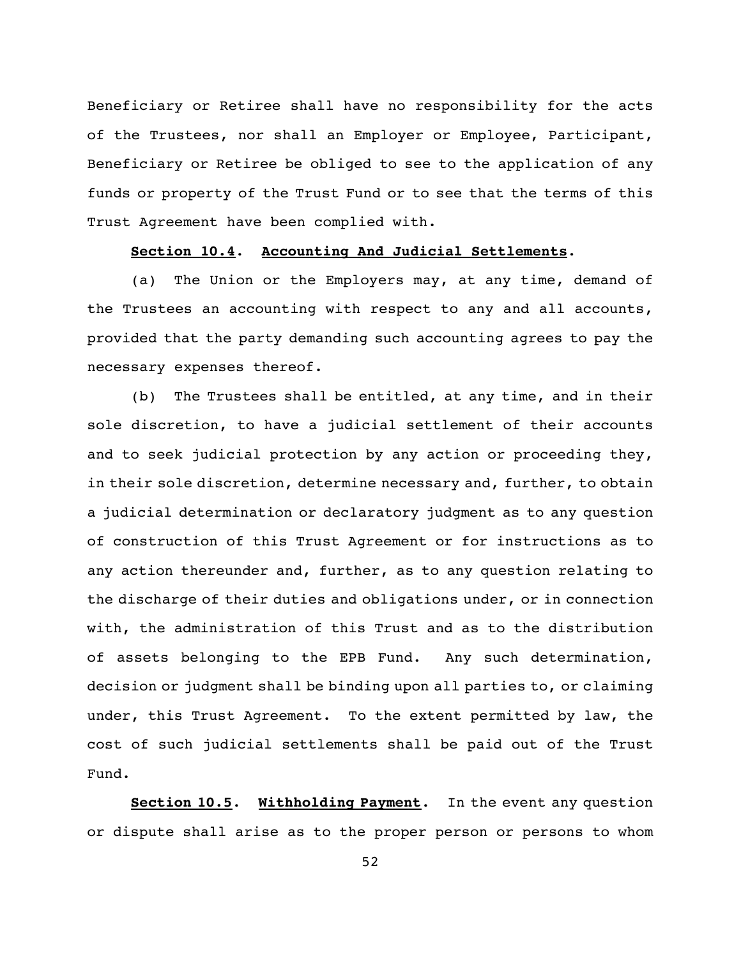Beneficiary or Retiree shall have no responsibility for the acts of the Trustees, nor shall an Employer or Employee, Participant, Beneficiary or Retiree be obliged to see to the application of any funds or property of the Trust Fund or to see that the terms of this Trust Agreement have been complied with.

### **Section 10.4**. **Accounting And Judicial Settlements**.

(a) The Union or the Employers may, at any time, demand of the Trustees an accounting with respect to any and all accounts, provided that the party demanding such accounting agrees to pay the necessary expenses thereof.

(b) The Trustees shall be entitled, at any time, and in their sole discretion, to have a judicial settlement of their accounts and to seek judicial protection by any action or proceeding they, in their sole discretion, determine necessary and, further, to obtain a judicial determination or declaratory judgment as to any question of construction of this Trust Agreement or for instructions as to any action thereunder and, further, as to any question relating to the discharge of their duties and obligations under, or in connection with, the administration of this Trust and as to the distribution of assets belonging to the EPB Fund. Any such determination, decision or judgment shall be binding upon all parties to, or claiming under, this Trust Agreement. To the extent permitted by law, the cost of such judicial settlements shall be paid out of the Trust Fund.

**Section 10.5**. **Withholding Payment**. In the event any question or dispute shall arise as to the proper person or persons to whom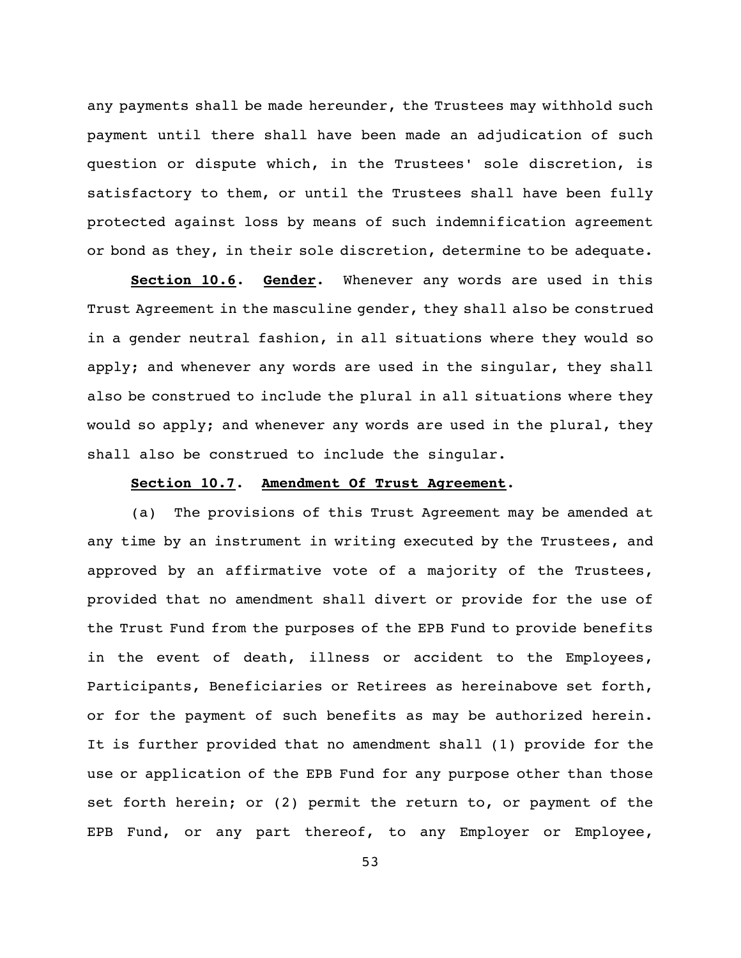any payments shall be made hereunder, the Trustees may withhold such payment until there shall have been made an adjudication of such question or dispute which, in the Trustees' sole discretion, is satisfactory to them, or until the Trustees shall have been fully protected against loss by means of such indemnification agreement or bond as they, in their sole discretion, determine to be adequate.

**Section 10.6**. **Gender**. Whenever any words are used in this Trust Agreement in the masculine gender, they shall also be construed in a gender neutral fashion, in all situations where they would so apply; and whenever any words are used in the singular, they shall also be construed to include the plural in all situations where they would so apply; and whenever any words are used in the plural, they shall also be construed to include the singular.

#### **Section 10.7**. **Amendment Of Trust Agreement**.

(a) The provisions of this Trust Agreement may be amended at any time by an instrument in writing executed by the Trustees, and approved by an affirmative vote of a majority of the Trustees, provided that no amendment shall divert or provide for the use of the Trust Fund from the purposes of the EPB Fund to provide benefits in the event of death, illness or accident to the Employees, Participants, Beneficiaries or Retirees as hereinabove set forth, or for the payment of such benefits as may be authorized herein. It is further provided that no amendment shall (1) provide for the use or application of the EPB Fund for any purpose other than those set forth herein; or (2) permit the return to, or payment of the EPB Fund, or any part thereof, to any Employer or Employee,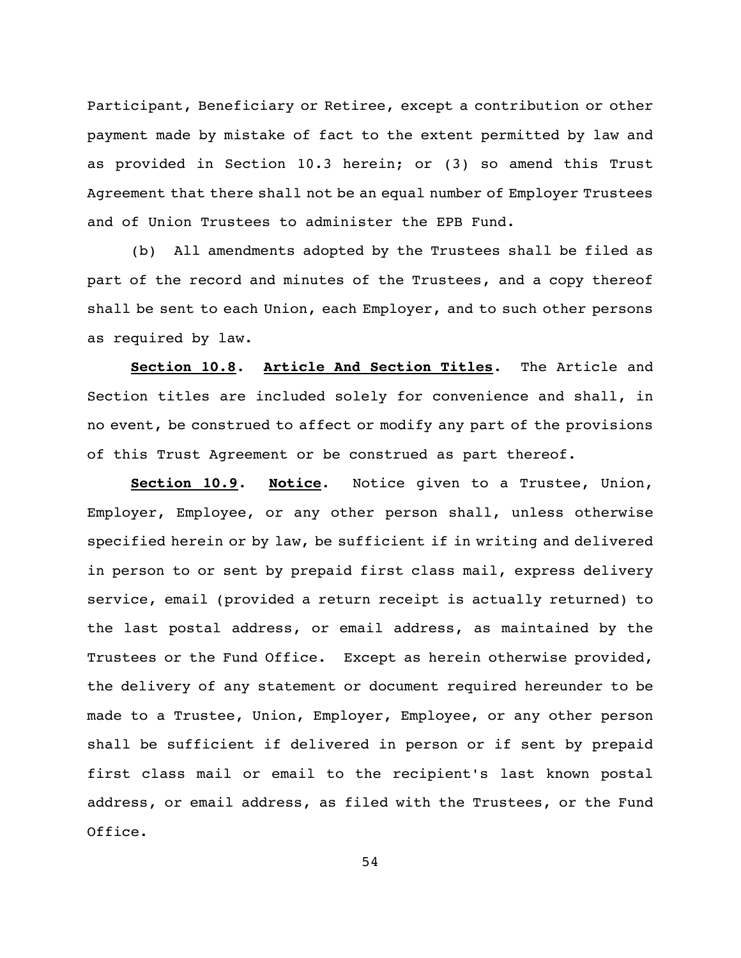Participant, Beneficiary or Retiree, except a contribution or other payment made by mistake of fact to the extent permitted by law and as provided in Section 10.3 herein; or (3) so amend this Trust Agreement that there shall not be an equal number of Employer Trustees and of Union Trustees to administer the EPB Fund.

(b) All amendments adopted by the Trustees shall be filed as part of the record and minutes of the Trustees, and a copy thereof shall be sent to each Union, each Employer, and to such other persons as required by law.

**Section 10.8**. **Article And Section Titles**. The Article and Section titles are included solely for convenience and shall, in no event, be construed to affect or modify any part of the provisions of this Trust Agreement or be construed as part thereof.

**Section 10.9**. **Notice**. Notice given to a Trustee, Union, Employer, Employee, or any other person shall, unless otherwise specified herein or by law, be sufficient if in writing and delivered in person to or sent by prepaid first class mail, express delivery service, email (provided a return receipt is actually returned) to the last postal address, or email address, as maintained by the Trustees or the Fund Office. Except as herein otherwise provided, the delivery of any statement or document required hereunder to be made to a Trustee, Union, Employer, Employee, or any other person shall be sufficient if delivered in person or if sent by prepaid first class mail or email to the recipient's last known postal address, or email address, as filed with the Trustees, or the Fund Office.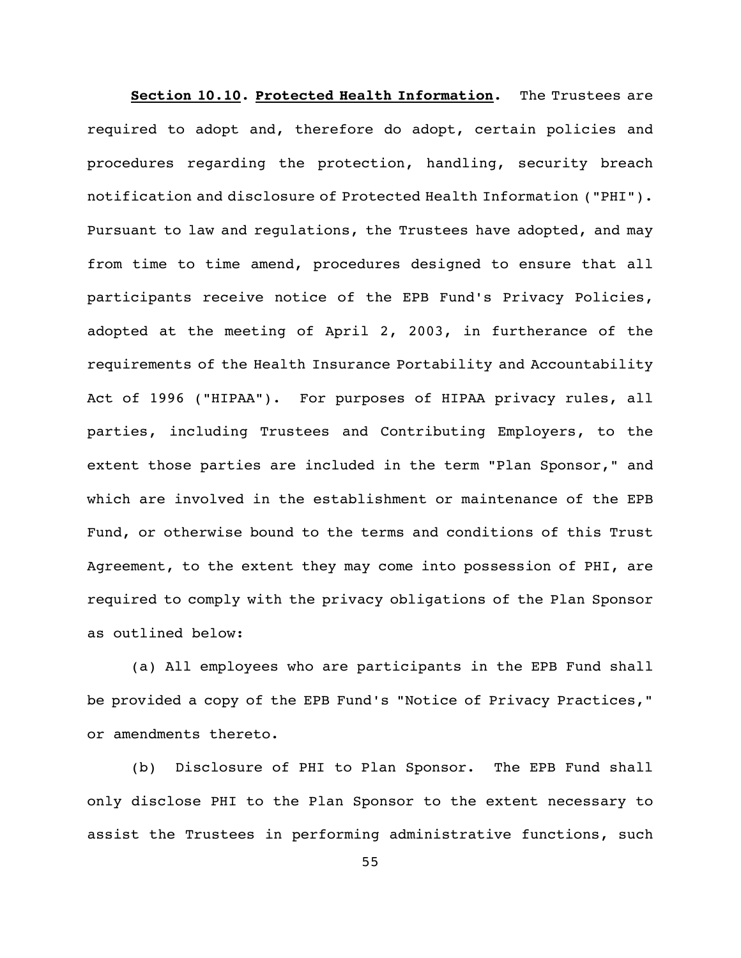**Section 10.10. Protected Health Information.** The Trustees are required to adopt and, therefore do adopt, certain policies and procedures regarding the protection, handling, security breach notification and disclosure of Protected Health Information ("PHI"). Pursuant to law and regulations, the Trustees have adopted, and may from time to time amend, procedures designed to ensure that all participants receive notice of the EPB Fund's Privacy Policies, adopted at the meeting of April 2, 2003, in furtherance of the requirements of the Health Insurance Portability and Accountability Act of 1996 ("HIPAA"). For purposes of HIPAA privacy rules, all parties, including Trustees and Contributing Employers, to the extent those parties are included in the term "Plan Sponsor," and which are involved in the establishment or maintenance of the EPB Fund, or otherwise bound to the terms and conditions of this Trust Agreement, to the extent they may come into possession of PHI, are required to comply with the privacy obligations of the Plan Sponsor as outlined below:

(a) All employees who are participants in the EPB Fund shall be provided a copy of the EPB Fund's "Notice of Privacy Practices," or amendments thereto.

(b) Disclosure of PHI to Plan Sponsor. The EPB Fund shall only disclose PHI to the Plan Sponsor to the extent necessary to assist the Trustees in performing administrative functions, such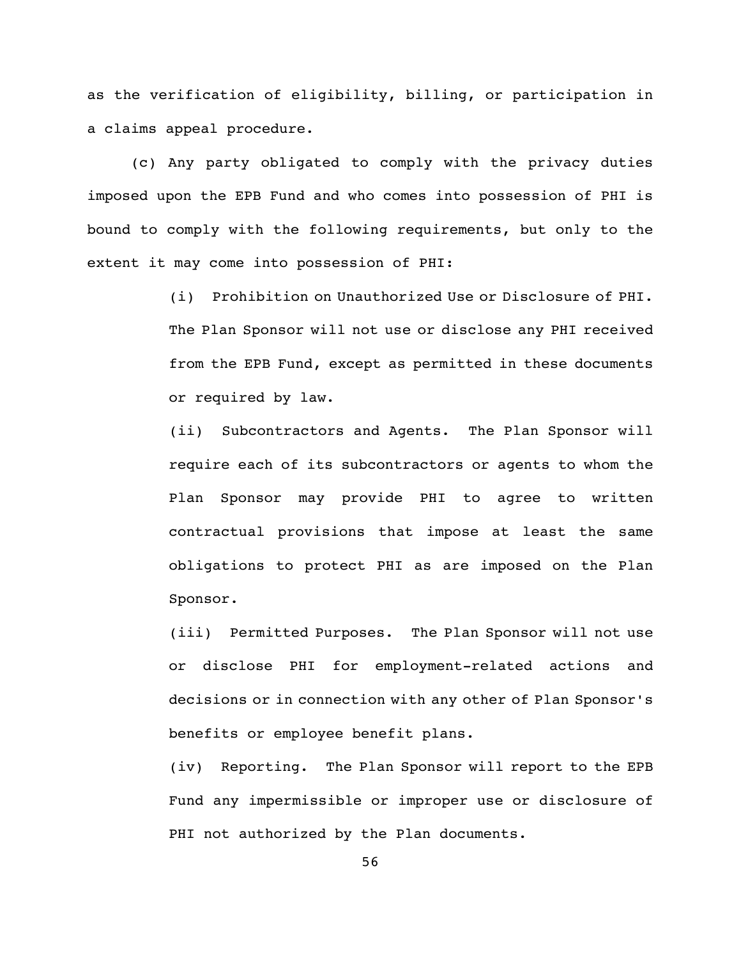as the verification of eligibility, billing, or participation in a claims appeal procedure.

(c) Any party obligated to comply with the privacy duties imposed upon the EPB Fund and who comes into possession of PHI is bound to comply with the following requirements, but only to the extent it may come into possession of PHI:

> (i) Prohibition on Unauthorized Use or Disclosure of PHI. The Plan Sponsor will not use or disclose any PHI received from the EPB Fund, except as permitted in these documents or required by law.

> (ii) Subcontractors and Agents. The Plan Sponsor will require each of its subcontractors or agents to whom the Plan Sponsor may provide PHI to agree to written contractual provisions that impose at least the same obligations to protect PHI as are imposed on the Plan Sponsor.

> (iii) Permitted Purposes. The Plan Sponsor will not use or disclose PHI for employment-related actions and decisions or in connection with any other of Plan Sponsor's benefits or employee benefit plans.

> (iv) Reporting. The Plan Sponsor will report to the EPB Fund any impermissible or improper use or disclosure of PHI not authorized by the Plan documents.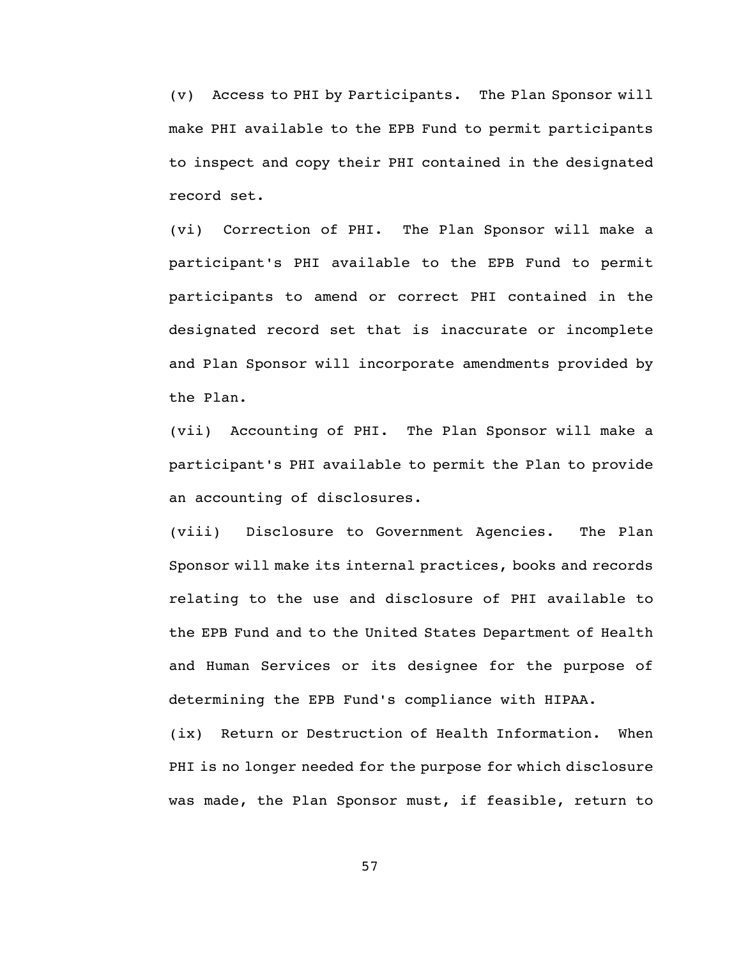(v) Access to PHI by Participants. The Plan Sponsor will make PHI available to the EPB Fund to permit participants to inspect and copy their PHI contained in the designated record set.

(vi) Correction of PHI. The Plan Sponsor will make a participant's PHI available to the EPB Fund to permit participants to amend or correct PHI contained in the designated record set that is inaccurate or incomplete and Plan Sponsor will incorporate amendments provided by the Plan.

(vii) Accounting of PHI. The Plan Sponsor will make a participant's PHI available to permit the Plan to provide an accounting of disclosures.

(viii) Disclosure to Government Agencies. The Plan Sponsor will make its internal practices, books and records relating to the use and disclosure of PHI available to the EPB Fund and to the United States Department of Health and Human Services or its designee for the purpose of determining the EPB Fund's compliance with HIPAA.

(ix) Return or Destruction of Health Information. When PHI is no longer needed for the purpose for which disclosure was made, the Plan Sponsor must, if feasible, return to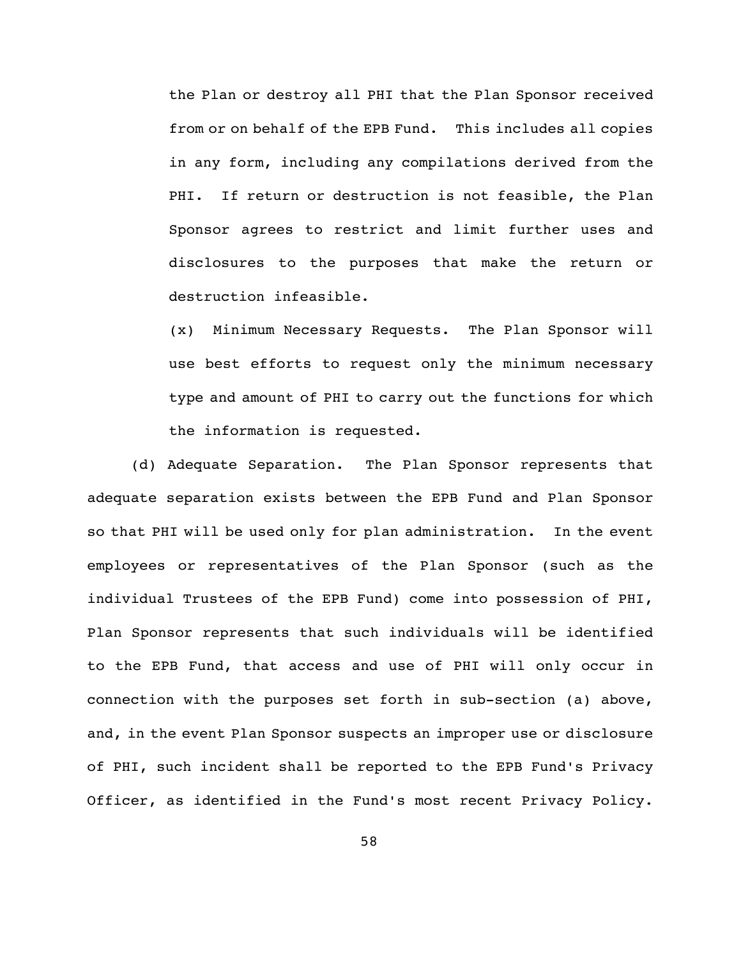the Plan or destroy all PHI that the Plan Sponsor received from or on behalf of the EPB Fund. This includes all copies in any form, including any compilations derived from the PHI. If return or destruction is not feasible, the Plan Sponsor agrees to restrict and limit further uses and disclosures to the purposes that make the return or destruction infeasible.

(x) Minimum Necessary Requests. The Plan Sponsor will use best efforts to request only the minimum necessary type and amount of PHI to carry out the functions for which the information is requested.

(d) Adequate Separation. The Plan Sponsor represents that adequate separation exists between the EPB Fund and Plan Sponsor so that PHI will be used only for plan administration. In the event employees or representatives of the Plan Sponsor (such as the individual Trustees of the EPB Fund) come into possession of PHI, Plan Sponsor represents that such individuals will be identified to the EPB Fund, that access and use of PHI will only occur in connection with the purposes set forth in sub-section (a) above, and, in the event Plan Sponsor suspects an improper use or disclosure of PHI, such incident shall be reported to the EPB Fund's Privacy Officer, as identified in the Fund's most recent Privacy Policy.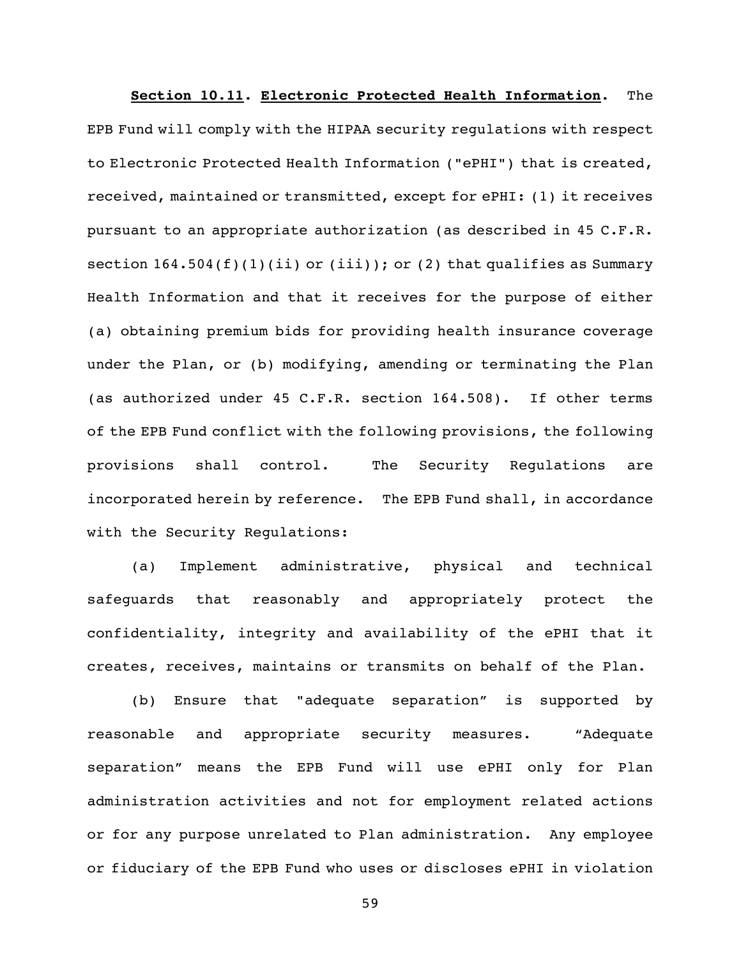**Section 10.11. Electronic Protected Health Information.** The EPB Fund will comply with the HIPAA security regulations with respect to Electronic Protected Health Information ("ePHI") that is created, received, maintained or transmitted, except for ePHI: (1) it receives pursuant to an appropriate authorization (as described in 45 C.F.R. section  $164.504(f)(1)(ii)$  or  $(iii)$ ; or  $(2)$  that qualifies as Summary Health Information and that it receives for the purpose of either (a) obtaining premium bids for providing health insurance coverage under the Plan, or (b) modifying, amending or terminating the Plan (as authorized under 45 C.F.R. section 164.508). If other terms of the EPB Fund conflict with the following provisions, the following provisions shall control. The Security Regulations are incorporated herein by reference. The EPB Fund shall, in accordance with the Security Regulations:

(a) Implement administrative, physical and technical safeguards that reasonably and appropriately protect the confidentiality, integrity and availability of the ePHI that it creates, receives, maintains or transmits on behalf of the Plan.

(b) Ensure that "adequate separation" is supported by reasonable and appropriate security measures. "Adequate separation" means the EPB Fund will use ePHI only for Plan administration activities and not for employment related actions or for any purpose unrelated to Plan administration. Any employee or fiduciary of the EPB Fund who uses or discloses ePHI in violation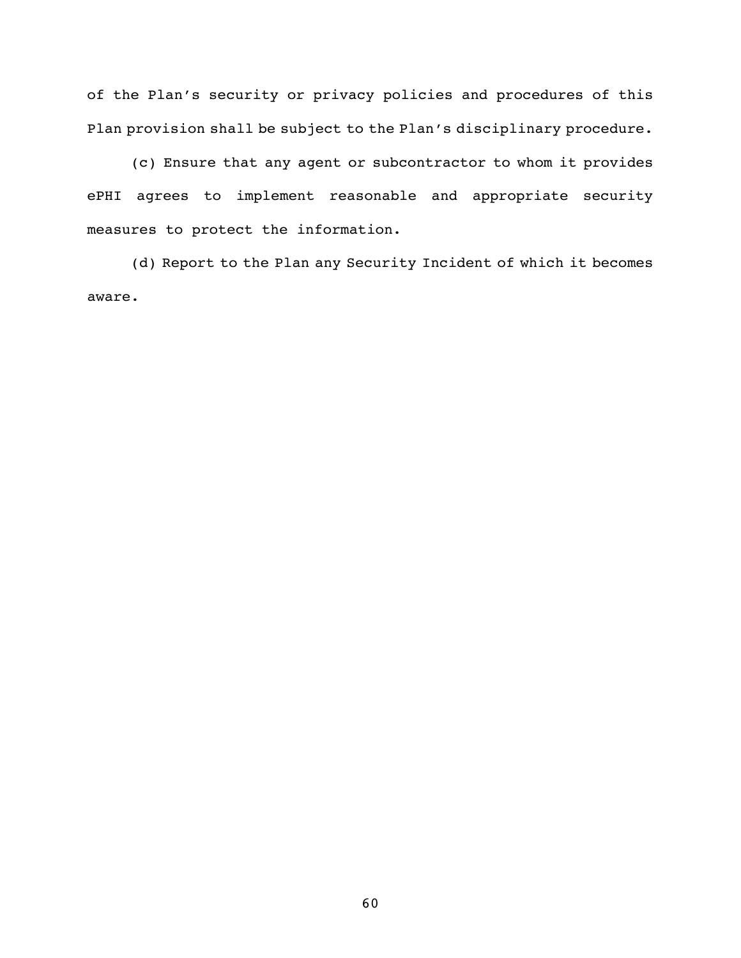of the Plan's security or privacy policies and procedures of this Plan provision shall be subject to the Plan's disciplinary procedure.

(c) Ensure that any agent or subcontractor to whom it provides ePHI agrees to implement reasonable and appropriate security measures to protect the information.

(d) Report to the Plan any Security Incident of which it becomes aware.